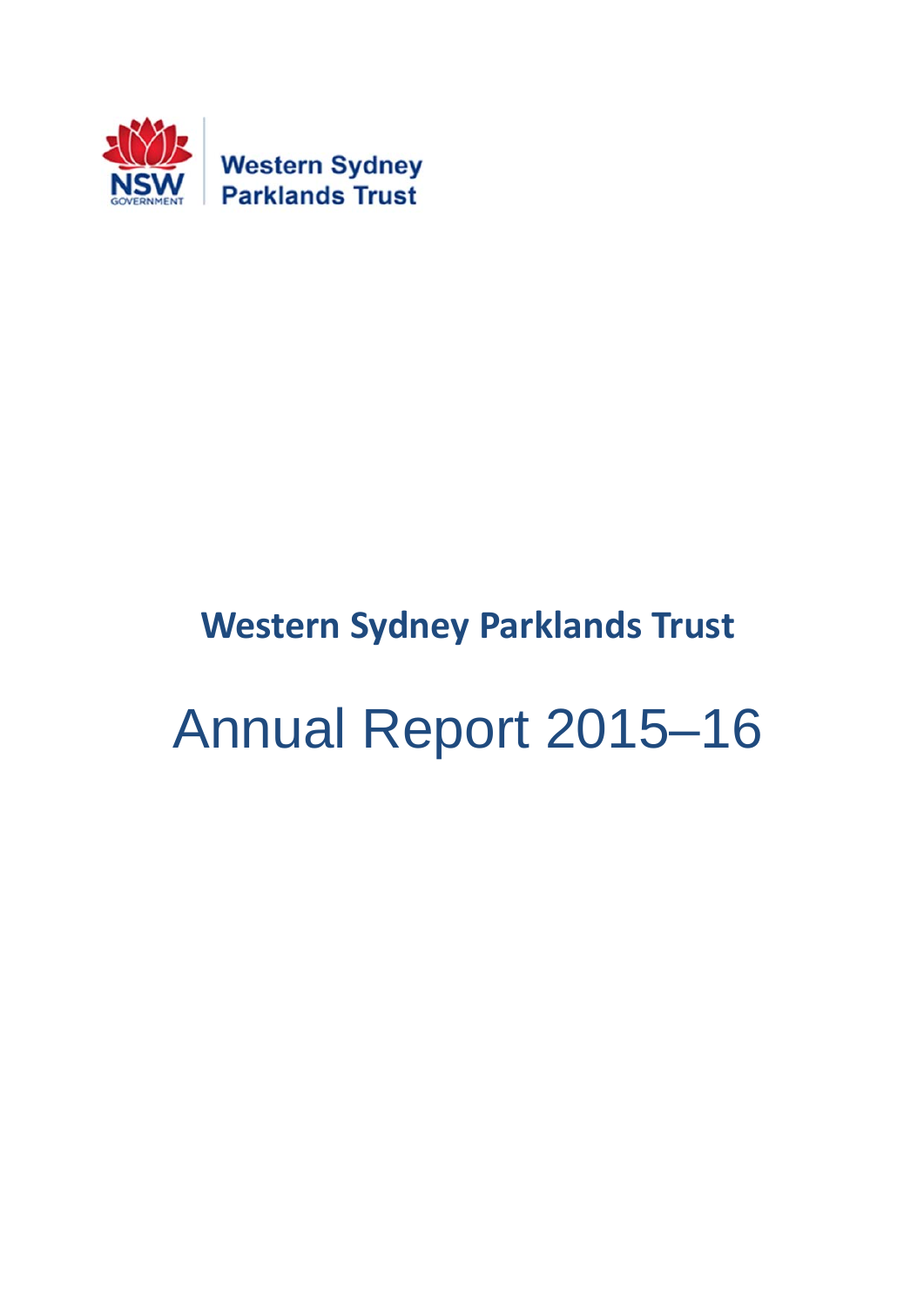

## **Western Sydney Parklands Trust**

# Annual Report 2015–16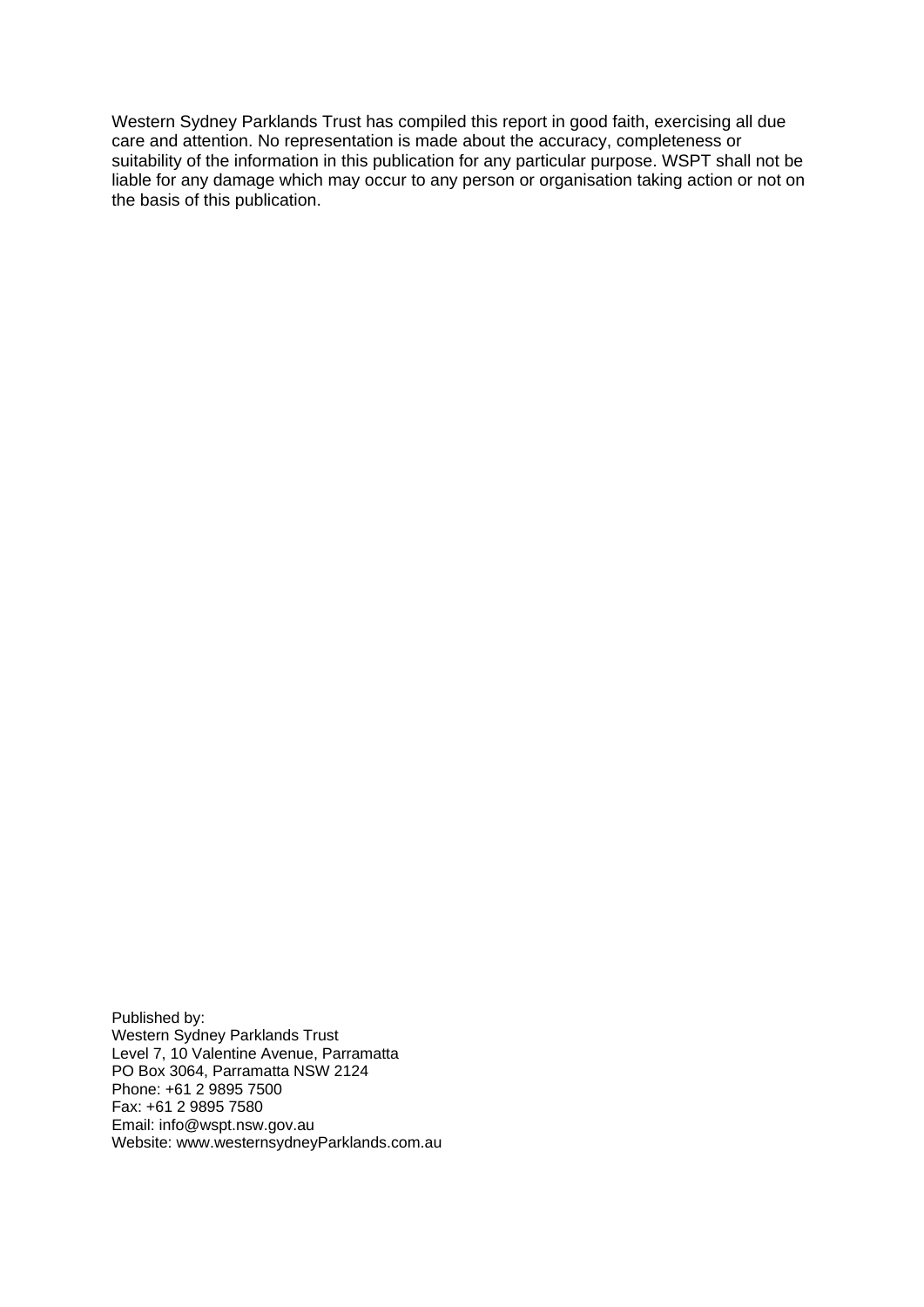Western Sydney Parklands Trust has compiled this report in good faith, exercising all due care and attention. No representation is made about the accuracy, completeness or suitability of the information in this publication for any particular purpose. WSPT shall not be liable for any damage which may occur to any person or organisation taking action or not on the basis of this publication.

Published by: Western Sydney Parklands Trust Level 7, 10 Valentine Avenue, Parramatta PO Box 3064, Parramatta NSW 2124 Phone: +61 2 9895 7500 Fax: +61 2 9895 7580 Email: info@wspt.nsw.gov.au Website: www.westernsydneyParklands.com.au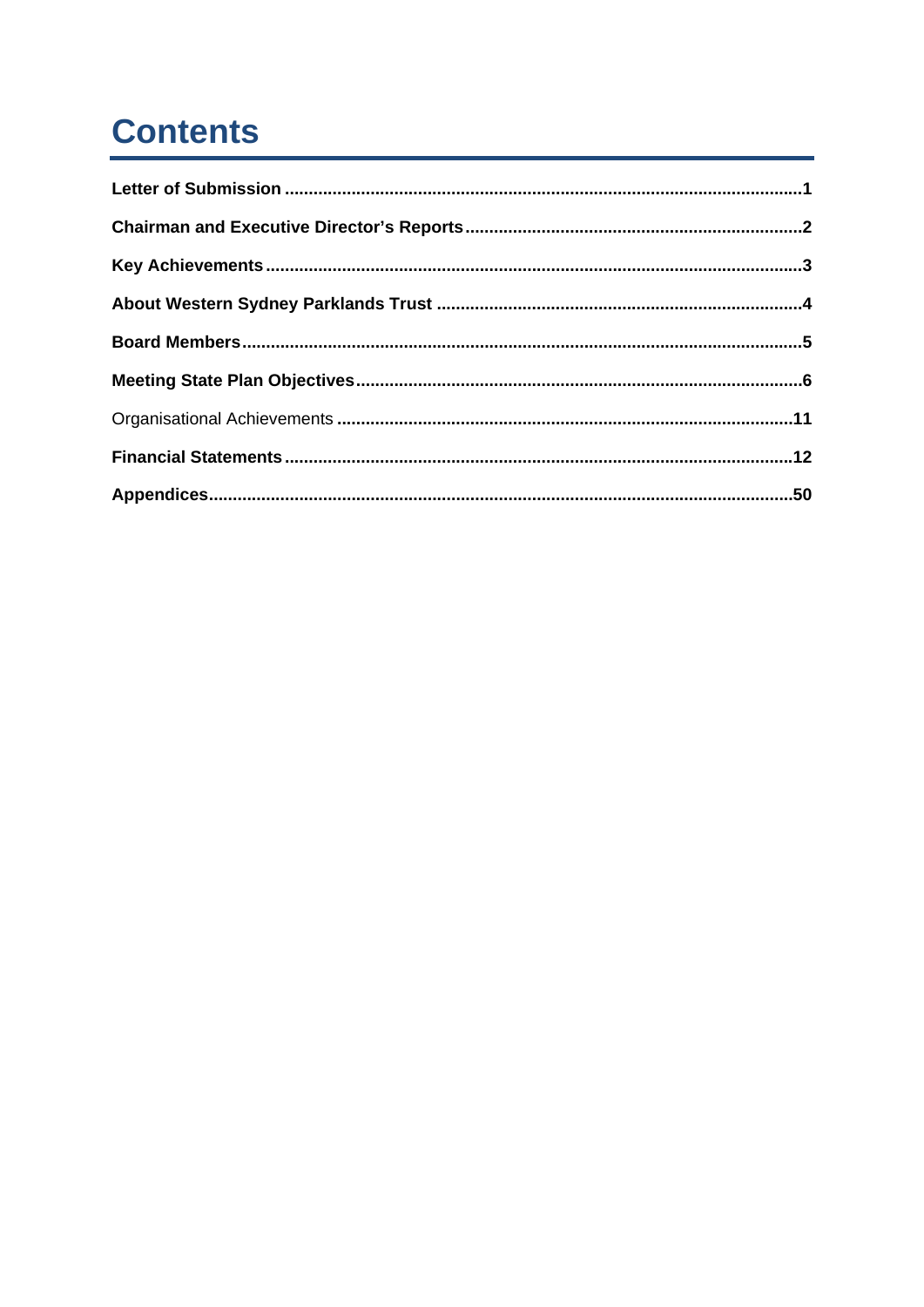## **Contents**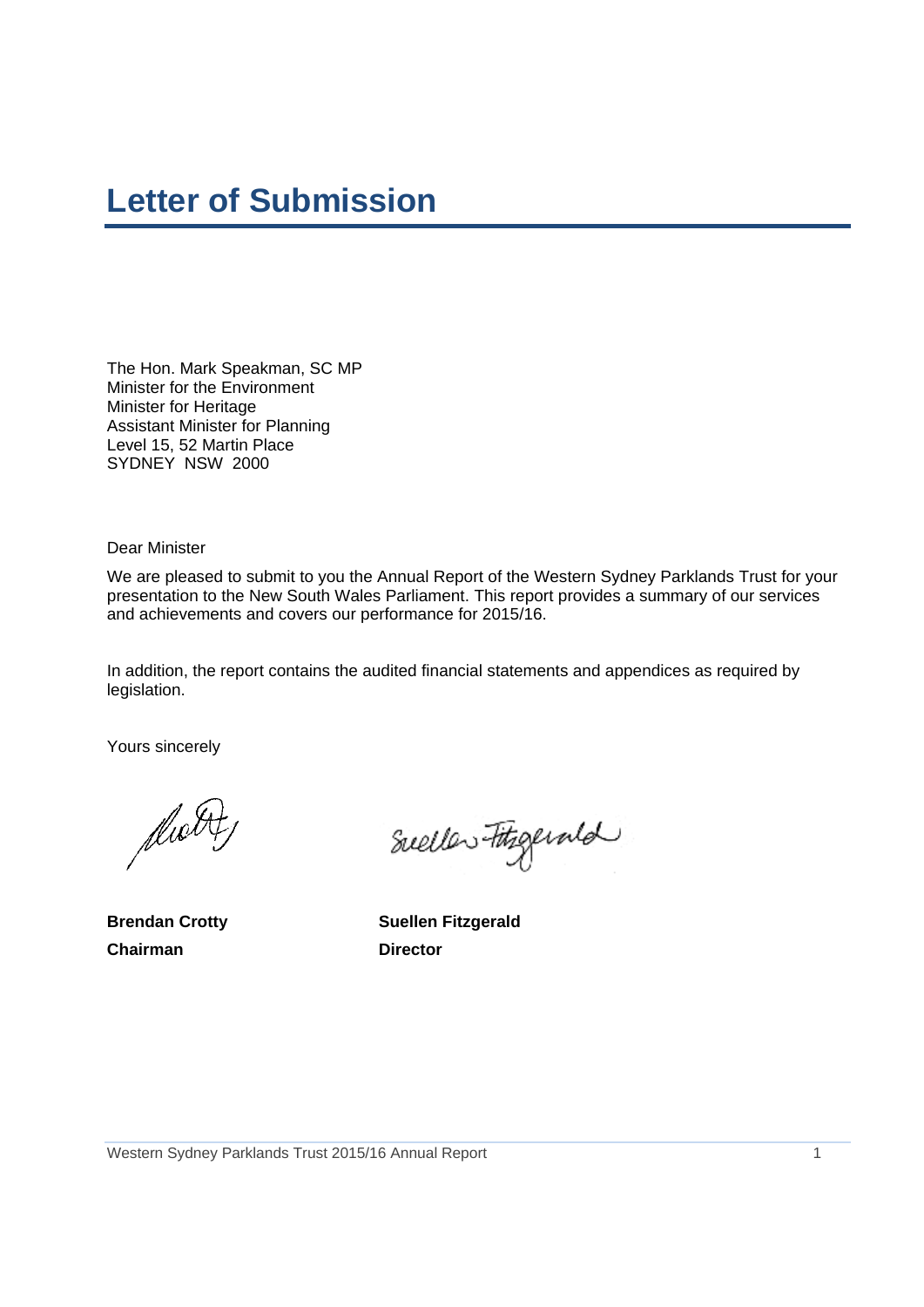## **Letter of Submission**

The Hon. Mark Speakman, SC MP Minister for the Environment Minister for Heritage Assistant Minister for Planning Level 15, 52 Martin Place SYDNEY NSW 2000

Dear Minister

We are pleased to submit to you the Annual Report of the Western Sydney Parklands Trust for your presentation to the New South Wales Parliament. This report provides a summary of our services and achievements and covers our performance for 2015/16.

In addition, the report contains the audited financial statements and appendices as required by legislation.

Yours sincerely

dwitt

**Chairman** Director

Sueller Fitzgerald

**Brendan Crotty Suellen Fitzgerald**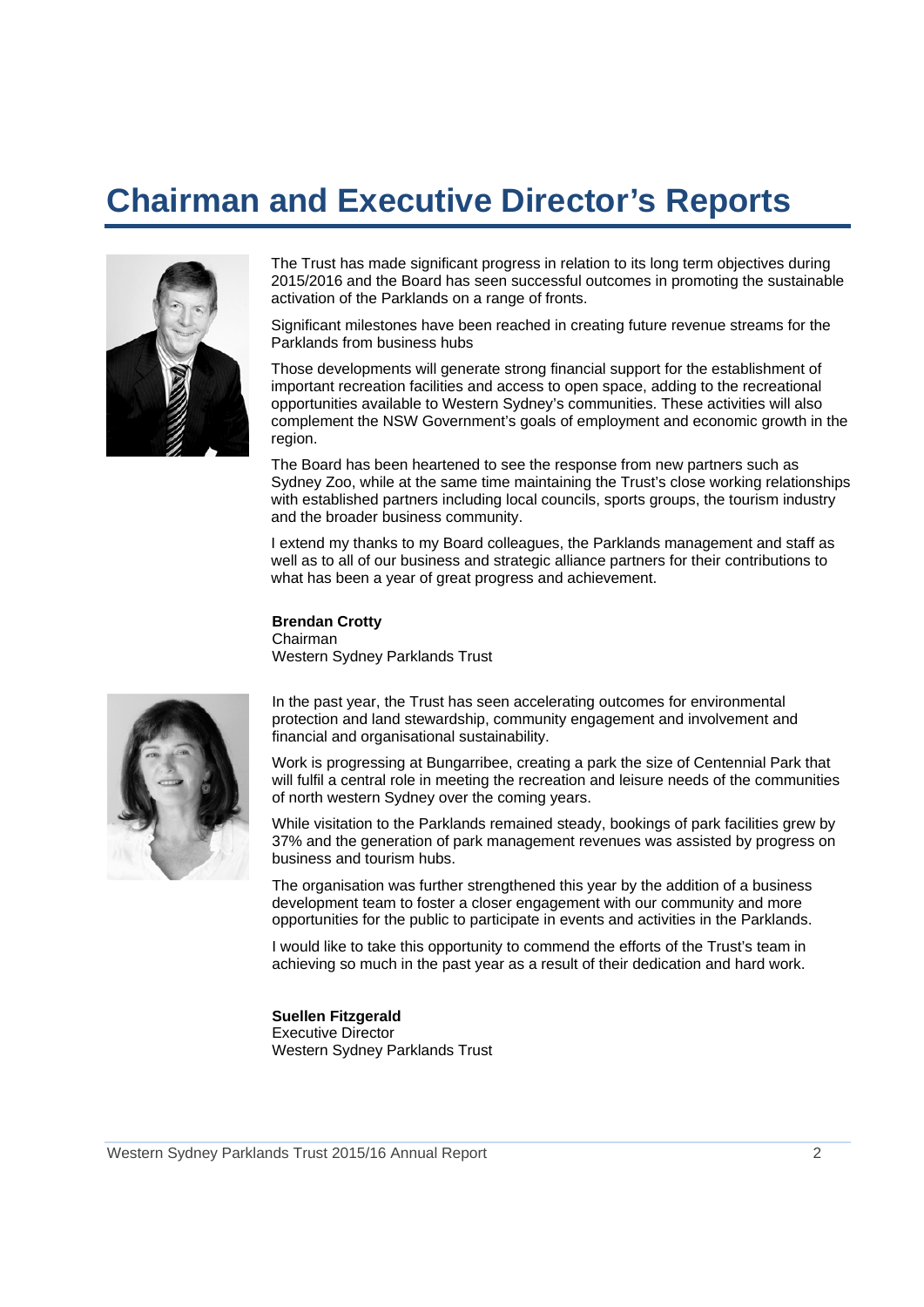## **Chairman and Executive Director's Reports**



The Trust has made significant progress in relation to its long term objectives during 2015/2016 and the Board has seen successful outcomes in promoting the sustainable activation of the Parklands on a range of fronts.

Significant milestones have been reached in creating future revenue streams for the Parklands from business hubs

Those developments will generate strong financial support for the establishment of important recreation facilities and access to open space, adding to the recreational opportunities available to Western Sydney's communities. These activities will also complement the NSW Government's goals of employment and economic growth in the region.

The Board has been heartened to see the response from new partners such as Sydney Zoo, while at the same time maintaining the Trust's close working relationships with established partners including local councils, sports groups, the tourism industry and the broader business community.

I extend my thanks to my Board colleagues, the Parklands management and staff as well as to all of our business and strategic alliance partners for their contributions to what has been a year of great progress and achievement.

**Brendan Crotty**  Chairman Western Sydney Parklands Trust



In the past year, the Trust has seen accelerating outcomes for environmental protection and land stewardship, community engagement and involvement and financial and organisational sustainability.

Work is progressing at Bungarribee, creating a park the size of Centennial Park that will fulfil a central role in meeting the recreation and leisure needs of the communities of north western Sydney over the coming years.

While visitation to the Parklands remained steady, bookings of park facilities grew by 37% and the generation of park management revenues was assisted by progress on business and tourism hubs.

The organisation was further strengthened this year by the addition of a business development team to foster a closer engagement with our community and more opportunities for the public to participate in events and activities in the Parklands.

I would like to take this opportunity to commend the efforts of the Trust's team in achieving so much in the past year as a result of their dedication and hard work.

**Suellen Fitzgerald**  Executive Director Western Sydney Parklands Trust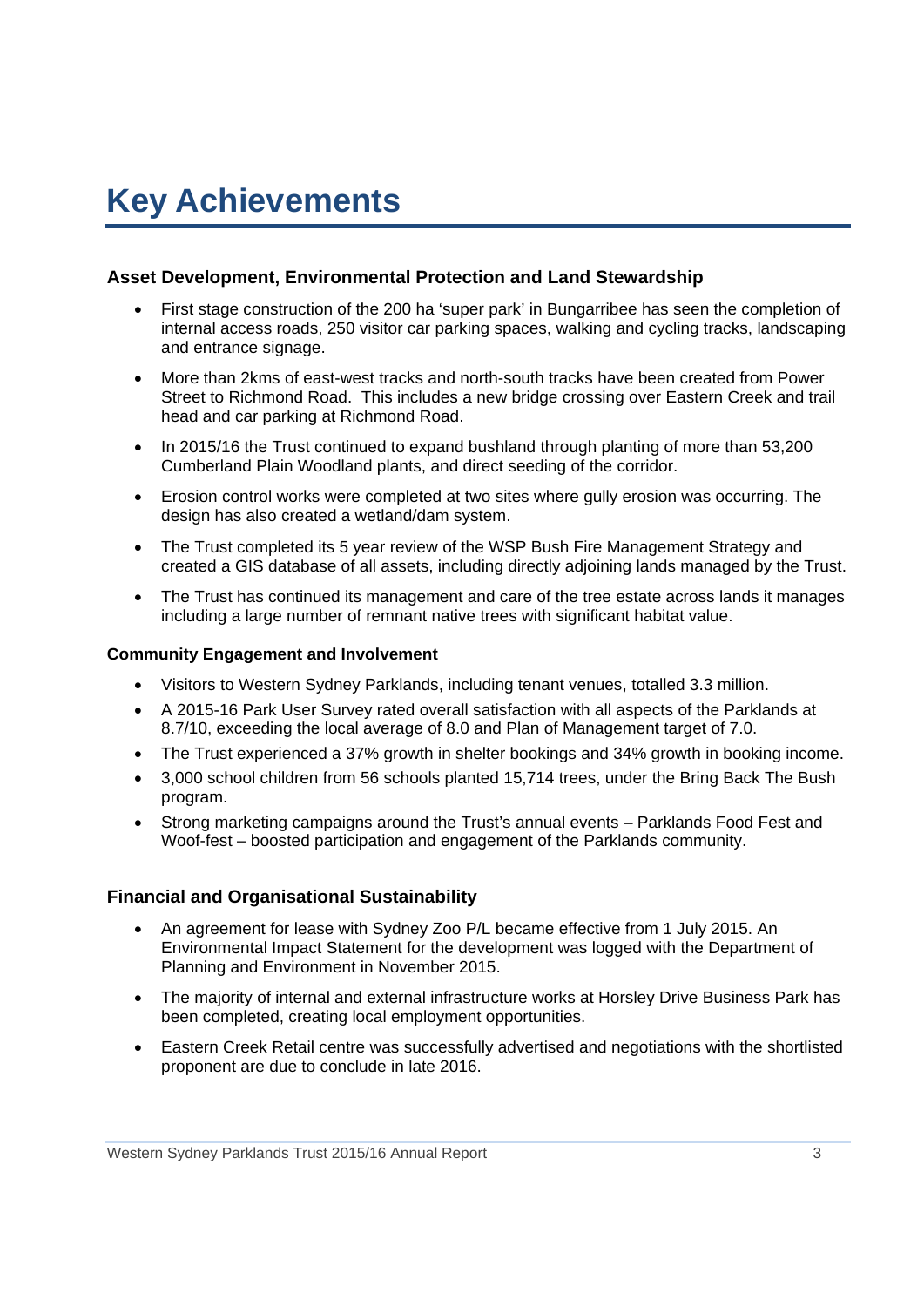## **Key Achievements**

#### **Asset Development, Environmental Protection and Land Stewardship**

- First stage construction of the 200 ha 'super park' in Bungarribee has seen the completion of internal access roads, 250 visitor car parking spaces, walking and cycling tracks, landscaping and entrance signage.
- More than 2kms of east-west tracks and north-south tracks have been created from Power Street to Richmond Road. This includes a new bridge crossing over Eastern Creek and trail head and car parking at Richmond Road.
- In 2015/16 the Trust continued to expand bushland through planting of more than 53,200 Cumberland Plain Woodland plants, and direct seeding of the corridor.
- Erosion control works were completed at two sites where gully erosion was occurring. The design has also created a wetland/dam system.
- The Trust completed its 5 year review of the WSP Bush Fire Management Strategy and created a GIS database of all assets, including directly adjoining lands managed by the Trust.
- The Trust has continued its management and care of the tree estate across lands it manages including a large number of remnant native trees with significant habitat value.

#### **Community Engagement and Involvement**

- Visitors to Western Sydney Parklands, including tenant venues, totalled 3.3 million.
- A 2015-16 Park User Survey rated overall satisfaction with all aspects of the Parklands at 8.7/10, exceeding the local average of 8.0 and Plan of Management target of 7.0.
- The Trust experienced a 37% growth in shelter bookings and 34% growth in booking income.
- 3,000 school children from 56 schools planted 15,714 trees, under the Bring Back The Bush program.
- Strong marketing campaigns around the Trust's annual events Parklands Food Fest and Woof-fest – boosted participation and engagement of the Parklands community.

#### **Financial and Organisational Sustainability**

- An agreement for lease with Sydney Zoo P/L became effective from 1 July 2015. An Environmental Impact Statement for the development was logged with the Department of Planning and Environment in November 2015.
- The majority of internal and external infrastructure works at Horsley Drive Business Park has been completed, creating local employment opportunities.
- Eastern Creek Retail centre was successfully advertised and negotiations with the shortlisted proponent are due to conclude in late 2016.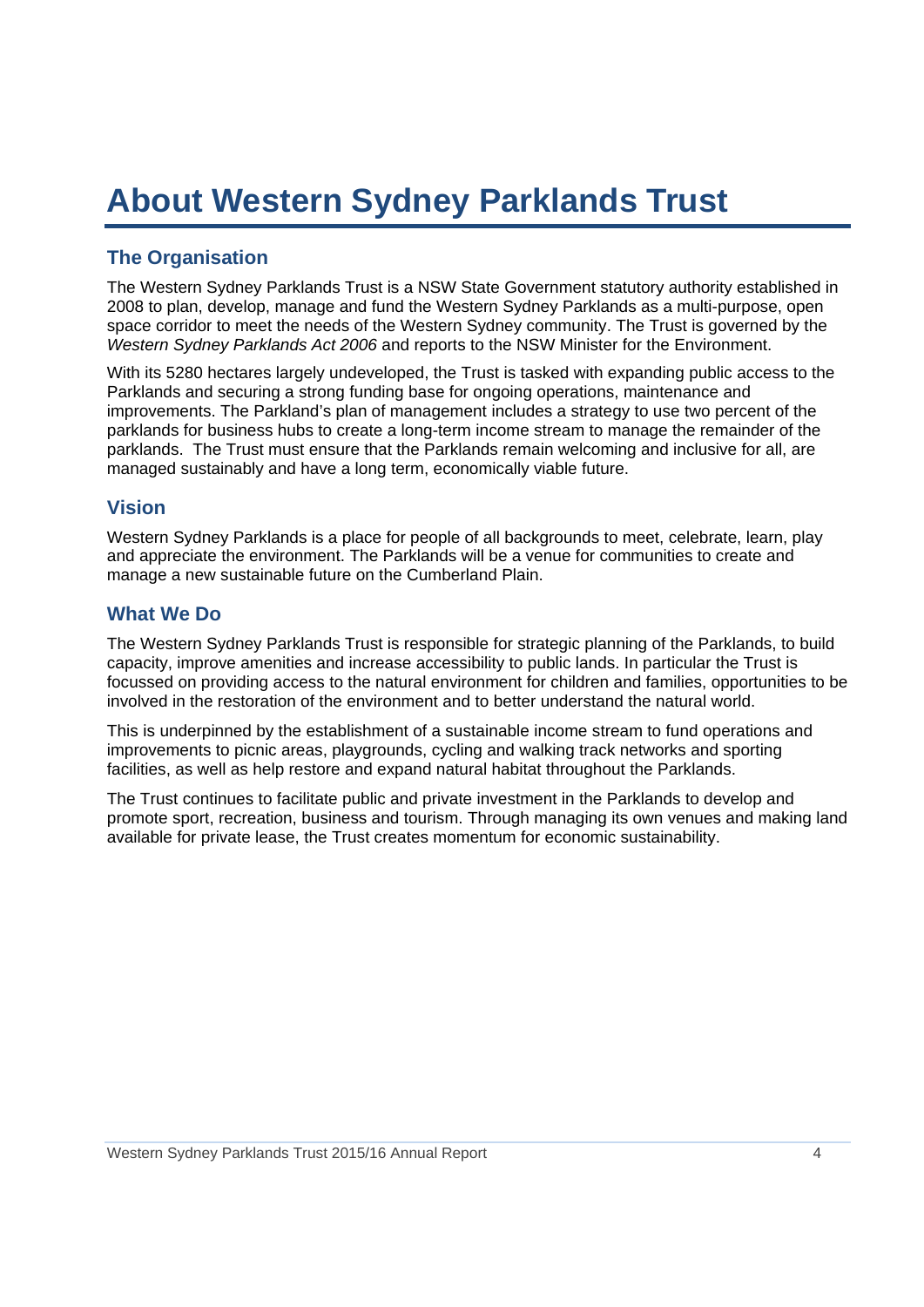## **About Western Sydney Parklands Trust**

## **The Organisation**

The Western Sydney Parklands Trust is a NSW State Government statutory authority established in 2008 to plan, develop, manage and fund the Western Sydney Parklands as a multi-purpose, open space corridor to meet the needs of the Western Sydney community. The Trust is governed by the *Western Sydney Parklands Act 2006* and reports to the NSW Minister for the Environment.

With its 5280 hectares largely undeveloped, the Trust is tasked with expanding public access to the Parklands and securing a strong funding base for ongoing operations, maintenance and improvements. The Parkland's plan of management includes a strategy to use two percent of the parklands for business hubs to create a long-term income stream to manage the remainder of the parklands. The Trust must ensure that the Parklands remain welcoming and inclusive for all, are managed sustainably and have a long term, economically viable future.

### **Vision**

Western Sydney Parklands is a place for people of all backgrounds to meet, celebrate, learn, play and appreciate the environment. The Parklands will be a venue for communities to create and manage a new sustainable future on the Cumberland Plain.

### **What We Do**

The Western Sydney Parklands Trust is responsible for strategic planning of the Parklands, to build capacity, improve amenities and increase accessibility to public lands. In particular the Trust is focussed on providing access to the natural environment for children and families, opportunities to be involved in the restoration of the environment and to better understand the natural world.

This is underpinned by the establishment of a sustainable income stream to fund operations and improvements to picnic areas, playgrounds, cycling and walking track networks and sporting facilities, as well as help restore and expand natural habitat throughout the Parklands.

The Trust continues to facilitate public and private investment in the Parklands to develop and promote sport, recreation, business and tourism. Through managing its own venues and making land available for private lease, the Trust creates momentum for economic sustainability.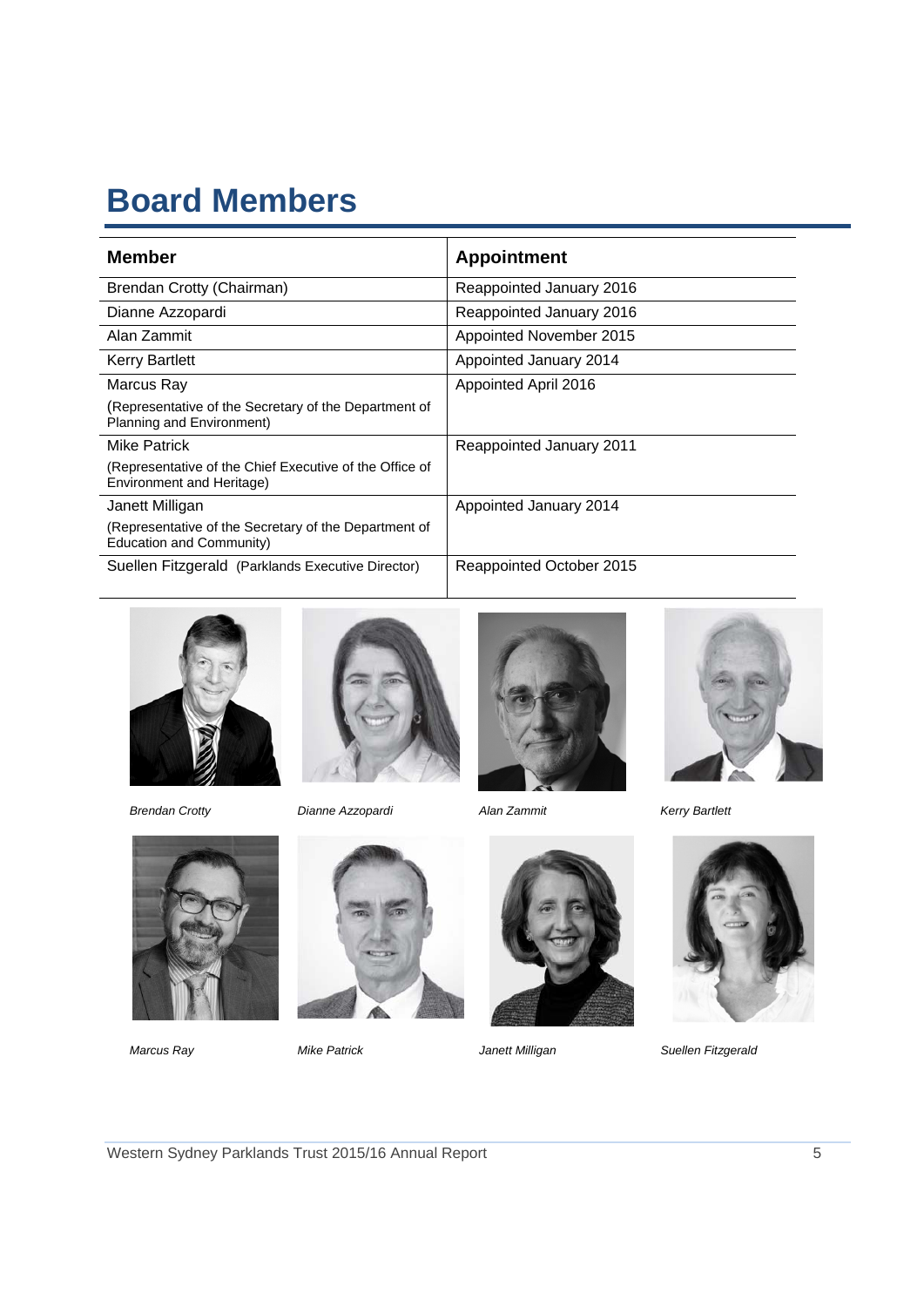## **Board Members**

| <b>Member</b>                                                                        | <b>Appointment</b>       |
|--------------------------------------------------------------------------------------|--------------------------|
| Brendan Crotty (Chairman)                                                            | Reappointed January 2016 |
| Dianne Azzopardi                                                                     | Reappointed January 2016 |
| Alan Zammit                                                                          | Appointed November 2015  |
| <b>Kerry Bartlett</b>                                                                | Appointed January 2014   |
| Marcus Ray                                                                           | Appointed April 2016     |
| (Representative of the Secretary of the Department of<br>Planning and Environment)   |                          |
| <b>Mike Patrick</b>                                                                  | Reappointed January 2011 |
| (Representative of the Chief Executive of the Office of<br>Environment and Heritage) |                          |
| Janett Milligan                                                                      | Appointed January 2014   |
| (Representative of the Secretary of the Department of<br>Education and Community)    |                          |
| Suellen Fitzgerald (Parklands Executive Director)                                    | Reappointed October 2015 |







*Brendan Crotty Dianne Azzopardi Alan Zammit Kerry Bartlett* 











*Marcus Ray Mike Patrick Janett Milligan Suellen Fitzgerald*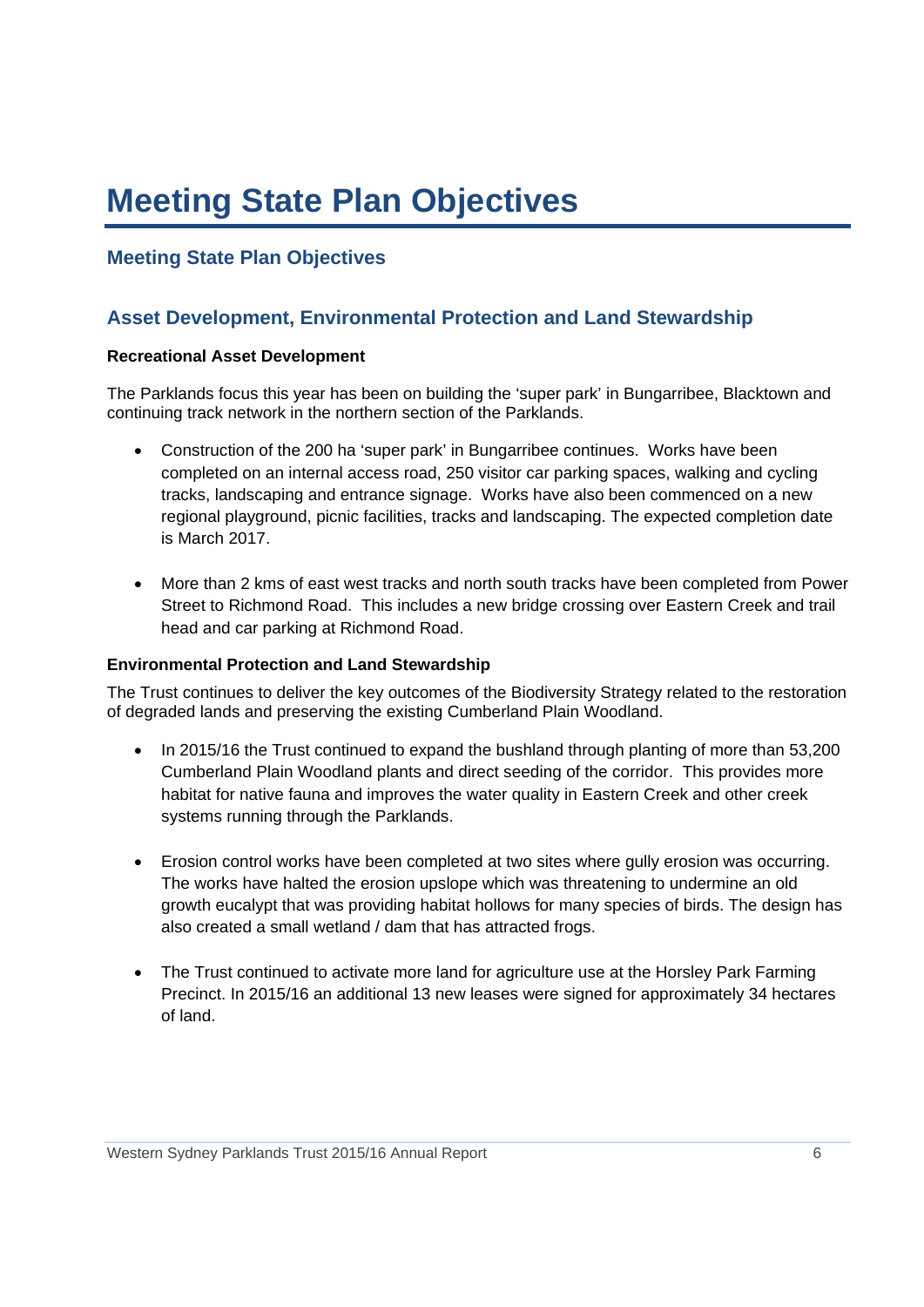## **Meeting State Plan Objectives**

## **Meeting State Plan Objectives**

## **Asset Development, Environmental Protection and Land Stewardship**

#### **Recreational Asset Development**

The Parklands focus this year has been on building the 'super park' in Bungarribee, Blacktown and continuing track network in the northern section of the Parklands.

- Construction of the 200 ha 'super park' in Bungarribee continues. Works have been completed on an internal access road, 250 visitor car parking spaces, walking and cycling tracks, landscaping and entrance signage. Works have also been commenced on a new regional playground, picnic facilities, tracks and landscaping. The expected completion date is March 2017.
- More than 2 kms of east west tracks and north south tracks have been completed from Power Street to Richmond Road. This includes a new bridge crossing over Eastern Creek and trail head and car parking at Richmond Road.

#### **Environmental Protection and Land Stewardship**

The Trust continues to deliver the key outcomes of the Biodiversity Strategy related to the restoration of degraded lands and preserving the existing Cumberland Plain Woodland.

- In 2015/16 the Trust continued to expand the bushland through planting of more than 53,200 Cumberland Plain Woodland plants and direct seeding of the corridor. This provides more habitat for native fauna and improves the water quality in Eastern Creek and other creek systems running through the Parklands.
- Erosion control works have been completed at two sites where gully erosion was occurring. The works have halted the erosion upslope which was threatening to undermine an old growth eucalypt that was providing habitat hollows for many species of birds. The design has also created a small wetland / dam that has attracted frogs.
- The Trust continued to activate more land for agriculture use at the Horsley Park Farming Precinct. In 2015/16 an additional 13 new leases were signed for approximately 34 hectares of land.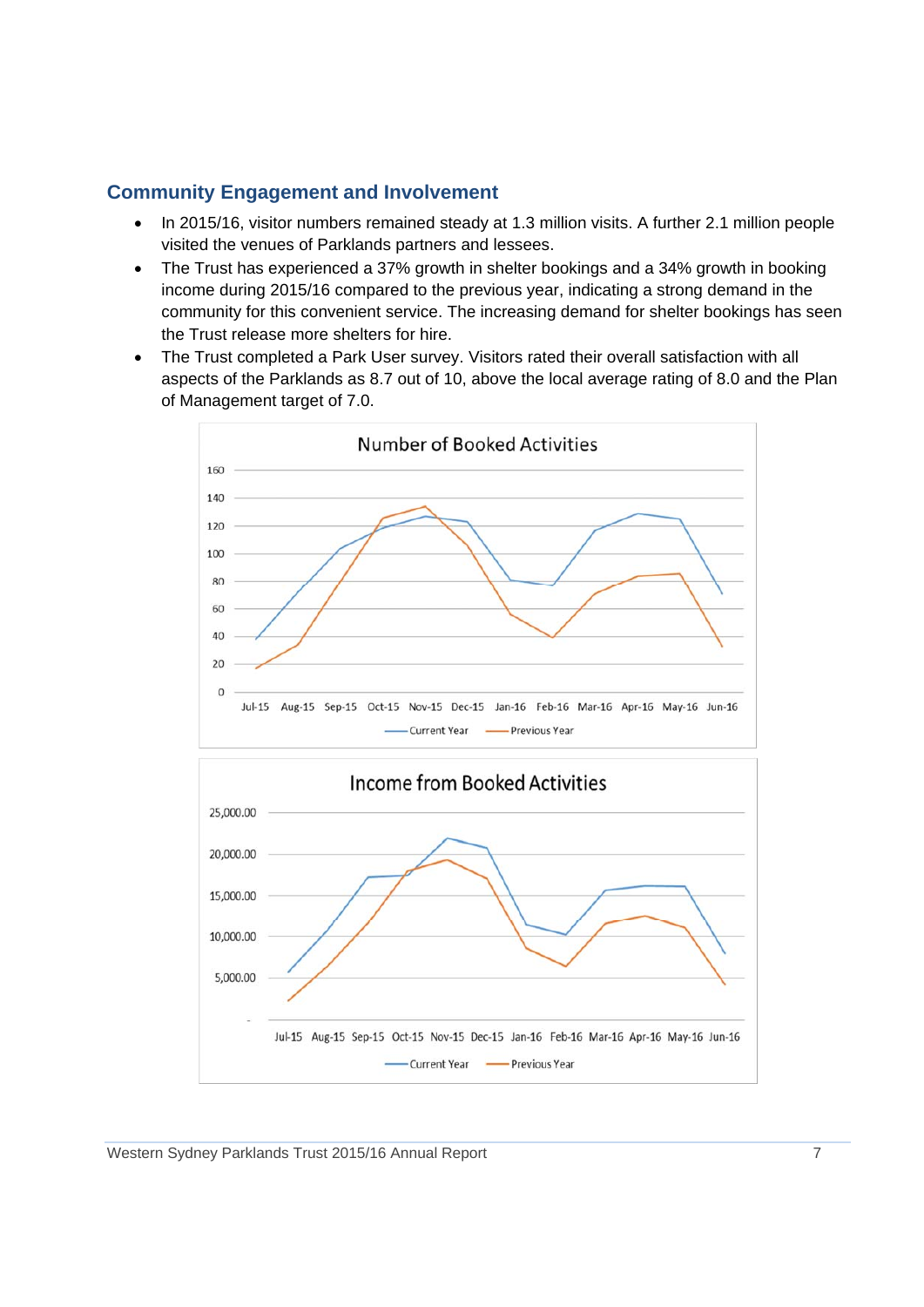## **Community Engagement and Involvement**

- In 2015/16, visitor numbers remained steady at 1.3 million visits. A further 2.1 million people visited the venues of Parklands partners and lessees.
- The Trust has experienced a 37% growth in shelter bookings and a 34% growth in booking income during 2015/16 compared to the previous year, indicating a strong demand in the community for this convenient service. The increasing demand for shelter bookings has seen the Trust release more shelters for hire.
- The Trust completed a Park User survey. Visitors rated their overall satisfaction with all aspects of the Parklands as 8.7 out of 10, above the local average rating of 8.0 and the Plan of Management target of 7.0.

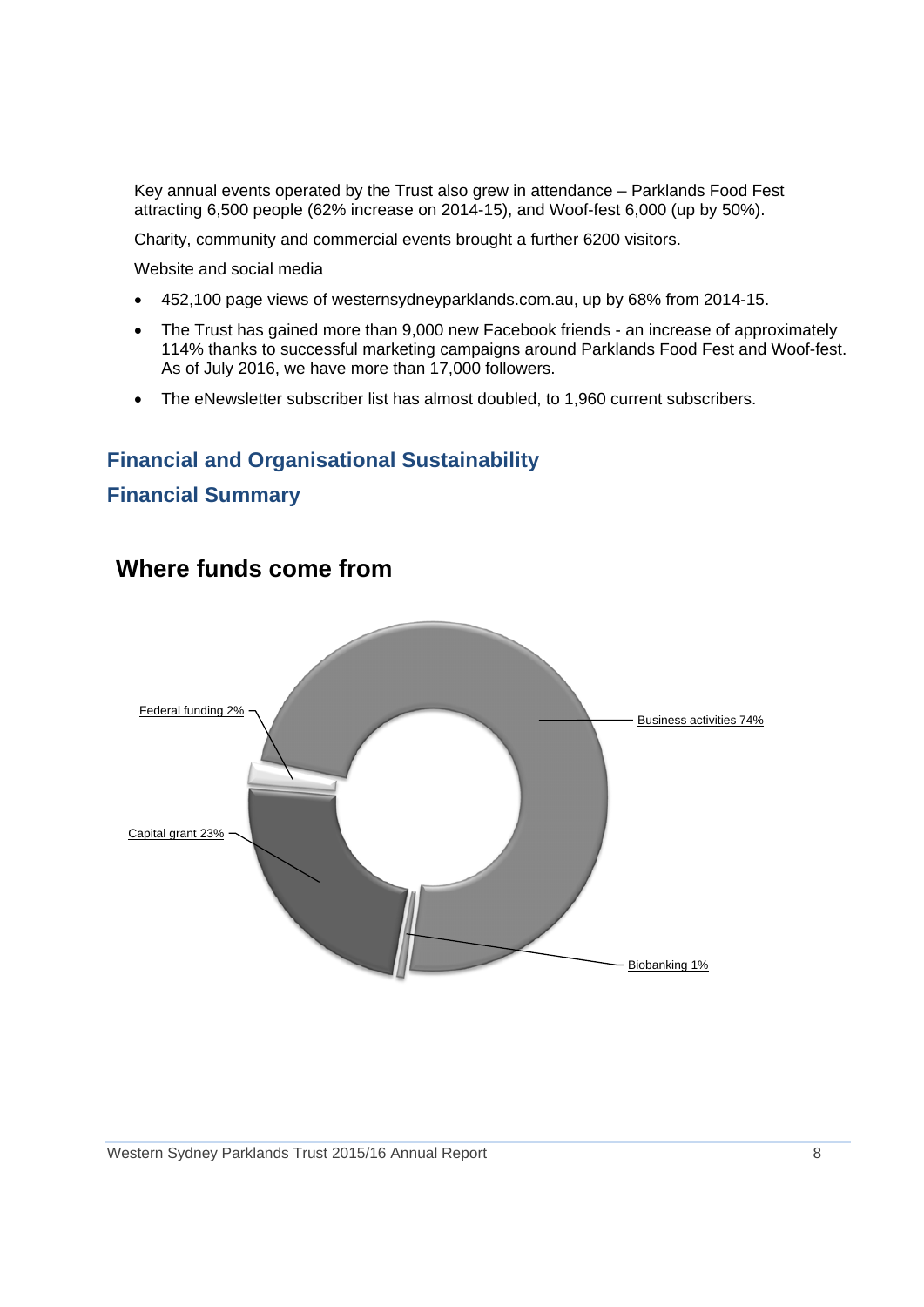Key annual events operated by the Trust also grew in attendance – Parklands Food Fest attracting 6,500 people (62% increase on 2014-15), and Woof-fest 6,000 (up by 50%).

Charity, community and commercial events brought a further 6200 visitors.

Website and social media

- 452,100 page views of westernsydneyparklands.com.au, up by 68% from 2014-15.
- The Trust has gained more than 9,000 new Facebook friends an increase of approximately 114% thanks to successful marketing campaigns around Parklands Food Fest and Woof-fest. As of July 2016, we have more than 17,000 followers.
- The eNewsletter subscriber list has almost doubled, to 1,960 current subscribers.

## **Financial and Organisational Sustainability**

## **Financial Summary**



## **Where funds come from**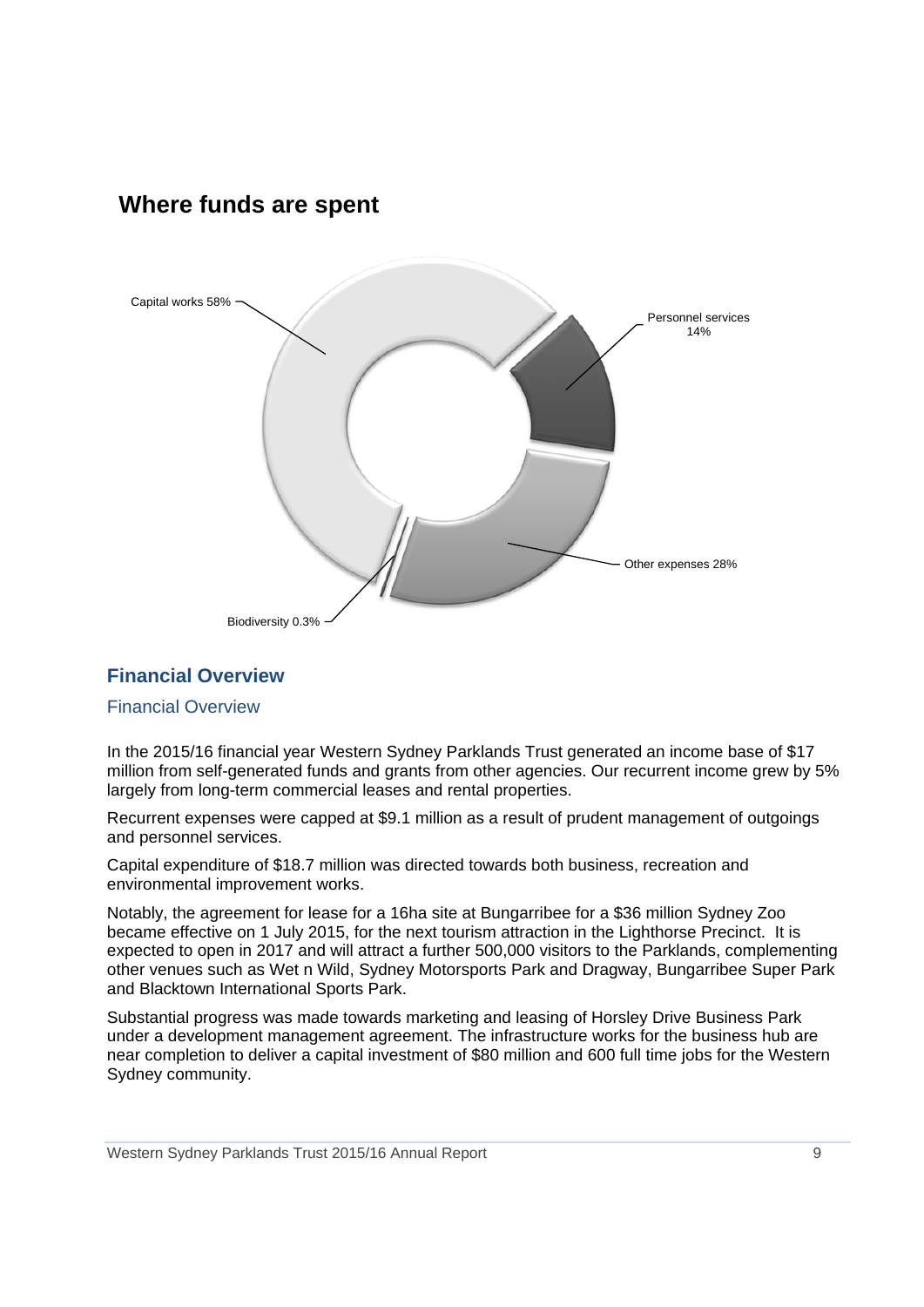## **Where funds are spent**



## **Financial Overview**

#### Financial Overview

In the 2015/16 financial year Western Sydney Parklands Trust generated an income base of \$17 million from self-generated funds and grants from other agencies. Our recurrent income grew by 5% largely from long-term commercial leases and rental properties.

Recurrent expenses were capped at \$9.1 million as a result of prudent management of outgoings and personnel services.

Capital expenditure of \$18.7 million was directed towards both business, recreation and environmental improvement works.

Notably, the agreement for lease for a 16ha site at Bungarribee for a \$36 million Sydney Zoo became effective on 1 July 2015, for the next tourism attraction in the Lighthorse Precinct. It is expected to open in 2017 and will attract a further 500,000 visitors to the Parklands, complementing other venues such as Wet n Wild, Sydney Motorsports Park and Dragway, Bungarribee Super Park and Blacktown International Sports Park.

Substantial progress was made towards marketing and leasing of Horsley Drive Business Park under a development management agreement. The infrastructure works for the business hub are near completion to deliver a capital investment of \$80 million and 600 full time jobs for the Western Sydney community.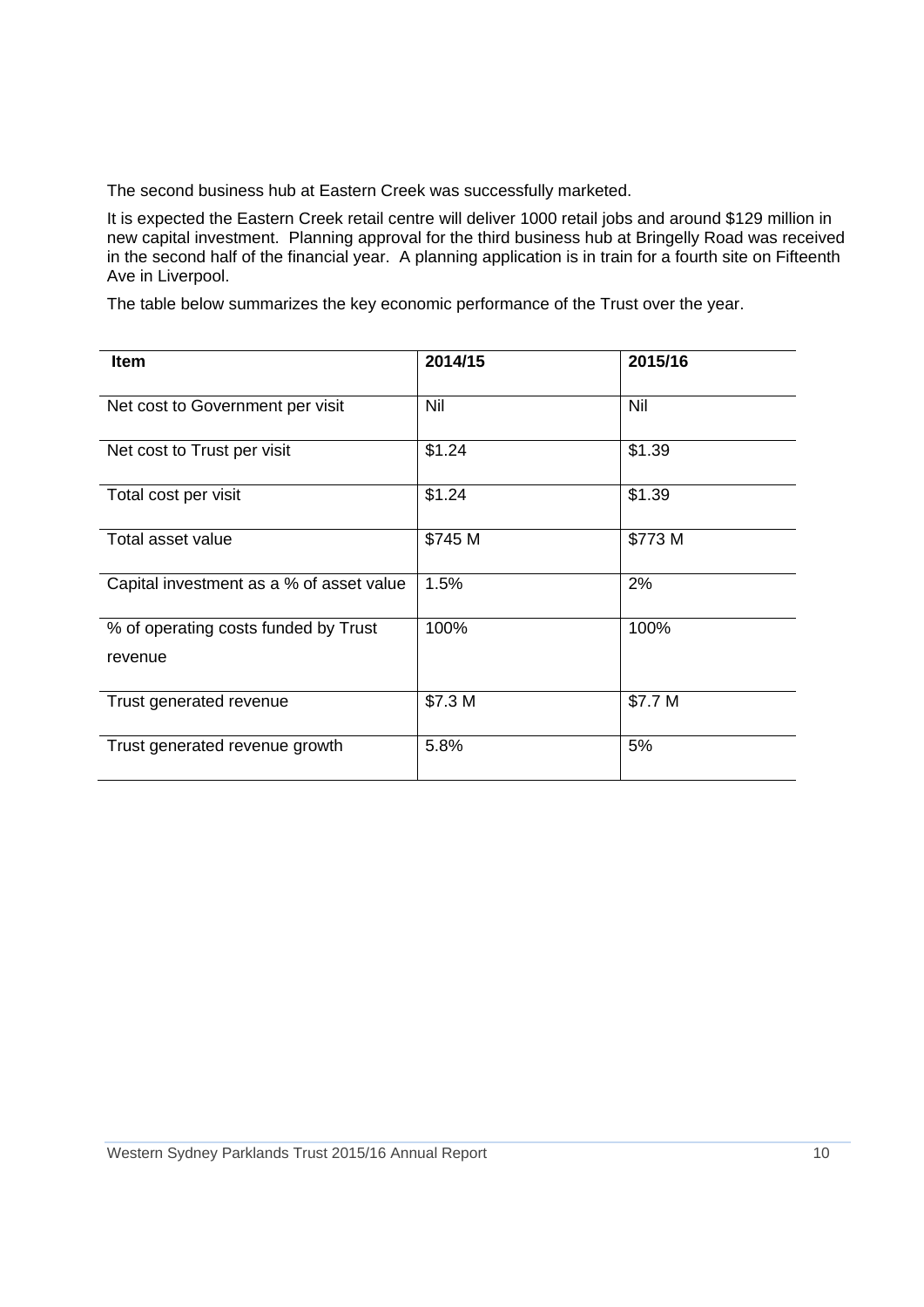The second business hub at Eastern Creek was successfully marketed.

It is expected the Eastern Creek retail centre will deliver 1000 retail jobs and around \$129 million in new capital investment. Planning approval for the third business hub at Bringelly Road was received in the second half of the financial year. A planning application is in train for a fourth site on Fifteenth Ave in Liverpool.

The table below summarizes the key economic performance of the Trust over the year.

| <b>Item</b>                              | 2014/15 | 2015/16 |
|------------------------------------------|---------|---------|
| Net cost to Government per visit         | Nil     | Nil     |
| Net cost to Trust per visit              | \$1.24  | \$1.39  |
| Total cost per visit                     | \$1.24  | \$1.39  |
| Total asset value                        | \$745 M | \$773 M |
| Capital investment as a % of asset value | 1.5%    | 2%      |
| % of operating costs funded by Trust     | 100%    | 100%    |
| revenue                                  |         |         |
| Trust generated revenue                  | \$7.3 M | \$7.7 M |
| Trust generated revenue growth           | 5.8%    | 5%      |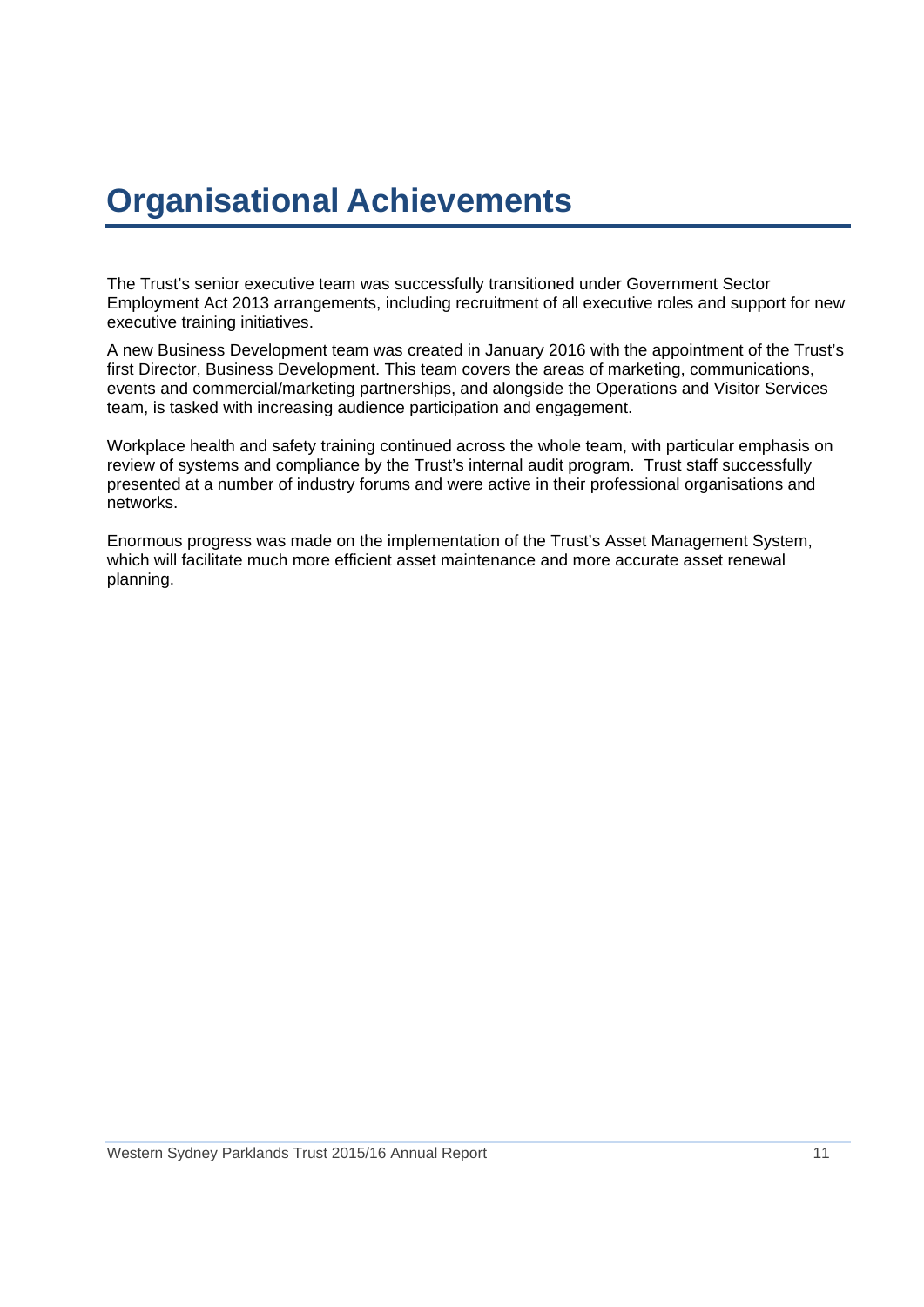## **Organisational Achievements**

The Trust's senior executive team was successfully transitioned under Government Sector Employment Act 2013 arrangements, including recruitment of all executive roles and support for new executive training initiatives.

A new Business Development team was created in January 2016 with the appointment of the Trust's first Director, Business Development. This team covers the areas of marketing, communications, events and commercial/marketing partnerships, and alongside the Operations and Visitor Services team, is tasked with increasing audience participation and engagement.

Workplace health and safety training continued across the whole team, with particular emphasis on review of systems and compliance by the Trust's internal audit program. Trust staff successfully presented at a number of industry forums and were active in their professional organisations and networks.

Enormous progress was made on the implementation of the Trust's Asset Management System, which will facilitate much more efficient asset maintenance and more accurate asset renewal planning.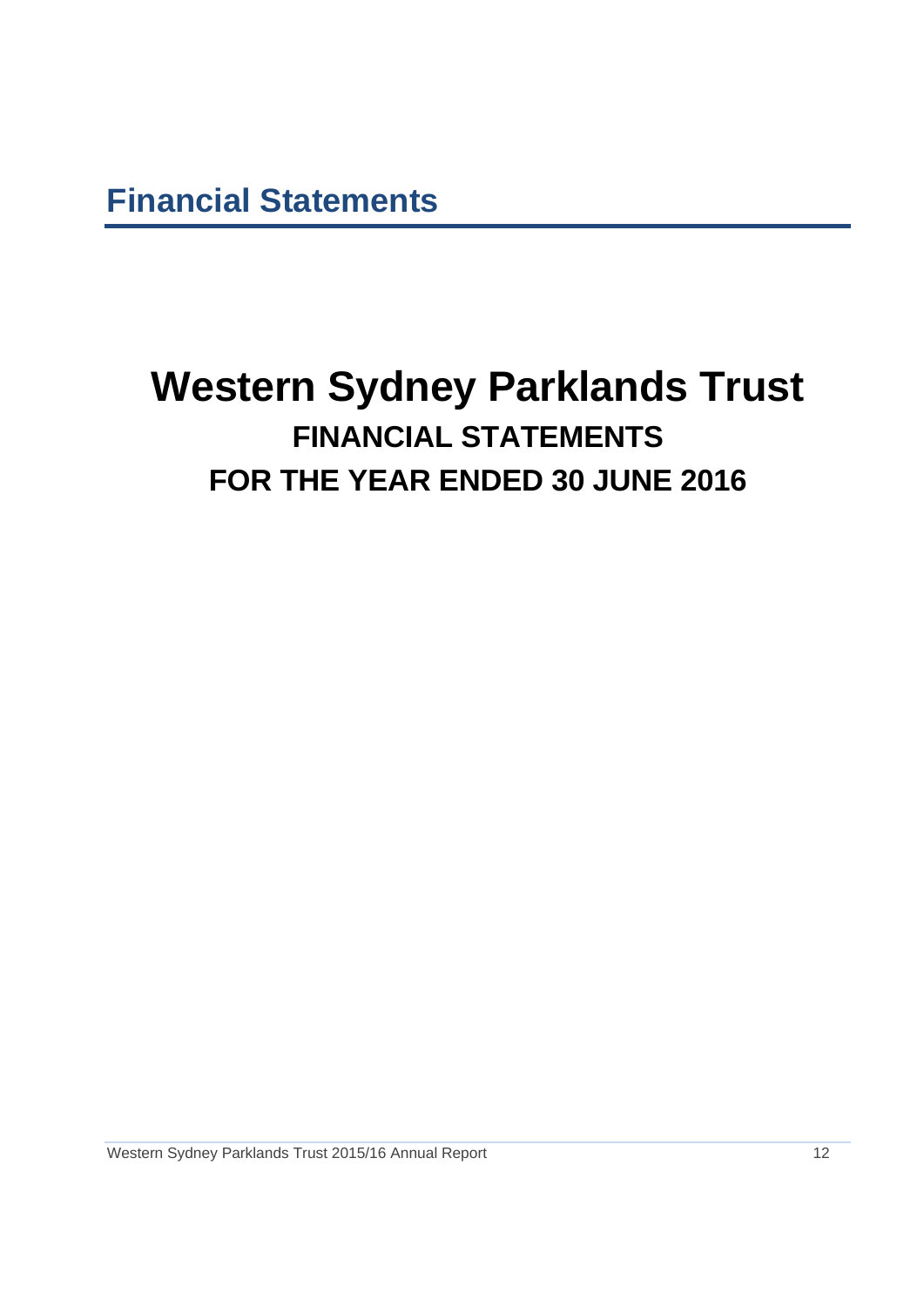**Financial Statements** 

## **Western Sydney Parklands Trust FINANCIAL STATEMENTS FOR THE YEAR ENDED 30 JUNE 2016**

Western Sydney Parklands Trust 2015/16 Annual Report 12 12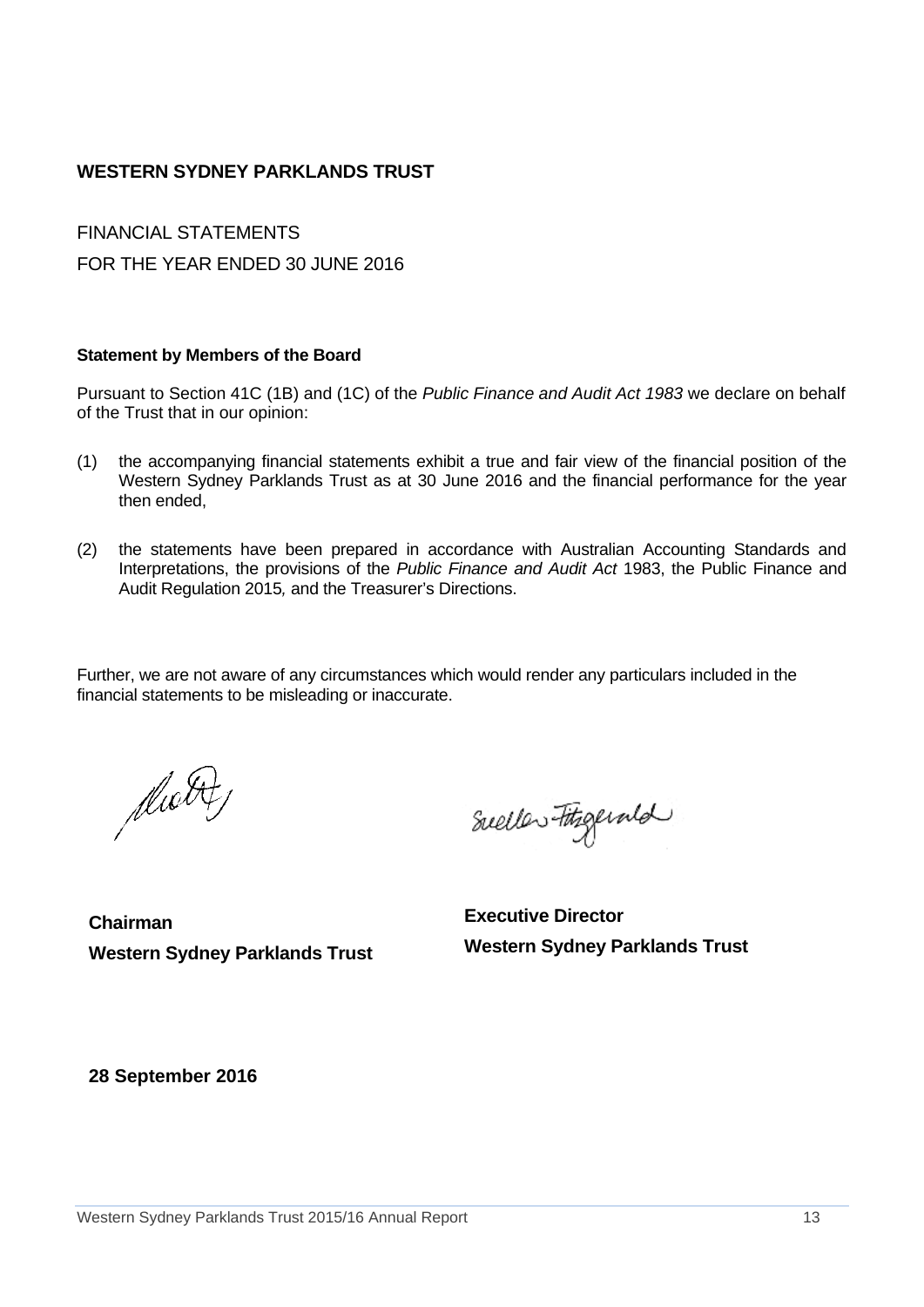## **WESTERN SYDNEY PARKLANDS TRUST**

FINANCIAL STATEMENTS FOR THE YEAR ENDED 30 JUNE 2016

#### **Statement by Members of the Board**

Pursuant to Section 41C (1B) and (1C) of the *Public Finance and Audit Act 1983* we declare on behalf of the Trust that in our opinion:

- (1) the accompanying financial statements exhibit a true and fair view of the financial position of the Western Sydney Parklands Trust as at 30 June 2016 and the financial performance for the year then ended,
- (2) the statements have been prepared in accordance with Australian Accounting Standards and Interpretations, the provisions of the *Public Finance and Audit Act* 1983, the Public Finance and Audit Regulation 2015*,* and the Treasurer's Directions.

Further, we are not aware of any circumstances which would render any particulars included in the financial statements to be misleading or inaccurate.

diabit

Sueller Fitzgerald

**Chairman Western Sydney Parklands Trust** 

**Executive Director Western Sydney Parklands Trust**

**28 September 2016**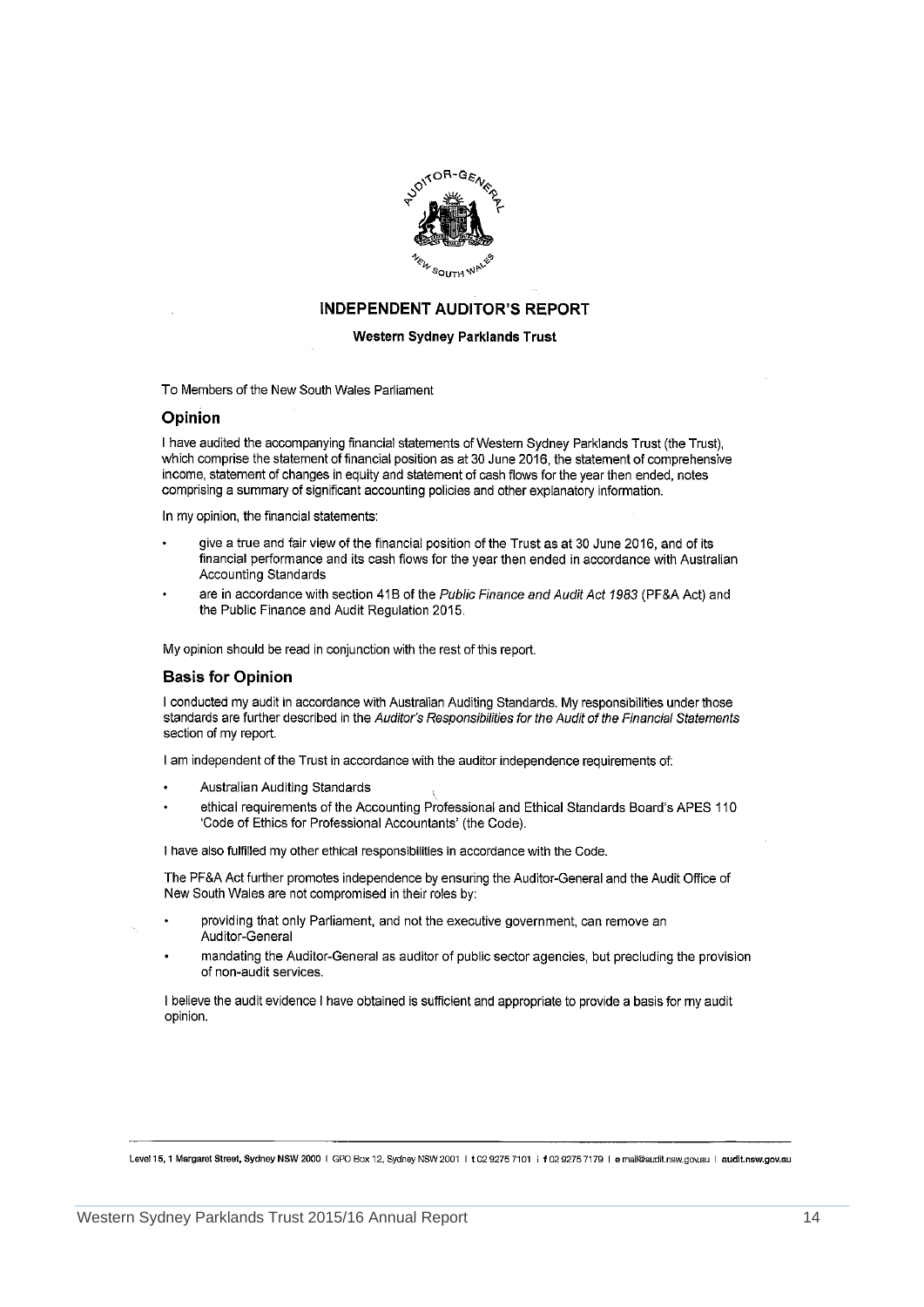

#### **INDEPENDENT AUDITOR'S REPORT**

#### **Western Sydney Parklands Trust**

To Members of the New South Wales Parliament

#### Opinion

I have audited the accompanying financial statements of Western Sydney Parklands Trust (the Trust), which comprise the statement of financial position as at 30 June 2016, the statement of comprehensive income, statement of changes in equity and statement of cash flows for the year then ended, notes comprising a summary of significant accounting policies and other explanatory information.

In my opinion, the financial statements:

- give a true and fair view of the financial position of the Trust as at 30 June 2016, and of its financial performance and its cash flows for the year then ended in accordance with Australian Accounting Standards
- are in accordance with section 41B of the Public Finance and Audit Act 1983 (PF&A Act) and the Public Finance and Audit Regulation 2015.

My opinion should be read in conjunction with the rest of this report.

#### **Basis for Opinion**

I conducted my audit in accordance with Australian Auditing Standards. My responsibilities under those standards are further described in the Auditor's Responsibilities for the Audit of the Financial Statements section of my report.

I am independent of the Trust in accordance with the auditor independence requirements of:

- Australian Auditing Standards
- ethical requirements of the Accounting Professional and Ethical Standards Board's APES 110 'Code of Ethics for Professional Accountants' (the Code).

I have also fulfilled my other ethical responsibilities in accordance with the Code.

The PF&A Act further promotes independence by ensuring the Auditor-General and the Audit Office of New South Wales are not compromised in their roles by:

- providing that only Parliament, and not the executive government, can remove an Auditor-General
- mandating the Auditor-General as auditor of public sector agencies, but precluding the provision of non-audit services.

I believe the audit evidence I have obtained is sufficient and appropriate to provide a basis for my audit opinion.

Level 15, 1 Margaret Street, Sydney NSW 2000 | GPO Box 12, Sydney NSW 2001 | t 02 9275 7101 | f 02 9275 7179 | e mall@audit.nsw.gov.au | audit.nsw.gov.au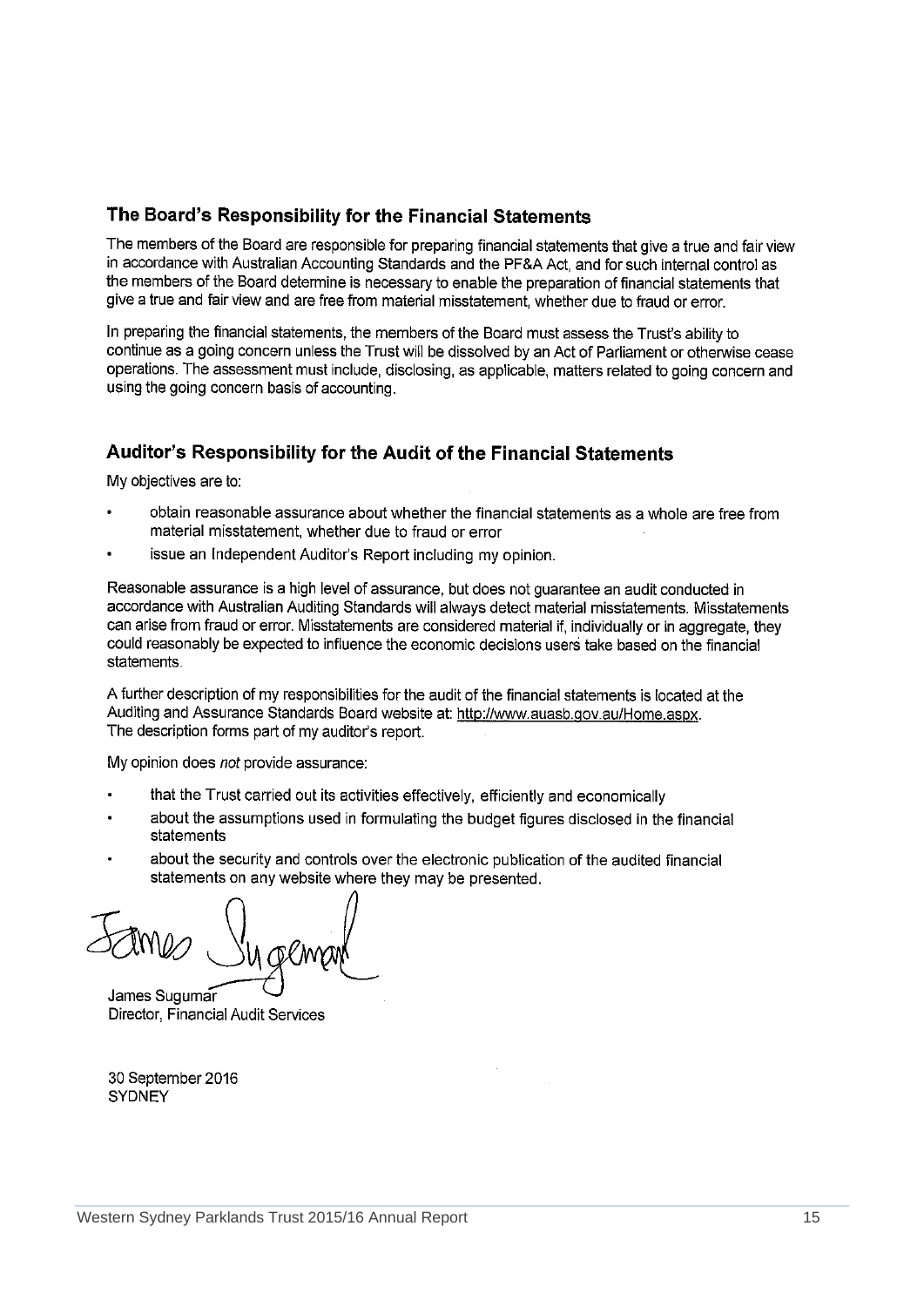### The Board's Responsibility for the Financial Statements

The members of the Board are responsible for preparing financial statements that give a true and fair view in accordance with Australian Accounting Standards and the PF&A Act, and for such internal control as the members of the Board determine is necessary to enable the preparation of financial statements that give a true and fair view and are free from material misstatement, whether due to fraud or error.

In preparing the financial statements, the members of the Board must assess the Trust's ability to continue as a going concern unless the Trust will be dissolved by an Act of Parliament or otherwise cease operations. The assessment must include, disclosing, as applicable, matters related to going concern and using the going concern basis of accounting.

## Auditor's Responsibility for the Audit of the Financial Statements

My objectives are to:

- obtain reasonable assurance about whether the financial statements as a whole are free from material misstatement, whether due to fraud or error
- issue an Independent Auditor's Report including my opinion.

Reasonable assurance is a high level of assurance, but does not quarantee an audit conducted in accordance with Australian Auditing Standards will always detect material misstatements. Misstatements can arise from fraud or error. Misstatements are considered material if, individually or in aggregate, they could reasonably be expected to influence the economic decisions users take based on the financial statements.

A further description of my responsibilities for the audit of the financial statements is located at the Auditing and Assurance Standards Board website at: http://www.auasb.gov.au/Home.aspx. The description forms part of my auditor's report.

My opinion does not provide assurance:

- that the Trust carried out its activities effectively, efficiently and economically
- about the assumptions used in formulating the budget figures disclosed in the financial statements
- about the security and controls over the electronic publication of the audited financial statements on any website where they may be presented.

James Sugumar Director, Financial Audit Services

30 September 2016 **SYDNEY**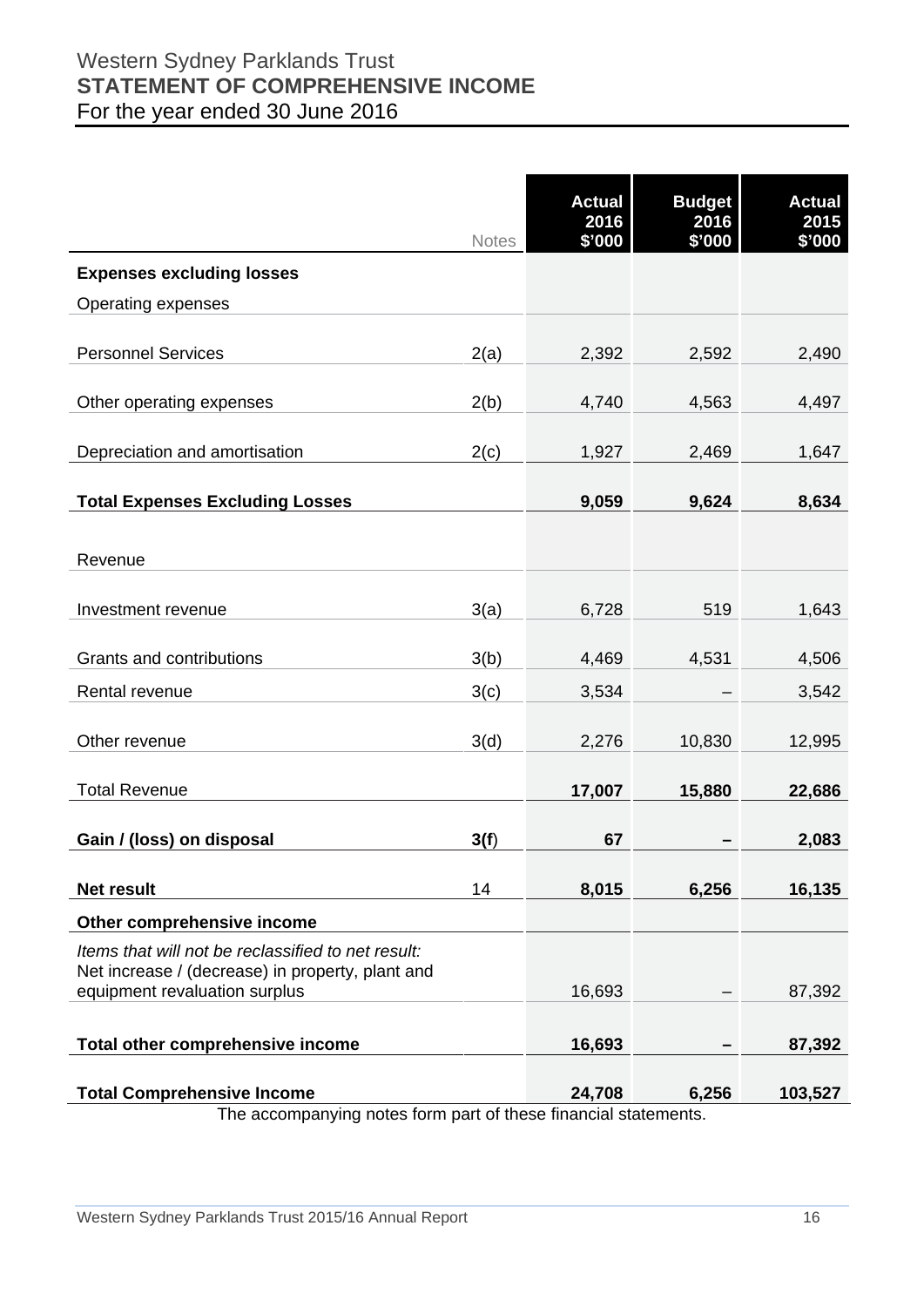## Western Sydney Parklands Trust **STATEMENT OF COMPREHENSIVE INCOME**  For the year ended 30 June 2016

|                                                                                                        | <b>Notes</b> | <b>Actual</b><br>2016<br>\$'000 | <b>Budget</b><br>2016<br>\$'000 | <b>Actual</b><br>2015<br>\$'000 |
|--------------------------------------------------------------------------------------------------------|--------------|---------------------------------|---------------------------------|---------------------------------|
| <b>Expenses excluding losses</b>                                                                       |              |                                 |                                 |                                 |
| Operating expenses                                                                                     |              |                                 |                                 |                                 |
|                                                                                                        |              |                                 |                                 |                                 |
| <b>Personnel Services</b>                                                                              | 2(a)         | 2,392                           | 2,592                           | 2,490                           |
| Other operating expenses                                                                               | 2(b)         | 4,740                           | 4,563                           | 4,497                           |
| Depreciation and amortisation                                                                          | 2(c)         | 1,927                           | 2,469                           | 1,647                           |
| <b>Total Expenses Excluding Losses</b>                                                                 |              | 9,059                           | 9,624                           | 8,634                           |
|                                                                                                        |              |                                 |                                 |                                 |
| Revenue                                                                                                |              |                                 |                                 |                                 |
| Investment revenue                                                                                     | 3(a)         | 6,728                           | 519                             | 1,643                           |
| Grants and contributions                                                                               | 3(b)         | 4,469                           | 4,531                           | 4,506                           |
| Rental revenue                                                                                         | 3(c)         | 3,534                           |                                 | 3,542                           |
| Other revenue                                                                                          | 3(d)         | 2,276                           | 10,830                          | 12,995                          |
| <b>Total Revenue</b>                                                                                   |              | 17,007                          | 15,880                          | 22,686                          |
| Gain / (loss) on disposal                                                                              | 3(f)         | 67                              |                                 | 2,083                           |
| Net result                                                                                             | 14           | 8,015                           | 6,256                           | 16,135                          |
| Other comprehensive income                                                                             |              |                                 |                                 |                                 |
| Items that will not be reclassified to net result:<br>Net increase / (decrease) in property, plant and |              |                                 |                                 |                                 |
| equipment revaluation surplus                                                                          |              | 16,693                          |                                 | 87,392                          |
| Total other comprehensive income                                                                       |              | 16,693                          |                                 | 87,392                          |
| <b>Total Comprehensive Income</b>                                                                      |              | 24,708                          | 6,256                           | 103,527                         |
| The accompanying notes form part of these financial statements.                                        |              |                                 |                                 |                                 |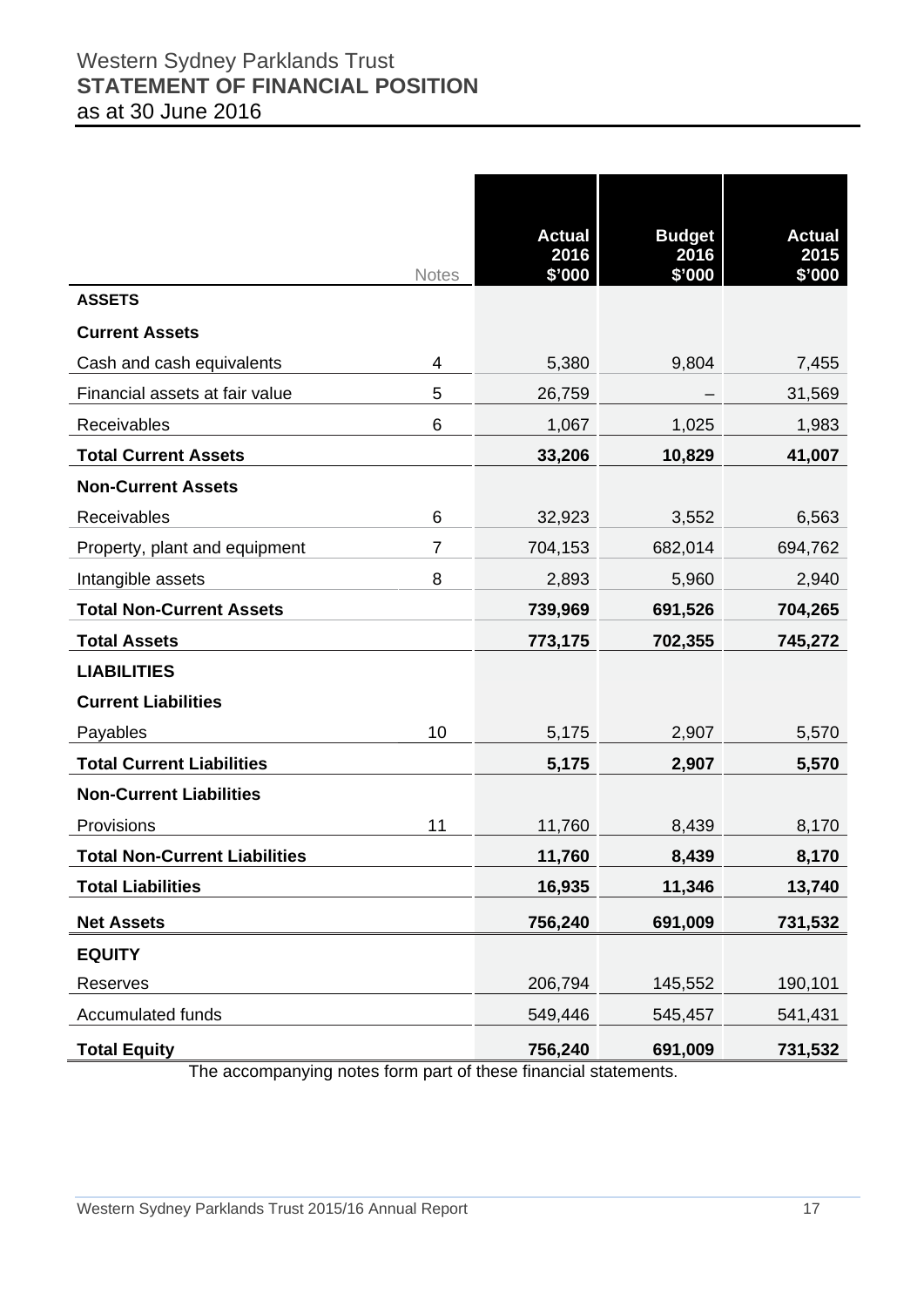## Western Sydney Parklands Trust **STATEMENT OF FINANCIAL POSITION**  as at 30 June 2016

|                                      | <b>Notes</b>   | <b>Actual</b><br>2016<br>\$'000 | <b>Budget</b><br>2016<br>\$'000 | <b>Actual</b><br>2015<br>\$'000 |
|--------------------------------------|----------------|---------------------------------|---------------------------------|---------------------------------|
| <b>ASSETS</b>                        |                |                                 |                                 |                                 |
| <b>Current Assets</b>                |                |                                 |                                 |                                 |
| Cash and cash equivalents            | 4              | 5,380                           | 9,804                           | 7,455                           |
| Financial assets at fair value       | 5              | 26,759                          |                                 | 31,569                          |
| Receivables                          | 6              | 1,067                           | 1,025                           | 1,983                           |
| <b>Total Current Assets</b>          |                | 33,206                          | 10,829                          | 41,007                          |
| <b>Non-Current Assets</b>            |                |                                 |                                 |                                 |
| Receivables                          | 6              | 32,923                          | 3,552                           | 6,563                           |
| Property, plant and equipment        | $\overline{7}$ | 704,153                         | 682,014                         | 694,762                         |
| Intangible assets                    | 8              | 2,893                           | 5,960                           | 2,940                           |
| <b>Total Non-Current Assets</b>      |                | 739,969                         | 691,526                         | 704,265                         |
| <b>Total Assets</b>                  |                | 773,175                         | 702,355                         | 745,272                         |
| <b>LIABILITIES</b>                   |                |                                 |                                 |                                 |
| <b>Current Liabilities</b>           |                |                                 |                                 |                                 |
| Payables                             | 10             | 5,175                           | 2,907                           | 5,570                           |
| <b>Total Current Liabilities</b>     |                | 5,175                           | 2,907                           | 5,570                           |
| <b>Non-Current Liabilities</b>       |                |                                 |                                 |                                 |
| Provisions                           | 11             | 11,760                          | 8,439                           | 8,170                           |
| <b>Total Non-Current Liabilities</b> |                | 11,760                          | 8,439                           | 8,170                           |
| <b>Total Liabilities</b>             |                | 16,935                          | 11,346                          | 13,740                          |
| <b>Net Assets</b>                    |                | 756,240                         | 691,009                         | 731,532                         |
| <b>EQUITY</b>                        |                |                                 |                                 |                                 |
| Reserves                             |                | 206,794                         | 145,552                         | 190,101                         |
| Accumulated funds                    |                | 549,446                         | 545,457                         | 541,431                         |
| <b>Total Equity</b>                  |                | 756,240                         | 691,009                         | 731,532                         |

The accompanying notes form part of these financial statements.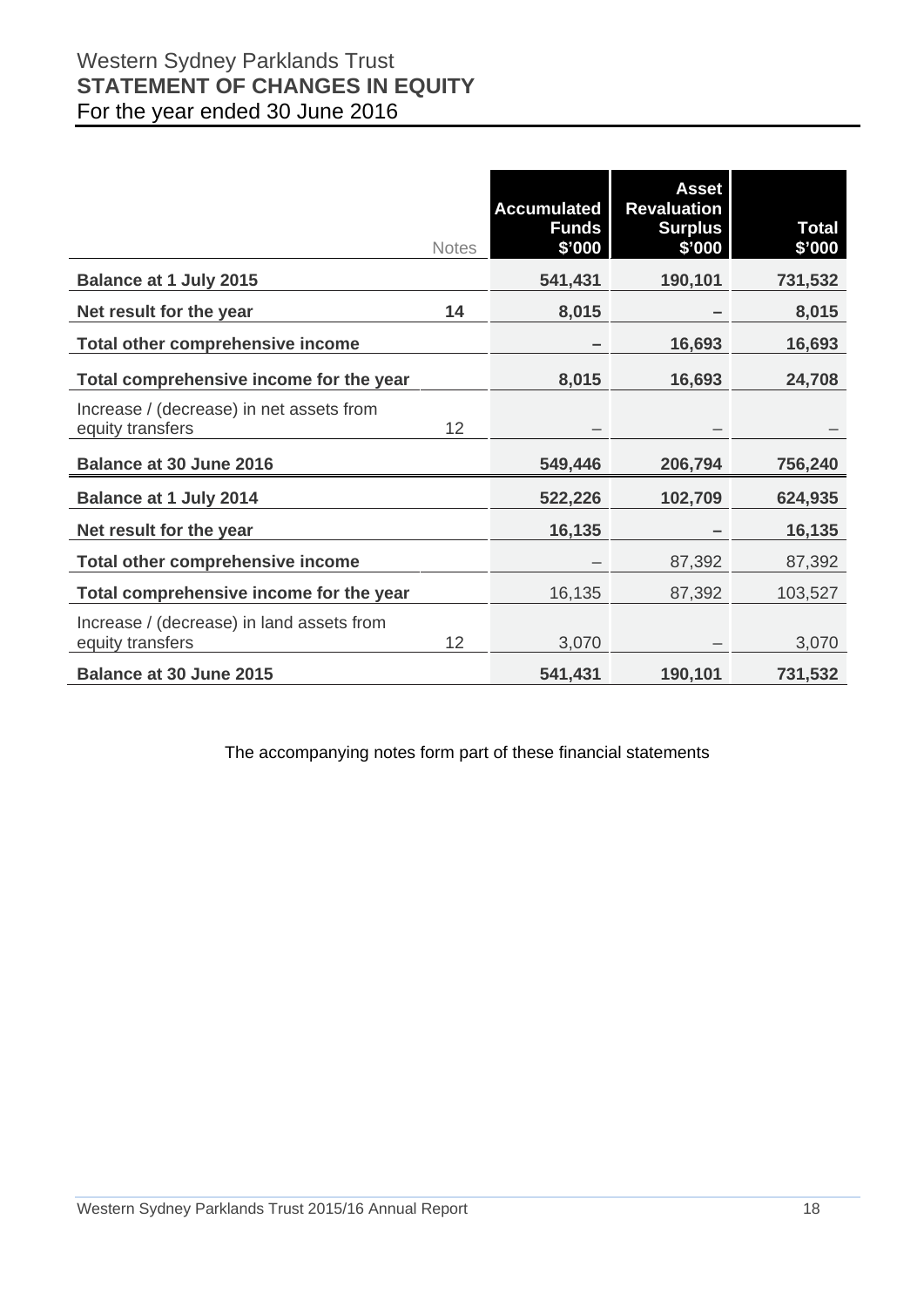## Western Sydney Parklands Trust **STATEMENT OF CHANGES IN EQUITY**  For the year ended 30 June 2016

|                                                               | <b>Notes</b> | <b>Accumulated</b><br><b>Funds</b><br>\$'000 | <b>Asset</b><br><b>Revaluation</b><br><b>Surplus</b><br>\$'000 | <b>Total</b><br>\$'000 |
|---------------------------------------------------------------|--------------|----------------------------------------------|----------------------------------------------------------------|------------------------|
| <b>Balance at 1 July 2015</b>                                 |              | 541,431                                      | 190,101                                                        | 731,532                |
| Net result for the year                                       | 14           | 8,015                                        |                                                                | 8,015                  |
| Total other comprehensive income                              |              |                                              | 16,693                                                         | 16,693                 |
| Total comprehensive income for the year                       |              | 8,015                                        | 16,693                                                         | 24,708                 |
| Increase / (decrease) in net assets from<br>equity transfers  | 12           |                                              |                                                                |                        |
| <b>Balance at 30 June 2016</b>                                |              | 549,446                                      | 206,794                                                        | 756,240                |
| <b>Balance at 1 July 2014</b>                                 |              | 522,226                                      | 102,709                                                        | 624,935                |
| Net result for the year                                       |              | 16,135                                       |                                                                | 16,135                 |
| <b>Total other comprehensive income</b>                       |              |                                              | 87,392                                                         | 87,392                 |
| Total comprehensive income for the year                       |              | 16,135                                       | 87,392                                                         | 103,527                |
| Increase / (decrease) in land assets from<br>equity transfers | 12           | 3,070                                        |                                                                | 3,070                  |
| <b>Balance at 30 June 2015</b>                                |              | 541,431                                      | 190,101                                                        | 731,532                |

The accompanying notes form part of these financial statements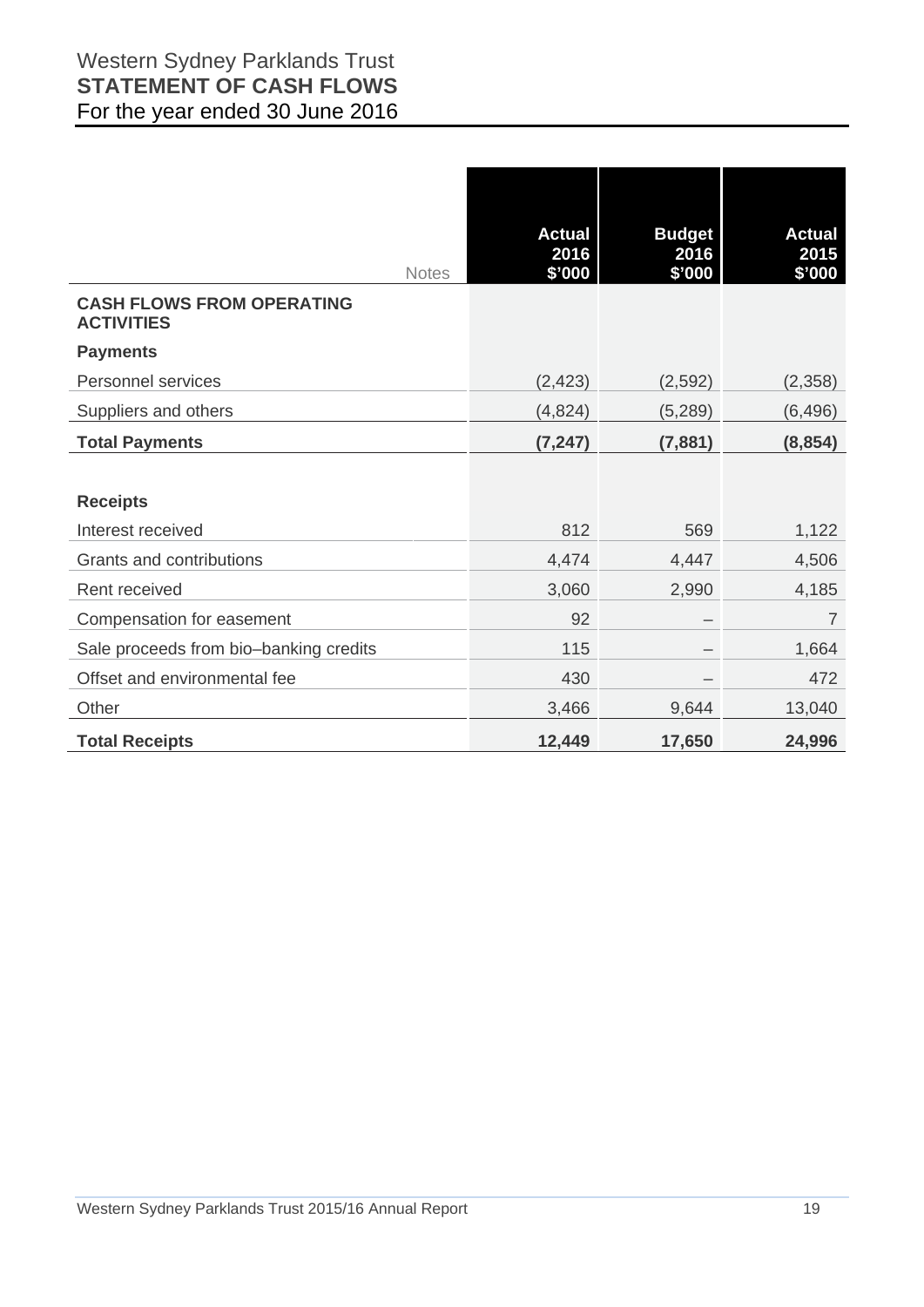|                                                       | <b>Actual</b>  | <b>Budget</b>  | <b>Actual</b>  |
|-------------------------------------------------------|----------------|----------------|----------------|
| <b>Notes</b>                                          | 2016<br>\$'000 | 2016<br>\$'000 | 2015<br>\$'000 |
| <b>CASH FLOWS FROM OPERATING</b><br><b>ACTIVITIES</b> |                |                |                |
| <b>Payments</b>                                       |                |                |                |
| Personnel services                                    | (2, 423)       | (2,592)        | (2,358)        |
| Suppliers and others                                  | (4,824)        | (5,289)        | (6, 496)       |
| <b>Total Payments</b>                                 | (7, 247)       | (7,881)        | (8, 854)       |
|                                                       |                |                |                |
| <b>Receipts</b>                                       |                |                |                |
| Interest received                                     | 812            | 569            | 1,122          |
| Grants and contributions                              | 4,474          | 4,447          | 4,506          |
| Rent received                                         | 3,060          | 2,990          | 4,185          |
| Compensation for easement                             | 92             |                | $\overline{7}$ |
| Sale proceeds from bio-banking credits                | 115            |                | 1,664          |
| Offset and environmental fee                          | 430            |                | 472            |
| Other                                                 | 3,466          | 9,644          | 13,040         |
| <b>Total Receipts</b>                                 | 12,449         | 17,650         | 24,996         |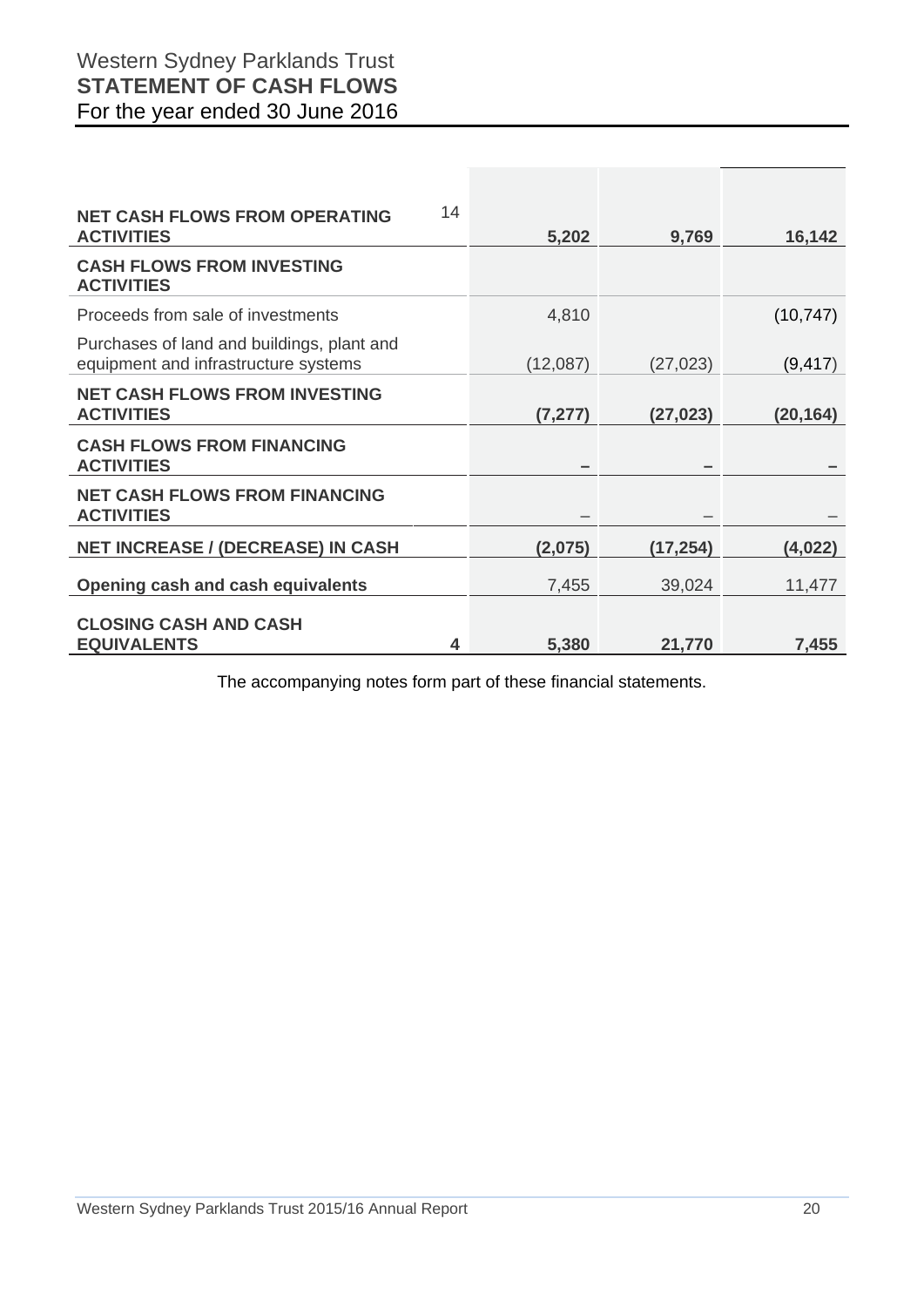## Western Sydney Parklands Trust **STATEMENT OF CASH FLOWS**  For the year ended 30 June 2016

| 14<br><b>NET CASH FLOWS FROM OPERATING</b>                                         |          |           |           |
|------------------------------------------------------------------------------------|----------|-----------|-----------|
| <b>ACTIVITIES</b>                                                                  | 5,202    | 9,769     | 16,142    |
| <b>CASH FLOWS FROM INVESTING</b><br><b>ACTIVITIES</b>                              |          |           |           |
| Proceeds from sale of investments                                                  | 4,810    |           | (10, 747) |
| Purchases of land and buildings, plant and<br>equipment and infrastructure systems | (12,087) | (27, 023) | (9, 417)  |
| <b>NET CASH FLOWS FROM INVESTING</b><br><b>ACTIVITIES</b>                          | (7, 277) | (27, 023) | (20, 164) |
| <b>CASH FLOWS FROM FINANCING</b><br><b>ACTIVITIES</b>                              |          |           |           |
| <b>NET CASH FLOWS FROM FINANCING</b><br><b>ACTIVITIES</b>                          |          |           |           |
| <b>NET INCREASE / (DECREASE) IN CASH</b>                                           | (2,075)  | (17, 254) | (4,022)   |
| Opening cash and cash equivalents                                                  | 7,455    | 39,024    | 11,477    |
| <b>CLOSING CASH AND CASH</b><br><b>EQUIVALENTS</b><br>4                            |          |           |           |
|                                                                                    | 5,380    | 21,770    | 7,455     |

The accompanying notes form part of these financial statements.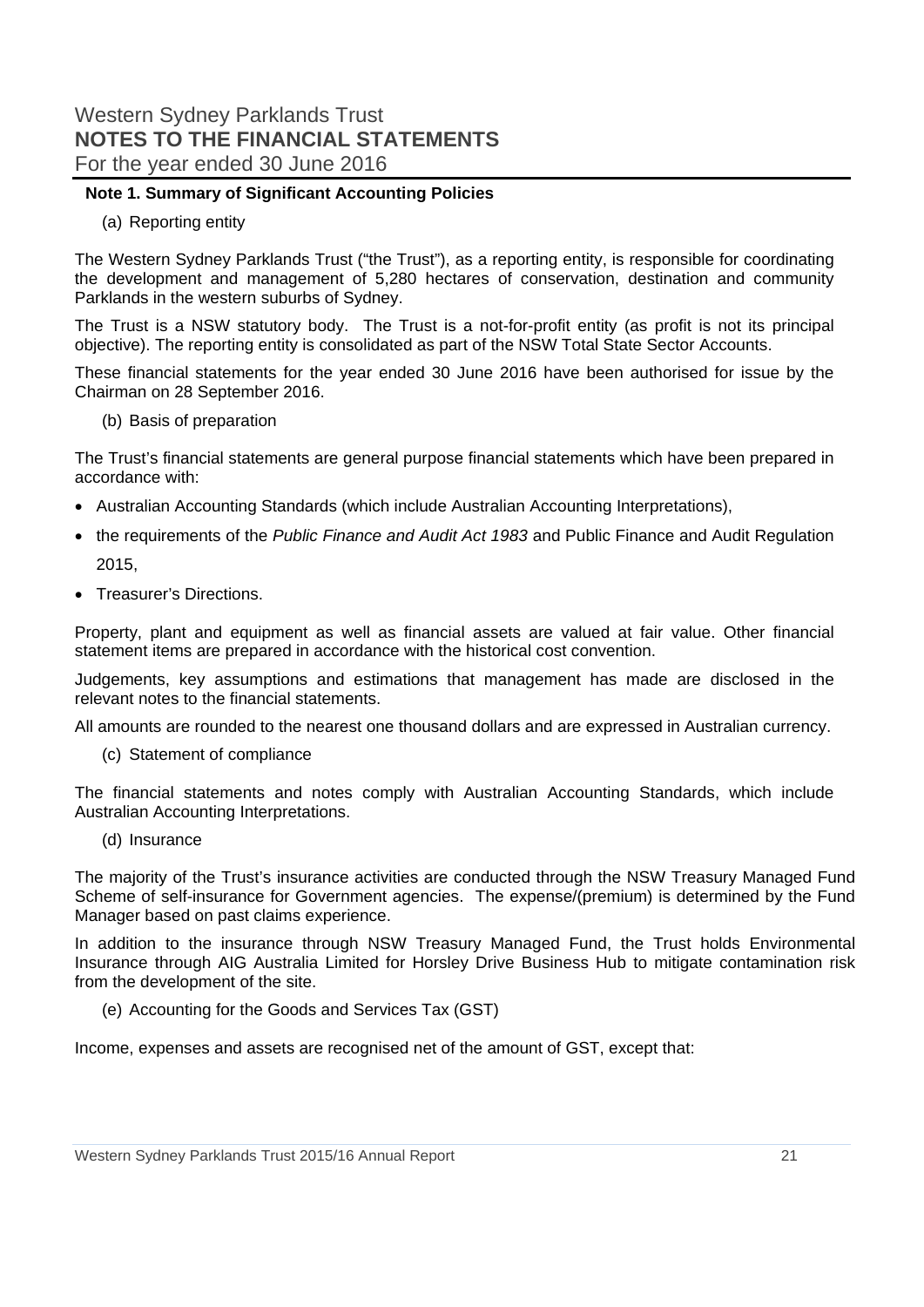#### **Note 1. Summary of Significant Accounting Policies**

(a) Reporting entity

The Western Sydney Parklands Trust ("the Trust"), as a reporting entity, is responsible for coordinating the development and management of 5,280 hectares of conservation, destination and community Parklands in the western suburbs of Sydney.

The Trust is a NSW statutory body. The Trust is a not-for-profit entity (as profit is not its principal objective). The reporting entity is consolidated as part of the NSW Total State Sector Accounts.

These financial statements for the year ended 30 June 2016 have been authorised for issue by the Chairman on 28 September 2016.

(b) Basis of preparation

The Trust's financial statements are general purpose financial statements which have been prepared in accordance with:

- Australian Accounting Standards (which include Australian Accounting Interpretations),
- the requirements of the *Public Finance and Audit Act 1983* and Public Finance and Audit Regulation 2015,
- Treasurer's Directions.

Property, plant and equipment as well as financial assets are valued at fair value. Other financial statement items are prepared in accordance with the historical cost convention.

Judgements, key assumptions and estimations that management has made are disclosed in the relevant notes to the financial statements.

All amounts are rounded to the nearest one thousand dollars and are expressed in Australian currency.

(c) Statement of compliance

The financial statements and notes comply with Australian Accounting Standards, which include Australian Accounting Interpretations.

(d) Insurance

The majority of the Trust's insurance activities are conducted through the NSW Treasury Managed Fund Scheme of self-insurance for Government agencies. The expense/(premium) is determined by the Fund Manager based on past claims experience.

In addition to the insurance through NSW Treasury Managed Fund, the Trust holds Environmental Insurance through AIG Australia Limited for Horsley Drive Business Hub to mitigate contamination risk from the development of the site.

(e) Accounting for the Goods and Services Tax (GST)

Income, expenses and assets are recognised net of the amount of GST, except that: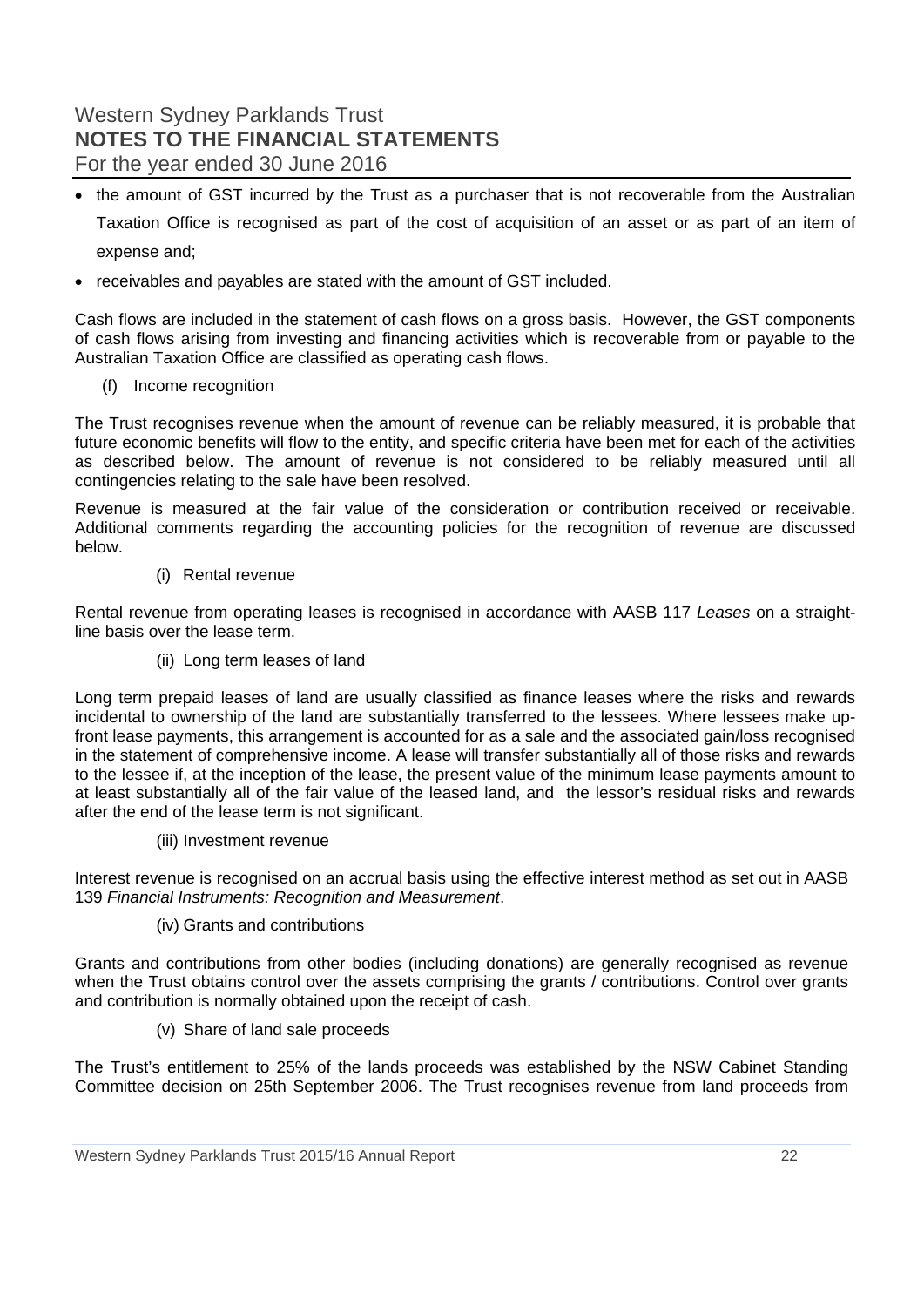- the amount of GST incurred by the Trust as a purchaser that is not recoverable from the Australian Taxation Office is recognised as part of the cost of acquisition of an asset or as part of an item of expense and;
- receivables and payables are stated with the amount of GST included.

Cash flows are included in the statement of cash flows on a gross basis. However, the GST components of cash flows arising from investing and financing activities which is recoverable from or payable to the Australian Taxation Office are classified as operating cash flows.

(f) Income recognition

The Trust recognises revenue when the amount of revenue can be reliably measured, it is probable that future economic benefits will flow to the entity, and specific criteria have been met for each of the activities as described below. The amount of revenue is not considered to be reliably measured until all contingencies relating to the sale have been resolved.

Revenue is measured at the fair value of the consideration or contribution received or receivable. Additional comments regarding the accounting policies for the recognition of revenue are discussed below.

(i) Rental revenue

Rental revenue from operating leases is recognised in accordance with AASB 117 *Leases* on a straightline basis over the lease term.

(ii) Long term leases of land

Long term prepaid leases of land are usually classified as finance leases where the risks and rewards incidental to ownership of the land are substantially transferred to the lessees. Where lessees make upfront lease payments, this arrangement is accounted for as a sale and the associated gain/loss recognised in the statement of comprehensive income. A lease will transfer substantially all of those risks and rewards to the lessee if, at the inception of the lease, the present value of the minimum lease payments amount to at least substantially all of the fair value of the leased land, and the lessor's residual risks and rewards after the end of the lease term is not significant.

(iii) Investment revenue

Interest revenue is recognised on an accrual basis using the effective interest method as set out in AASB 139 *Financial Instruments: Recognition and Measurement*.

(iv) Grants and contributions

Grants and contributions from other bodies (including donations) are generally recognised as revenue when the Trust obtains control over the assets comprising the grants / contributions. Control over grants and contribution is normally obtained upon the receipt of cash.

(v) Share of land sale proceeds

The Trust's entitlement to 25% of the lands proceeds was established by the NSW Cabinet Standing Committee decision on 25th September 2006. The Trust recognises revenue from land proceeds from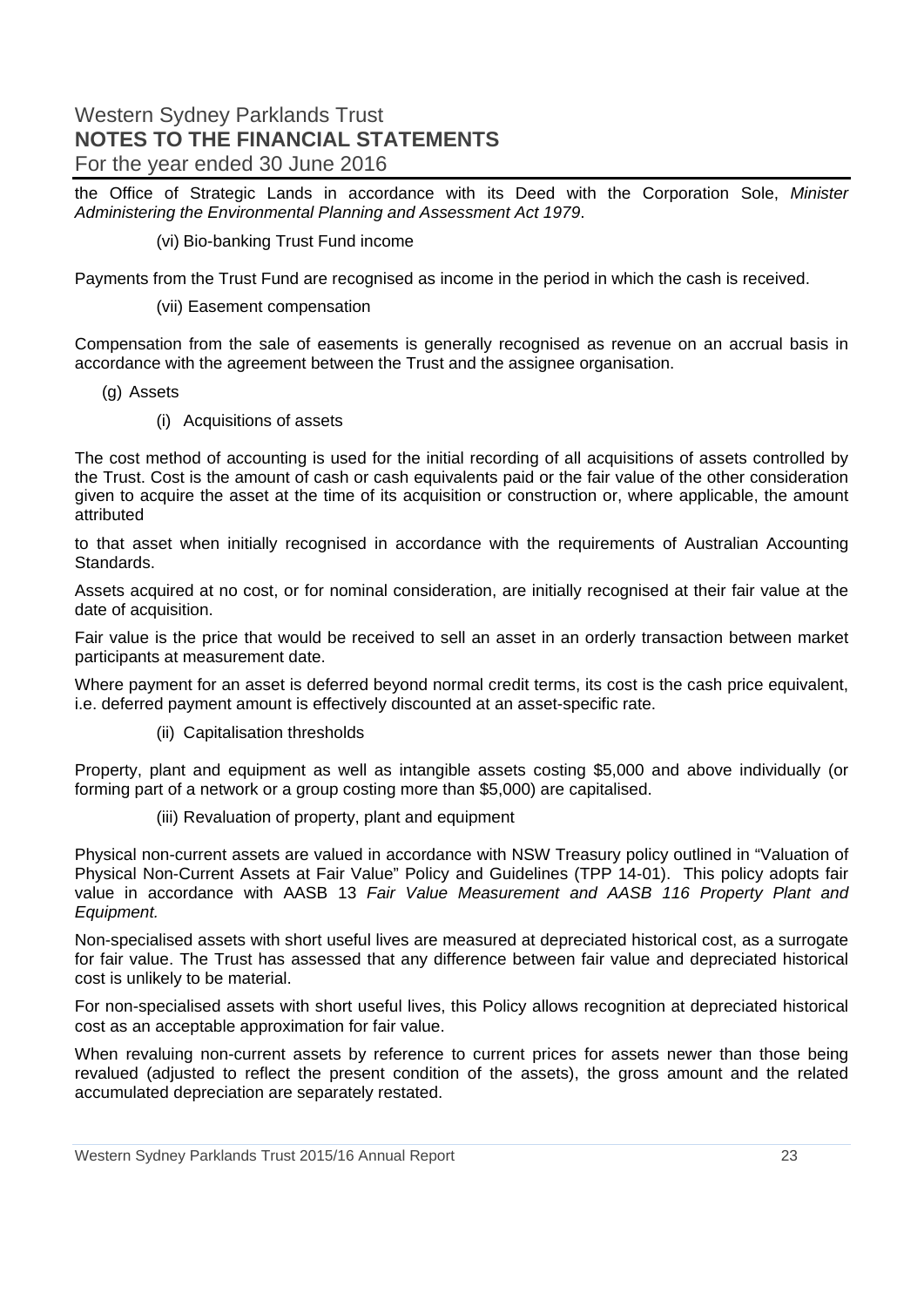the Office of Strategic Lands in accordance with its Deed with the Corporation Sole, *Minister Administering the Environmental Planning and Assessment Act 1979*.

#### (vi) Bio-banking Trust Fund income

Payments from the Trust Fund are recognised as income in the period in which the cash is received.

(vii) Easement compensation

Compensation from the sale of easements is generally recognised as revenue on an accrual basis in accordance with the agreement between the Trust and the assignee organisation.

(g) Assets

(i) Acquisitions of assets

The cost method of accounting is used for the initial recording of all acquisitions of assets controlled by the Trust. Cost is the amount of cash or cash equivalents paid or the fair value of the other consideration given to acquire the asset at the time of its acquisition or construction or, where applicable, the amount attributed

to that asset when initially recognised in accordance with the requirements of Australian Accounting Standards.

Assets acquired at no cost, or for nominal consideration, are initially recognised at their fair value at the date of acquisition.

Fair value is the price that would be received to sell an asset in an orderly transaction between market participants at measurement date.

Where payment for an asset is deferred beyond normal credit terms, its cost is the cash price equivalent, i.e. deferred payment amount is effectively discounted at an asset-specific rate.

(ii) Capitalisation thresholds

Property, plant and equipment as well as intangible assets costing \$5,000 and above individually (or forming part of a network or a group costing more than \$5,000) are capitalised.

(iii) Revaluation of property, plant and equipment

Physical non-current assets are valued in accordance with NSW Treasury policy outlined in "Valuation of Physical Non-Current Assets at Fair Value" Policy and Guidelines (TPP 14-01). This policy adopts fair value in accordance with AASB 13 *Fair Value Measurement and AASB 116 Property Plant and Equipment.*

Non-specialised assets with short useful lives are measured at depreciated historical cost, as a surrogate for fair value. The Trust has assessed that any difference between fair value and depreciated historical cost is unlikely to be material.

For non-specialised assets with short useful lives, this Policy allows recognition at depreciated historical cost as an acceptable approximation for fair value.

When revaluing non-current assets by reference to current prices for assets newer than those being revalued (adjusted to reflect the present condition of the assets), the gross amount and the related accumulated depreciation are separately restated.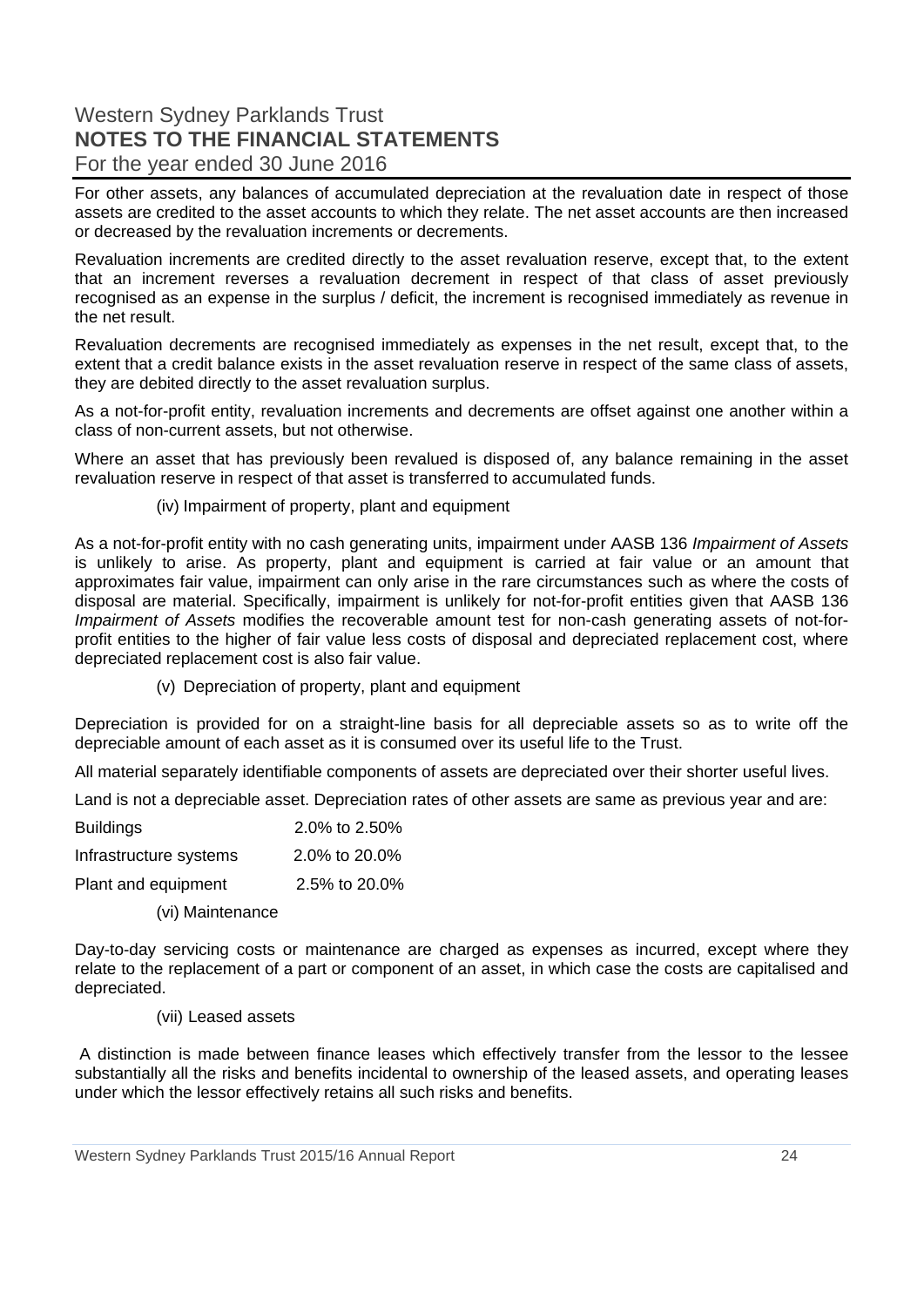For other assets, any balances of accumulated depreciation at the revaluation date in respect of those assets are credited to the asset accounts to which they relate. The net asset accounts are then increased or decreased by the revaluation increments or decrements.

Revaluation increments are credited directly to the asset revaluation reserve, except that, to the extent that an increment reverses a revaluation decrement in respect of that class of asset previously recognised as an expense in the surplus / deficit, the increment is recognised immediately as revenue in the net result.

Revaluation decrements are recognised immediately as expenses in the net result, except that, to the extent that a credit balance exists in the asset revaluation reserve in respect of the same class of assets, they are debited directly to the asset revaluation surplus.

As a not-for-profit entity, revaluation increments and decrements are offset against one another within a class of non-current assets, but not otherwise.

Where an asset that has previously been revalued is disposed of, any balance remaining in the asset revaluation reserve in respect of that asset is transferred to accumulated funds.

#### (iv) Impairment of property, plant and equipment

As a not-for-profit entity with no cash generating units, impairment under AASB 136 *Impairment of Assets* is unlikely to arise. As property, plant and equipment is carried at fair value or an amount that approximates fair value, impairment can only arise in the rare circumstances such as where the costs of disposal are material. Specifically, impairment is unlikely for not-for-profit entities given that AASB 136 *Impairment of Assets* modifies the recoverable amount test for non-cash generating assets of not-forprofit entities to the higher of fair value less costs of disposal and depreciated replacement cost, where depreciated replacement cost is also fair value.

(v) Depreciation of property, plant and equipment

Depreciation is provided for on a straight-line basis for all depreciable assets so as to write off the depreciable amount of each asset as it is consumed over its useful life to the Trust.

All material separately identifiable components of assets are depreciated over their shorter useful lives.

Land is not a depreciable asset. Depreciation rates of other assets are same as previous year and are:

| <b>Buildings</b>       | 2.0% to 2.50% |
|------------------------|---------------|
| Infrastructure systems | 2.0% to 20.0% |
| Plant and equipment    | 2.5% to 20.0% |

(vi) Maintenance

Day-to-day servicing costs or maintenance are charged as expenses as incurred, except where they relate to the replacement of a part or component of an asset, in which case the costs are capitalised and depreciated.

(vii) Leased assets

 A distinction is made between finance leases which effectively transfer from the lessor to the lessee substantially all the risks and benefits incidental to ownership of the leased assets, and operating leases under which the lessor effectively retains all such risks and benefits.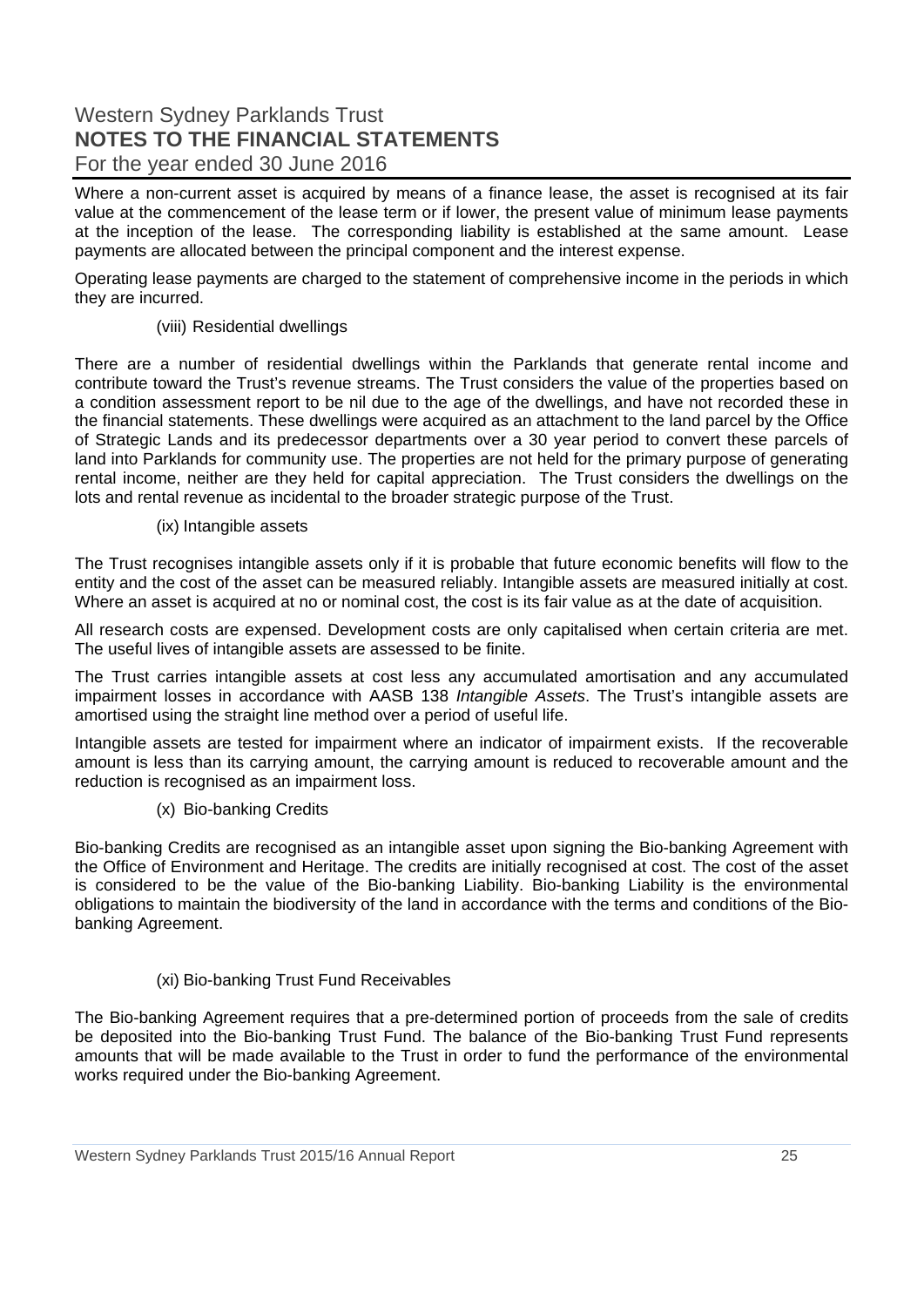Where a non-current asset is acquired by means of a finance lease, the asset is recognised at its fair value at the commencement of the lease term or if lower, the present value of minimum lease payments at the inception of the lease. The corresponding liability is established at the same amount. Lease payments are allocated between the principal component and the interest expense.

Operating lease payments are charged to the statement of comprehensive income in the periods in which they are incurred.

#### (viii) Residential dwellings

There are a number of residential dwellings within the Parklands that generate rental income and contribute toward the Trust's revenue streams. The Trust considers the value of the properties based on a condition assessment report to be nil due to the age of the dwellings, and have not recorded these in the financial statements. These dwellings were acquired as an attachment to the land parcel by the Office of Strategic Lands and its predecessor departments over a 30 year period to convert these parcels of land into Parklands for community use. The properties are not held for the primary purpose of generating rental income, neither are they held for capital appreciation. The Trust considers the dwellings on the lots and rental revenue as incidental to the broader strategic purpose of the Trust.

#### (ix) Intangible assets

The Trust recognises intangible assets only if it is probable that future economic benefits will flow to the entity and the cost of the asset can be measured reliably. Intangible assets are measured initially at cost. Where an asset is acquired at no or nominal cost, the cost is its fair value as at the date of acquisition.

All research costs are expensed. Development costs are only capitalised when certain criteria are met. The useful lives of intangible assets are assessed to be finite.

The Trust carries intangible assets at cost less any accumulated amortisation and any accumulated impairment losses in accordance with AASB 138 *Intangible Assets*. The Trust's intangible assets are amortised using the straight line method over a period of useful life.

Intangible assets are tested for impairment where an indicator of impairment exists. If the recoverable amount is less than its carrying amount, the carrying amount is reduced to recoverable amount and the reduction is recognised as an impairment loss.

#### (x) Bio-banking Credits

Bio-banking Credits are recognised as an intangible asset upon signing the Bio-banking Agreement with the Office of Environment and Heritage. The credits are initially recognised at cost. The cost of the asset is considered to be the value of the Bio-banking Liability. Bio-banking Liability is the environmental obligations to maintain the biodiversity of the land in accordance with the terms and conditions of the Biobanking Agreement.

#### (xi) Bio-banking Trust Fund Receivables

The Bio-banking Agreement requires that a pre-determined portion of proceeds from the sale of credits be deposited into the Bio-banking Trust Fund. The balance of the Bio-banking Trust Fund represents amounts that will be made available to the Trust in order to fund the performance of the environmental works required under the Bio-banking Agreement.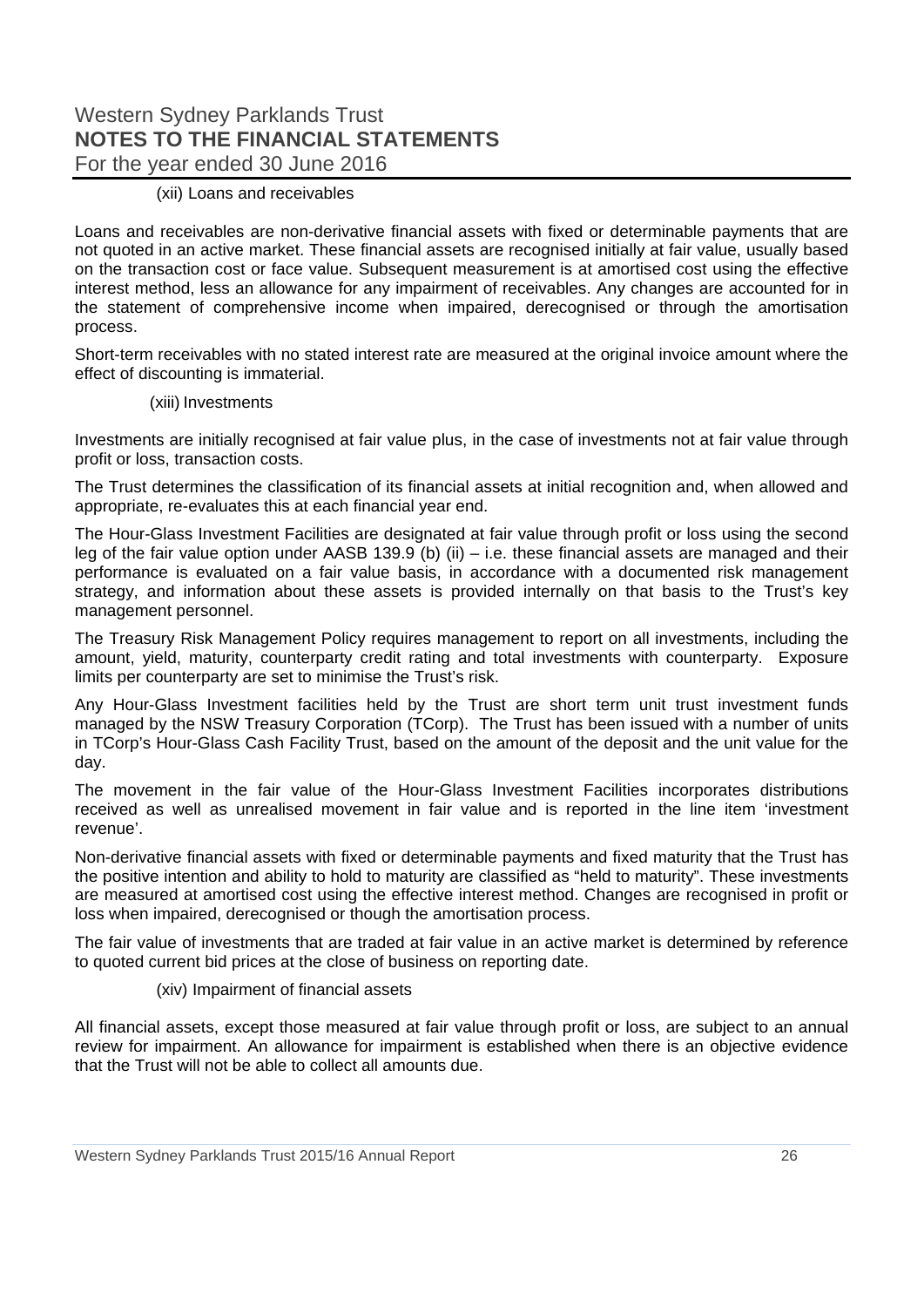#### (xii) Loans and receivables

Loans and receivables are non-derivative financial assets with fixed or determinable payments that are not quoted in an active market. These financial assets are recognised initially at fair value, usually based on the transaction cost or face value. Subsequent measurement is at amortised cost using the effective interest method, less an allowance for any impairment of receivables. Any changes are accounted for in the statement of comprehensive income when impaired, derecognised or through the amortisation process.

Short-term receivables with no stated interest rate are measured at the original invoice amount where the effect of discounting is immaterial.

#### (xiii) Investments

Investments are initially recognised at fair value plus, in the case of investments not at fair value through profit or loss, transaction costs.

The Trust determines the classification of its financial assets at initial recognition and, when allowed and appropriate, re-evaluates this at each financial year end.

The Hour-Glass Investment Facilities are designated at fair value through profit or loss using the second leg of the fair value option under AASB 139.9 (b) (ii) – i.e. these financial assets are managed and their performance is evaluated on a fair value basis, in accordance with a documented risk management strategy, and information about these assets is provided internally on that basis to the Trust's key management personnel.

The Treasury Risk Management Policy requires management to report on all investments, including the amount, yield, maturity, counterparty credit rating and total investments with counterparty. Exposure limits per counterparty are set to minimise the Trust's risk.

Any Hour-Glass Investment facilities held by the Trust are short term unit trust investment funds managed by the NSW Treasury Corporation (TCorp). The Trust has been issued with a number of units in TCorp's Hour-Glass Cash Facility Trust, based on the amount of the deposit and the unit value for the day.

The movement in the fair value of the Hour-Glass Investment Facilities incorporates distributions received as well as unrealised movement in fair value and is reported in the line item 'investment revenue'.

Non-derivative financial assets with fixed or determinable payments and fixed maturity that the Trust has the positive intention and ability to hold to maturity are classified as "held to maturity". These investments are measured at amortised cost using the effective interest method. Changes are recognised in profit or loss when impaired, derecognised or though the amortisation process.

The fair value of investments that are traded at fair value in an active market is determined by reference to quoted current bid prices at the close of business on reporting date.

#### (xiv) Impairment of financial assets

All financial assets, except those measured at fair value through profit or loss, are subject to an annual review for impairment. An allowance for impairment is established when there is an objective evidence that the Trust will not be able to collect all amounts due.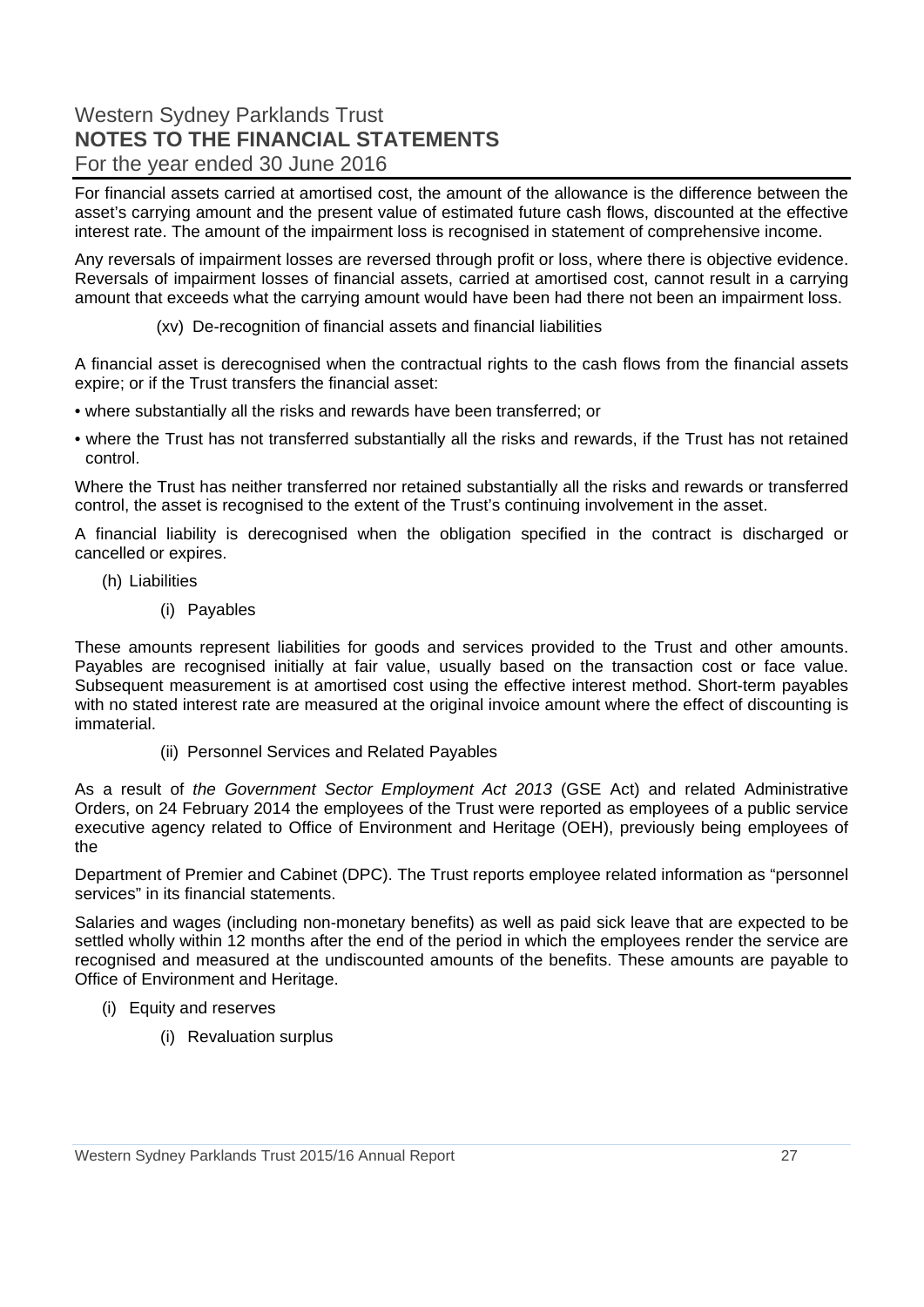For financial assets carried at amortised cost, the amount of the allowance is the difference between the asset's carrying amount and the present value of estimated future cash flows, discounted at the effective interest rate. The amount of the impairment loss is recognised in statement of comprehensive income.

Any reversals of impairment losses are reversed through profit or loss, where there is objective evidence. Reversals of impairment losses of financial assets, carried at amortised cost, cannot result in a carrying amount that exceeds what the carrying amount would have been had there not been an impairment loss.

#### (xv) De-recognition of financial assets and financial liabilities

A financial asset is derecognised when the contractual rights to the cash flows from the financial assets expire; or if the Trust transfers the financial asset:

- where substantially all the risks and rewards have been transferred; or
- where the Trust has not transferred substantially all the risks and rewards, if the Trust has not retained control.

Where the Trust has neither transferred nor retained substantially all the risks and rewards or transferred control, the asset is recognised to the extent of the Trust's continuing involvement in the asset.

A financial liability is derecognised when the obligation specified in the contract is discharged or cancelled or expires.

- (h) Liabilities
	- (i) Payables

These amounts represent liabilities for goods and services provided to the Trust and other amounts. Payables are recognised initially at fair value, usually based on the transaction cost or face value. Subsequent measurement is at amortised cost using the effective interest method. Short-term payables with no stated interest rate are measured at the original invoice amount where the effect of discounting is immaterial.

(ii) Personnel Services and Related Payables

As a result of *the Government Sector Employment Act 2013* (GSE Act) and related Administrative Orders, on 24 February 2014 the employees of the Trust were reported as employees of a public service executive agency related to Office of Environment and Heritage (OEH), previously being employees of the

Department of Premier and Cabinet (DPC). The Trust reports employee related information as "personnel services" in its financial statements.

Salaries and wages (including non-monetary benefits) as well as paid sick leave that are expected to be settled wholly within 12 months after the end of the period in which the employees render the service are recognised and measured at the undiscounted amounts of the benefits. These amounts are payable to Office of Environment and Heritage.

- (i) Equity and reserves
	- (i) Revaluation surplus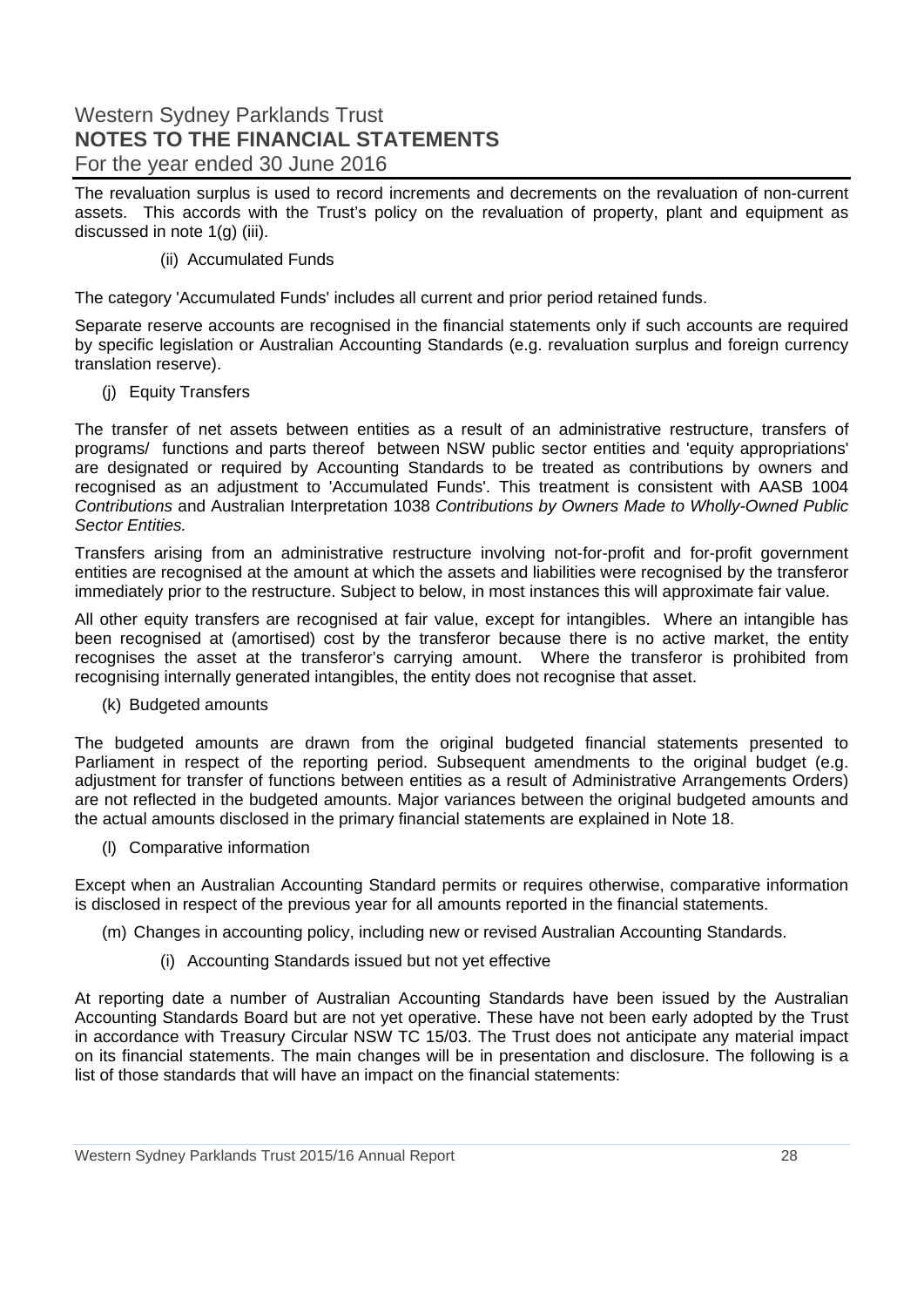The revaluation surplus is used to record increments and decrements on the revaluation of non-current assets. This accords with the Trust's policy on the revaluation of property, plant and equipment as discussed in note 1(g) (iii).

#### (ii) Accumulated Funds

The category 'Accumulated Funds' includes all current and prior period retained funds.

Separate reserve accounts are recognised in the financial statements only if such accounts are required by specific legislation or Australian Accounting Standards (e.g. revaluation surplus and foreign currency translation reserve).

(j) Equity Transfers

The transfer of net assets between entities as a result of an administrative restructure, transfers of programs/ functions and parts thereof between NSW public sector entities and 'equity appropriations' are designated or required by Accounting Standards to be treated as contributions by owners and recognised as an adjustment to 'Accumulated Funds'. This treatment is consistent with AASB 1004 *Contributions* and Australian Interpretation 1038 *Contributions by Owners Made to Wholly-Owned Public Sector Entities.* 

Transfers arising from an administrative restructure involving not-for-profit and for-profit government entities are recognised at the amount at which the assets and liabilities were recognised by the transferor immediately prior to the restructure. Subject to below, in most instances this will approximate fair value.

All other equity transfers are recognised at fair value, except for intangibles. Where an intangible has been recognised at (amortised) cost by the transferor because there is no active market, the entity recognises the asset at the transferor's carrying amount. Where the transferor is prohibited from recognising internally generated intangibles, the entity does not recognise that asset.

(k) Budgeted amounts

The budgeted amounts are drawn from the original budgeted financial statements presented to Parliament in respect of the reporting period. Subsequent amendments to the original budget (e.g. adjustment for transfer of functions between entities as a result of Administrative Arrangements Orders) are not reflected in the budgeted amounts. Major variances between the original budgeted amounts and the actual amounts disclosed in the primary financial statements are explained in Note 18.

(l) Comparative information

Except when an Australian Accounting Standard permits or requires otherwise, comparative information is disclosed in respect of the previous year for all amounts reported in the financial statements.

- (m) Changes in accounting policy, including new or revised Australian Accounting Standards.
	- (i) Accounting Standards issued but not yet effective

At reporting date a number of Australian Accounting Standards have been issued by the Australian Accounting Standards Board but are not yet operative. These have not been early adopted by the Trust in accordance with Treasury Circular NSW TC 15/03. The Trust does not anticipate any material impact on its financial statements. The main changes will be in presentation and disclosure. The following is a list of those standards that will have an impact on the financial statements: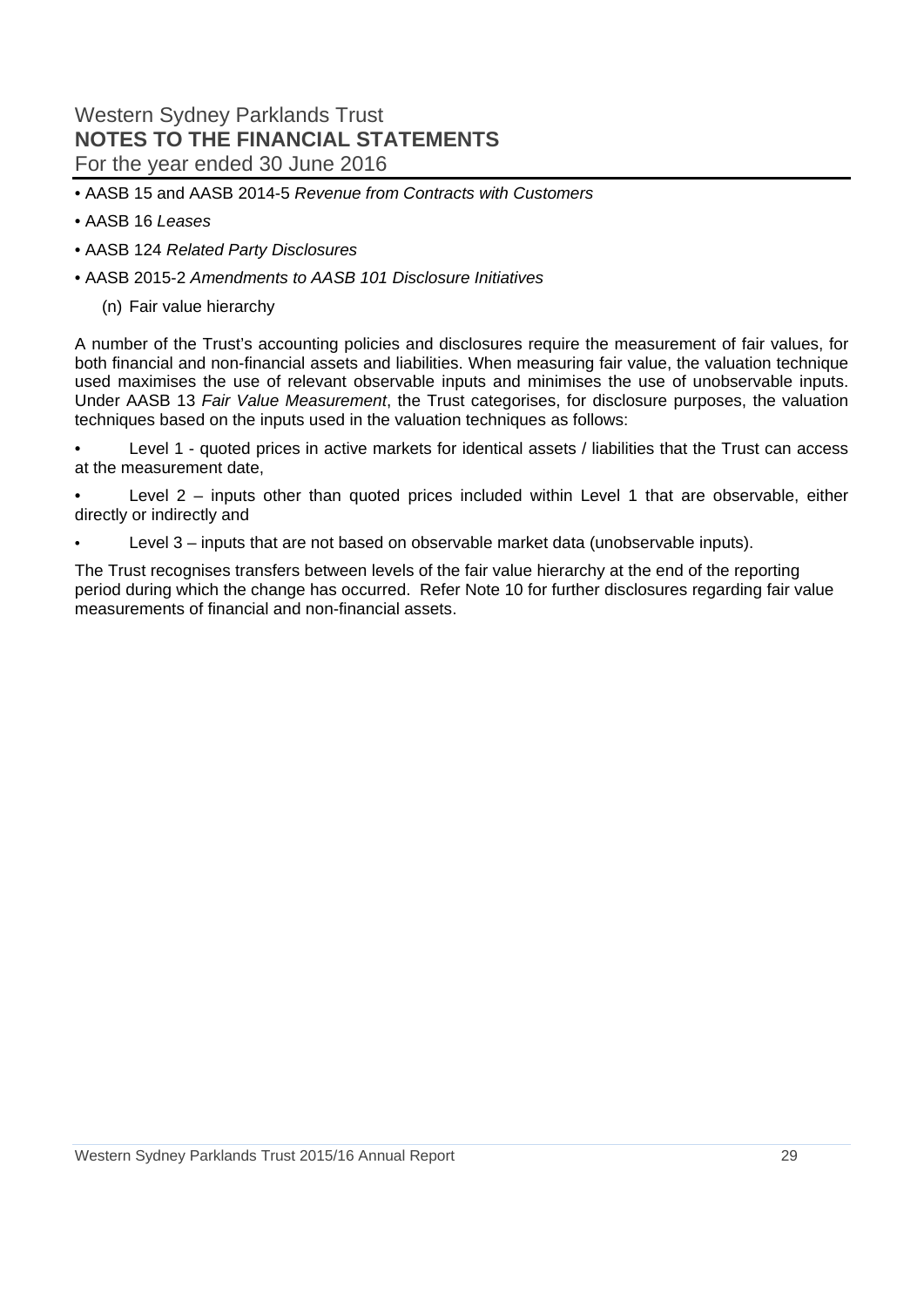- AASB 15 and AASB 2014-5 *Revenue from Contracts with Customers*
- AASB 16 *Leases*
- AASB 124 *Related Party Disclosures*
- AASB 2015-2 *Amendments to AASB 101 Disclosure Initiatives* 
	- (n) Fair value hierarchy

A number of the Trust's accounting policies and disclosures require the measurement of fair values, for both financial and non-financial assets and liabilities. When measuring fair value, the valuation technique used maximises the use of relevant observable inputs and minimises the use of unobservable inputs. Under AASB 13 *Fair Value Measurement*, the Trust categorises, for disclosure purposes, the valuation techniques based on the inputs used in the valuation techniques as follows:

• Level 1 - quoted prices in active markets for identical assets / liabilities that the Trust can access at the measurement date,

Level  $2$  – inputs other than quoted prices included within Level 1 that are observable, either directly or indirectly and

Level  $3$  – inputs that are not based on observable market data (unobservable inputs).

The Trust recognises transfers between levels of the fair value hierarchy at the end of the reporting period during which the change has occurred. Refer Note 10 for further disclosures regarding fair value measurements of financial and non-financial assets.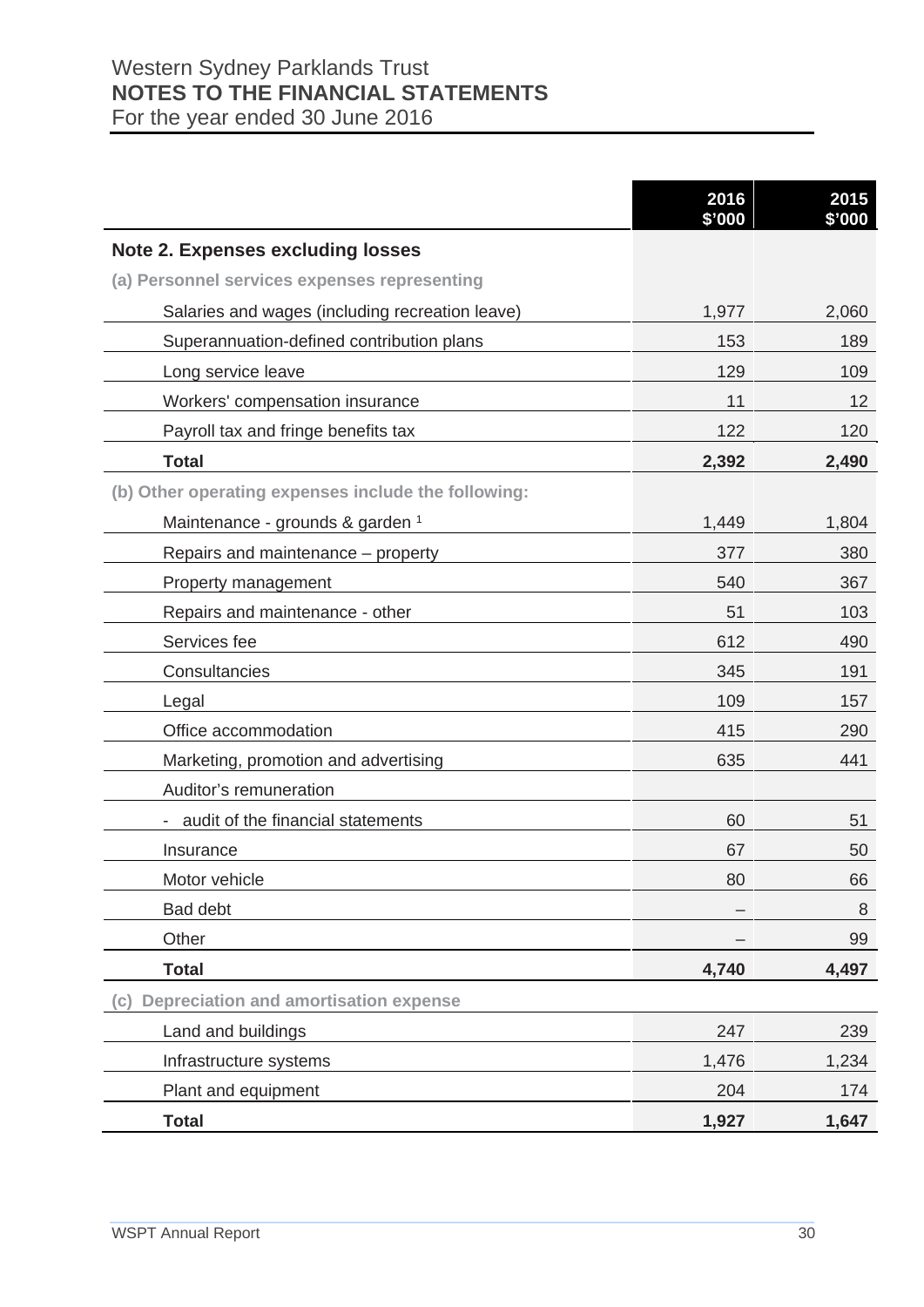|                                                     | 2016<br>\$'000 | 2015<br>\$'000 |
|-----------------------------------------------------|----------------|----------------|
| <b>Note 2. Expenses excluding losses</b>            |                |                |
| (a) Personnel services expenses representing        |                |                |
| Salaries and wages (including recreation leave)     | 1,977          | 2,060          |
| Superannuation-defined contribution plans           | 153            | 189            |
| Long service leave                                  | 129            | 109            |
| Workers' compensation insurance                     | 11             | 12             |
| Payroll tax and fringe benefits tax                 | 122            | 120            |
| <b>Total</b>                                        | 2,392          | 2,490          |
| (b) Other operating expenses include the following: |                |                |
| Maintenance - grounds & garden 1                    | 1,449          | 1,804          |
| Repairs and maintenance – property                  | 377            | 380            |
| Property management                                 | 540            | 367            |
| Repairs and maintenance - other                     | 51             | 103            |
| Services fee                                        | 612            | 490            |
| Consultancies                                       | 345            | 191            |
| Legal                                               | 109            | 157            |
| Office accommodation                                | 415            | 290            |
| Marketing, promotion and advertising                | 635            | 441            |
| Auditor's remuneration                              |                |                |
| audit of the financial statements                   | 60             | 51             |
| Insurance                                           | 67             | 50             |
| Motor vehicle                                       | 80             | 66             |
| <b>Bad debt</b>                                     |                | 8              |
| Other                                               |                | 99             |
| <b>Total</b>                                        | 4,740          | 4,497          |
| <b>Depreciation and amortisation expense</b><br>(c) |                |                |
| Land and buildings                                  | 247            | 239            |
| Infrastructure systems                              | 1,476          | 1,234          |
| Plant and equipment                                 | 204            | 174            |
| <b>Total</b>                                        | 1,927          | 1,647          |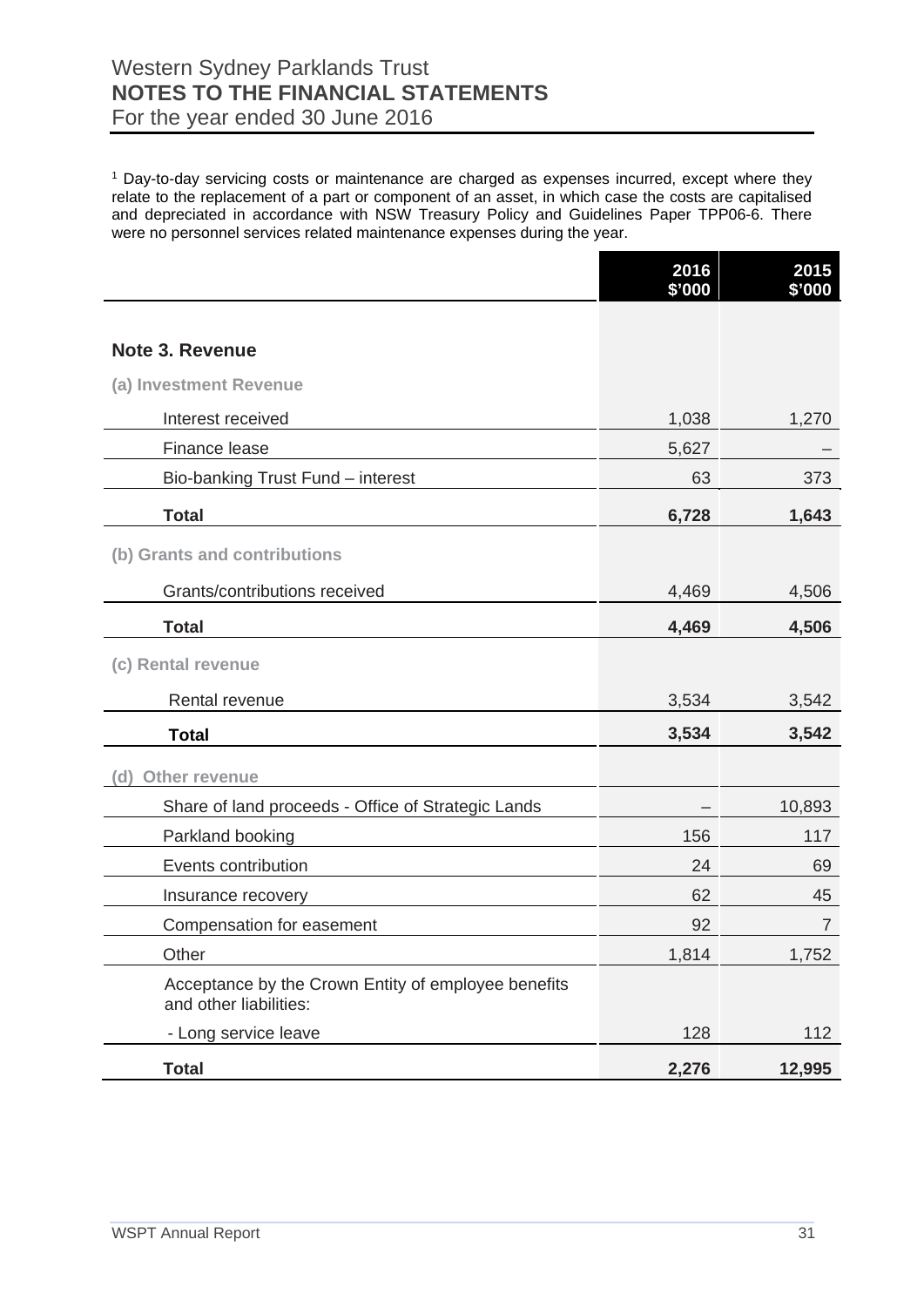## Western Sydney Parklands Trust **NOTES TO THE FINANCIAL STATEMENTS**

For the year ended 30 June 2016

<sup>1</sup> Day-to-day servicing costs or maintenance are charged as expenses incurred, except where they relate to the replacement of a part or component of an asset, in which case the costs are capitalised and depreciated in accordance with NSW Treasury Policy and Guidelines Paper TPP06-6. There were no personnel services related maintenance expenses during the year.

|                                                                               | 2016<br>\$'000 | 2015<br>\$'000 |
|-------------------------------------------------------------------------------|----------------|----------------|
|                                                                               |                |                |
| <b>Note 3. Revenue</b>                                                        |                |                |
| (a) Investment Revenue                                                        |                |                |
| Interest received                                                             | 1,038          | 1,270          |
| Finance lease                                                                 | 5,627          |                |
| Bio-banking Trust Fund - interest                                             | 63             | 373            |
| <b>Total</b>                                                                  | 6,728          | 1,643          |
| (b) Grants and contributions                                                  |                |                |
| Grants/contributions received                                                 | 4,469          | 4,506          |
| <b>Total</b>                                                                  | 4,469          | 4,506          |
| (c) Rental revenue                                                            |                |                |
| Rental revenue                                                                | 3,534          | 3,542          |
| <b>Total</b>                                                                  | 3,534          | 3,542          |
| Other revenue<br>(d)                                                          |                |                |
| Share of land proceeds - Office of Strategic Lands                            |                | 10,893         |
| Parkland booking                                                              | 156            | 117            |
| Events contribution                                                           | 24             | 69             |
| Insurance recovery                                                            | 62             | 45             |
| Compensation for easement                                                     | 92             | 7              |
| Other                                                                         | 1,814          | 1,752          |
| Acceptance by the Crown Entity of employee benefits<br>and other liabilities: |                |                |
| - Long service leave                                                          | 128            | 112            |
| <b>Total</b>                                                                  | 2,276          | 12,995         |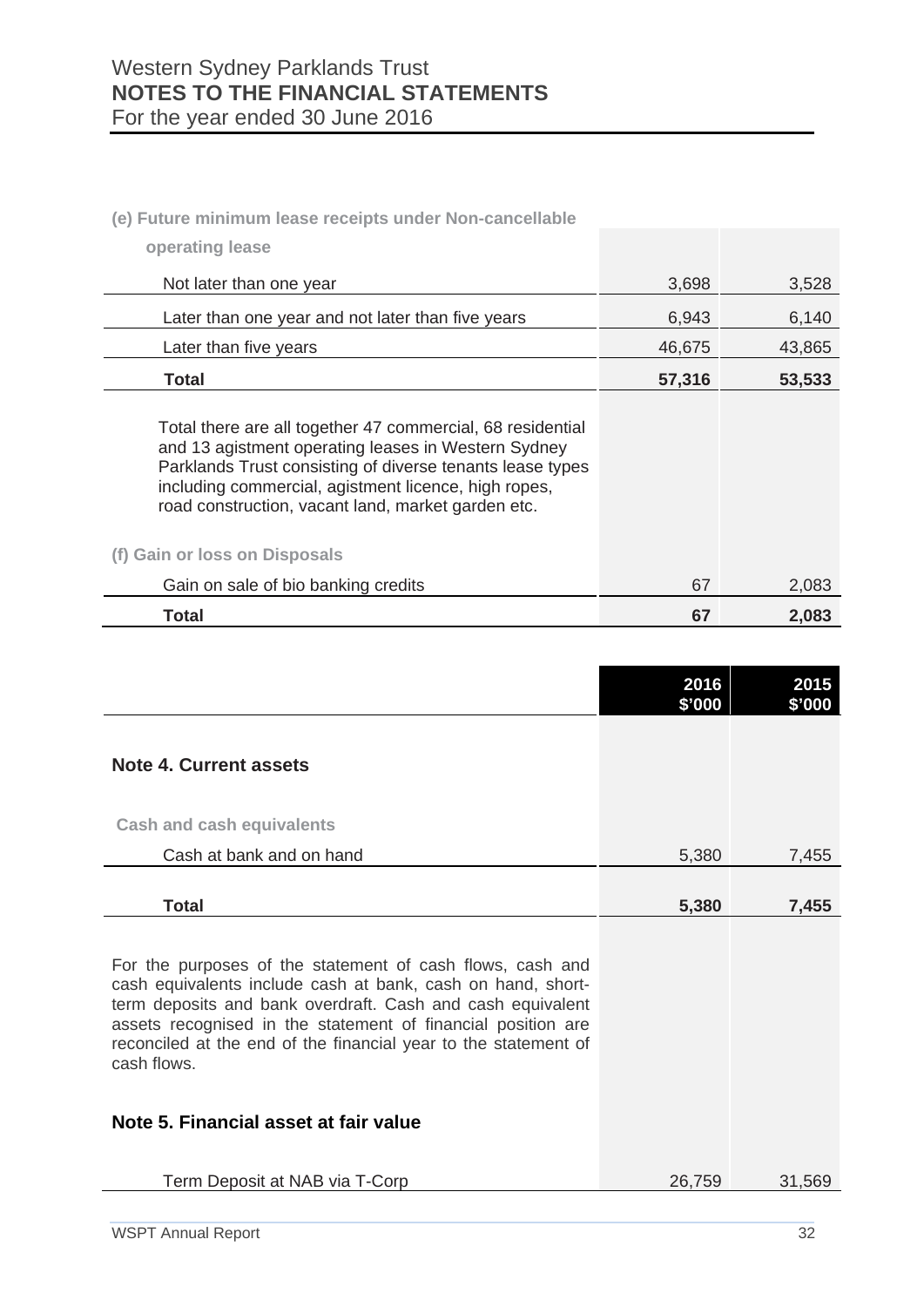## **(e) Future minimum lease receipts under Non-cancellable**

| operating lease                                                                                                                                                                                                                                                                              |        |        |
|----------------------------------------------------------------------------------------------------------------------------------------------------------------------------------------------------------------------------------------------------------------------------------------------|--------|--------|
| Not later than one year                                                                                                                                                                                                                                                                      | 3,698  | 3,528  |
| Later than one year and not later than five years                                                                                                                                                                                                                                            | 6,943  | 6,140  |
| Later than five years                                                                                                                                                                                                                                                                        | 46,675 | 43,865 |
| Total                                                                                                                                                                                                                                                                                        | 57,316 | 53,533 |
| Total there are all together 47 commercial, 68 residential<br>and 13 agistment operating leases in Western Sydney<br>Parklands Trust consisting of diverse tenants lease types<br>including commercial, agistment licence, high ropes,<br>road construction, vacant land, market garden etc. |        |        |
| (f) Gain or loss on Disposals                                                                                                                                                                                                                                                                |        |        |
| Gain on sale of bio banking credits                                                                                                                                                                                                                                                          | 67     | 2,083  |
| Total                                                                                                                                                                                                                                                                                        | 67     | 2,083  |

|                                                                                                                                                                                                                                                                                                                                          | 2016<br>\$'000 | 2015<br>\$'000 |
|------------------------------------------------------------------------------------------------------------------------------------------------------------------------------------------------------------------------------------------------------------------------------------------------------------------------------------------|----------------|----------------|
| <b>Note 4. Current assets</b>                                                                                                                                                                                                                                                                                                            |                |                |
| <b>Cash and cash equivalents</b>                                                                                                                                                                                                                                                                                                         |                |                |
| Cash at bank and on hand                                                                                                                                                                                                                                                                                                                 | 5,380          | 7,455          |
| <b>Total</b>                                                                                                                                                                                                                                                                                                                             | 5,380          | 7,455          |
| For the purposes of the statement of cash flows, cash and<br>cash equivalents include cash at bank, cash on hand, short-<br>term deposits and bank overdraft. Cash and cash equivalent<br>assets recognised in the statement of financial position are<br>reconciled at the end of the financial year to the statement of<br>cash flows. |                |                |
| Note 5. Financial asset at fair value                                                                                                                                                                                                                                                                                                    |                |                |
| Term Deposit at NAB via T-Corp                                                                                                                                                                                                                                                                                                           | 26,759         | 31,569         |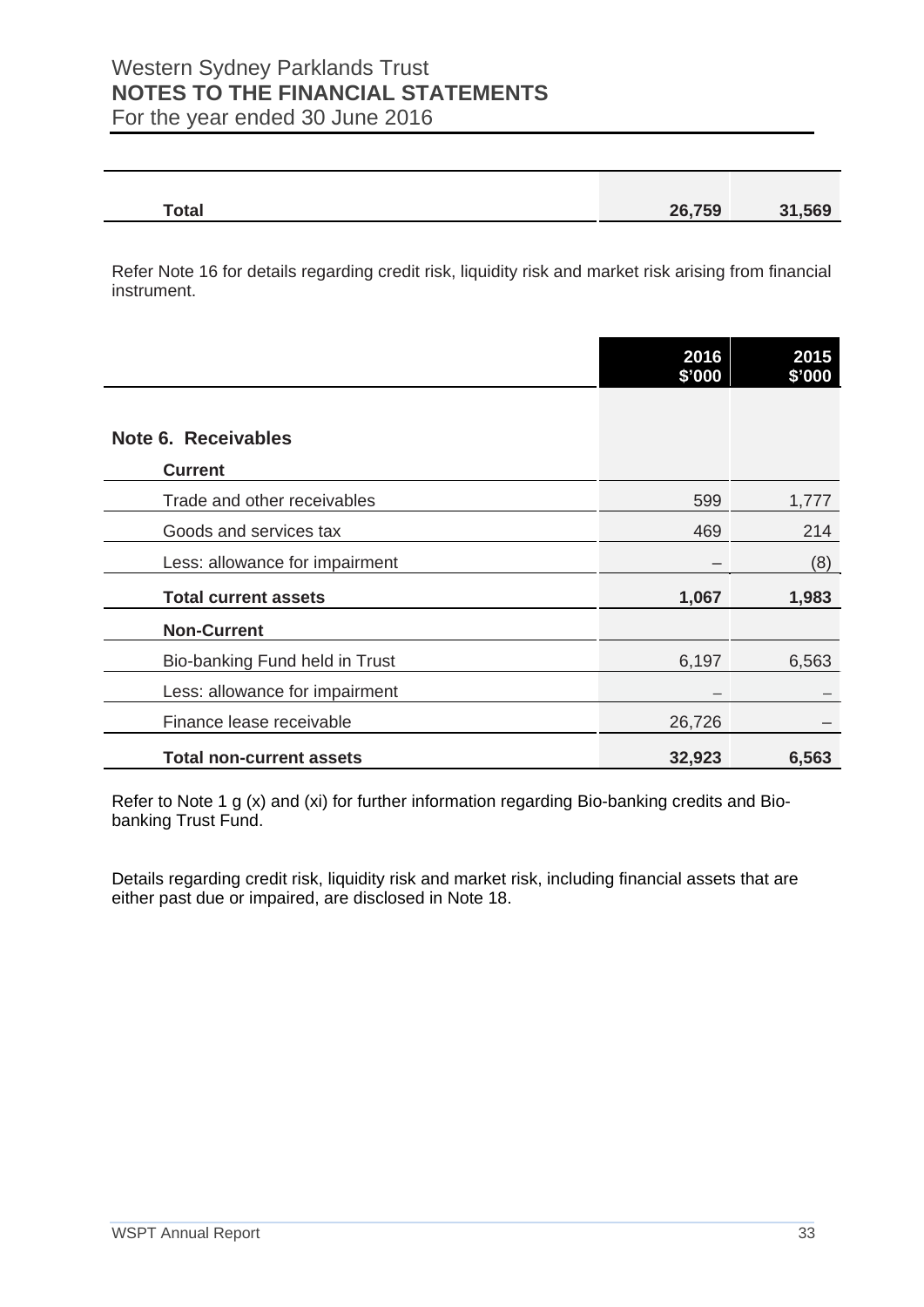| $\overline{\phantom{a}}$<br>υιαι | <b>26 750</b><br>nu<br>JJ<br>$-$ |  |
|----------------------------------|----------------------------------|--|
|                                  |                                  |  |

Refer Note 16 for details regarding credit risk, liquidity risk and market risk arising from financial instrument.

|                                 | 2016<br>\$'000 | 2015<br>\$'000 |
|---------------------------------|----------------|----------------|
|                                 |                |                |
| Note 6. Receivables             |                |                |
| <b>Current</b>                  |                |                |
| Trade and other receivables     | 599            | 1,777          |
| Goods and services tax          | 469            | 214            |
| Less: allowance for impairment  |                | (8)            |
| <b>Total current assets</b>     | 1,067          | 1,983          |
| <b>Non-Current</b>              |                |                |
| Bio-banking Fund held in Trust  | 6,197          | 6,563          |
| Less: allowance for impairment  |                |                |
| Finance lease receivable        | 26,726         |                |
| <b>Total non-current assets</b> | 32,923         | 6,563          |

Refer to Note 1 g (x) and (xi) for further information regarding Bio-banking credits and Biobanking Trust Fund.

Details regarding credit risk, liquidity risk and market risk, including financial assets that are either past due or impaired, are disclosed in Note 18.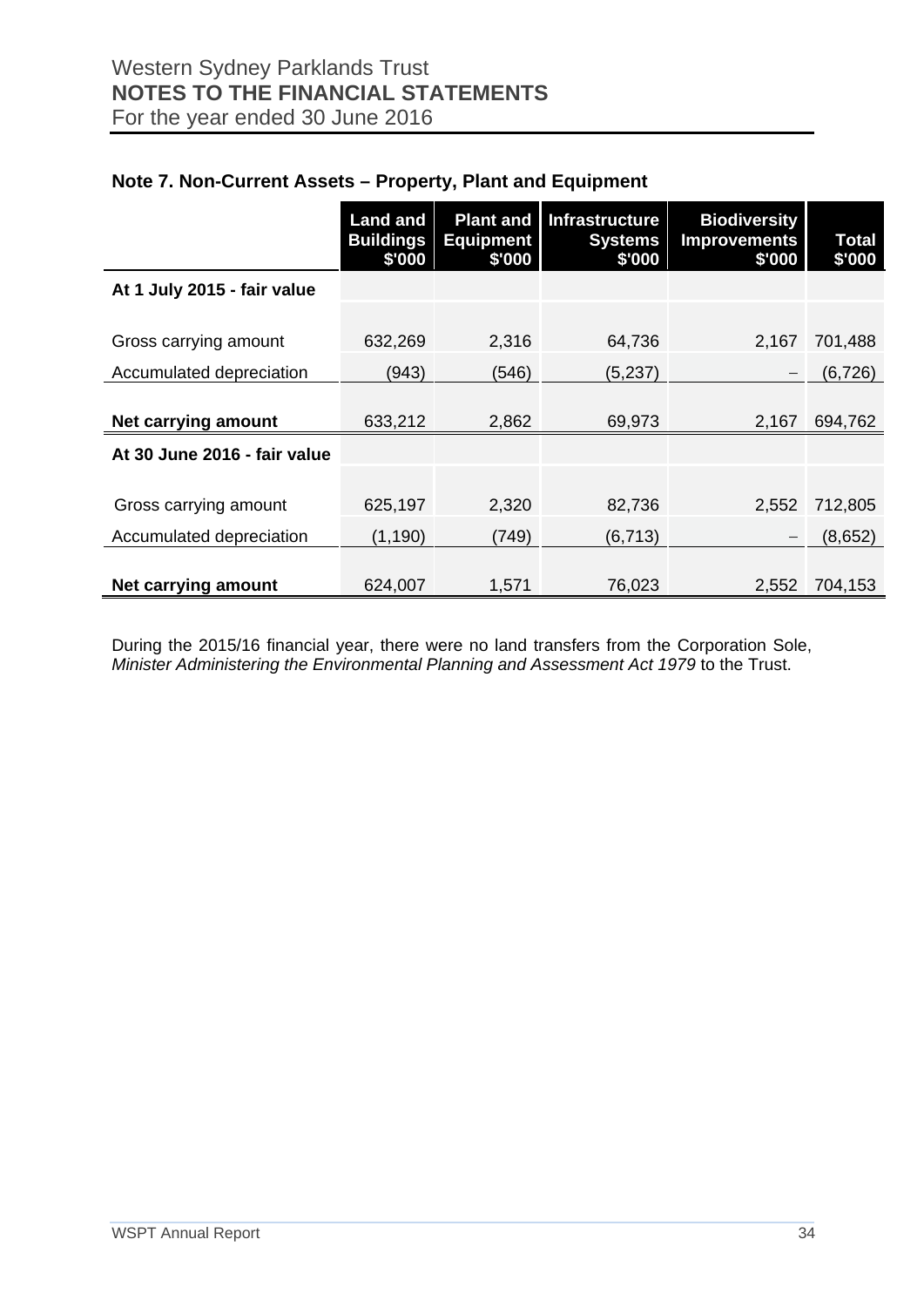|                              | <b>Land and</b><br><b>Buildings</b><br>\$'000 | <b>Plant and</b><br><b>Equipment</b><br>\$'000 | Infrastructure<br><b>Systems</b><br>\$'000 | <b>Biodiversity</b><br><b>Improvements</b><br>\$'000 | Total<br>\$'000 |
|------------------------------|-----------------------------------------------|------------------------------------------------|--------------------------------------------|------------------------------------------------------|-----------------|
| At 1 July 2015 - fair value  |                                               |                                                |                                            |                                                      |                 |
|                              |                                               |                                                |                                            |                                                      |                 |
| Gross carrying amount        | 632,269                                       | 2,316                                          | 64,736                                     | 2,167                                                | 701,488         |
| Accumulated depreciation     | (943)                                         | (546)                                          | (5, 237)                                   |                                                      | (6, 726)        |
|                              |                                               |                                                |                                            |                                                      |                 |
| Net carrying amount          | 633,212                                       | 2,862                                          | 69,973                                     | 2,167                                                | 694,762         |
| At 30 June 2016 - fair value |                                               |                                                |                                            |                                                      |                 |
|                              |                                               |                                                |                                            |                                                      |                 |
| Gross carrying amount        | 625,197                                       | 2,320                                          | 82,736                                     | 2,552                                                | 712,805         |
| Accumulated depreciation     | (1, 190)                                      | (749)                                          | (6, 713)                                   |                                                      | (8,652)         |
|                              |                                               |                                                |                                            |                                                      |                 |
| Net carrying amount          | 624,007                                       | 1,571                                          | 76,023                                     | 2,552                                                | 704,153         |

## **Note 7. Non-Current Assets – Property, Plant and Equipment**

During the 2015/16 financial year, there were no land transfers from the Corporation Sole, *Minister Administering the Environmental Planning and Assessment Act 1979* to the Trust.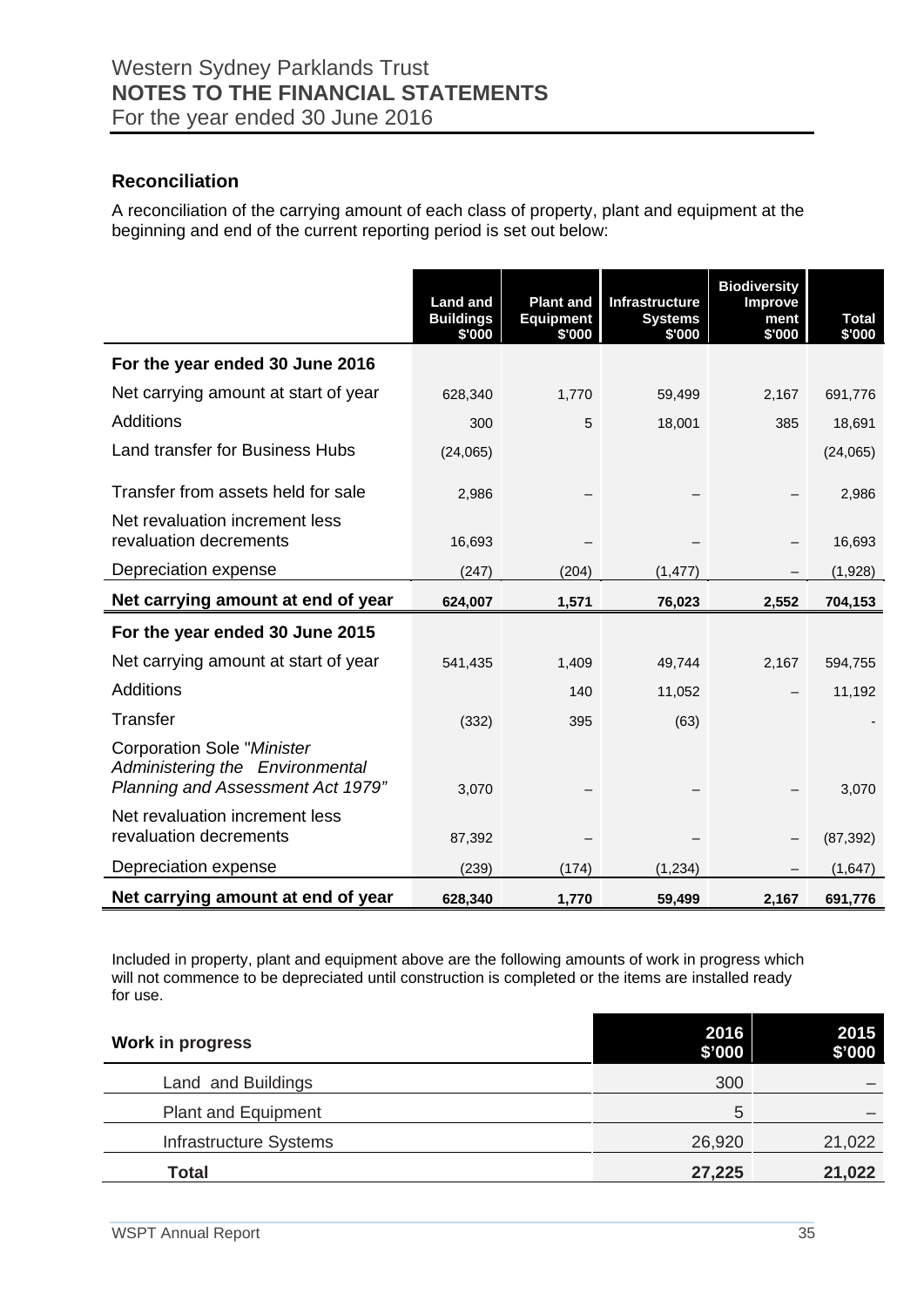## **Reconciliation**

A reconciliation of the carrying amount of each class of property, plant and equipment at the beginning and end of the current reporting period is set out below:

|                                                                                                                  | <b>Land and</b><br><b>Buildings</b><br>\$'000 | <b>Plant and</b><br><b>Equipment</b><br>\$'000 | <b>Infrastructure</b><br><b>Systems</b><br>\$'000 | <b>Biodiversity</b><br><b>Improve</b><br>ment<br>\$'000 | <b>Total</b><br>\$'000 |
|------------------------------------------------------------------------------------------------------------------|-----------------------------------------------|------------------------------------------------|---------------------------------------------------|---------------------------------------------------------|------------------------|
| For the year ended 30 June 2016                                                                                  |                                               |                                                |                                                   |                                                         |                        |
| Net carrying amount at start of year                                                                             | 628,340                                       | 1,770                                          | 59,499                                            | 2,167                                                   | 691,776                |
| Additions                                                                                                        | 300                                           | 5                                              | 18,001                                            | 385                                                     | 18,691                 |
| <b>Land transfer for Business Hubs</b>                                                                           | (24,065)                                      |                                                |                                                   |                                                         | (24,065)               |
| Transfer from assets held for sale                                                                               | 2,986                                         |                                                |                                                   |                                                         | 2,986                  |
| Net revaluation increment less<br>revaluation decrements                                                         | 16,693                                        |                                                |                                                   |                                                         | 16,693                 |
| Depreciation expense                                                                                             | (247)                                         | (204)                                          | (1, 477)                                          |                                                         | (1,928)                |
| Net carrying amount at end of year                                                                               | 624,007                                       | 1,571                                          | 76,023                                            | 2,552                                                   | 704,153                |
| For the year ended 30 June 2015                                                                                  |                                               |                                                |                                                   |                                                         |                        |
| Net carrying amount at start of year                                                                             | 541,435                                       | 1,409                                          | 49,744                                            | 2,167                                                   | 594,755                |
| Additions                                                                                                        |                                               | 140                                            | 11,052                                            |                                                         | 11,192                 |
| Transfer                                                                                                         | (332)                                         | 395                                            | (63)                                              |                                                         |                        |
| <b>Corporation Sole "Minister</b><br>Administering the Environmental<br><b>Planning and Assessment Act 1979"</b> | 3,070                                         |                                                |                                                   |                                                         | 3,070                  |
| Net revaluation increment less<br>revaluation decrements                                                         | 87,392                                        |                                                |                                                   |                                                         | (87, 392)              |
| Depreciation expense                                                                                             | (239)                                         | (174)                                          | (1, 234)                                          |                                                         | (1,647)                |
| Net carrying amount at end of year                                                                               | 628,340                                       | 1,770                                          | 59,499                                            | 2,167                                                   | 691,776                |

Included in property, plant and equipment above are the following amounts of work in progress which will not commence to be depreciated until construction is completed or the items are installed ready for use.

| <b>Work in progress</b>    | 2016<br>\$'000 | 2015<br>\$'000 |
|----------------------------|----------------|----------------|
| Land and Buildings         | 300            |                |
| <b>Plant and Equipment</b> | 5              |                |
| Infrastructure Systems     | 26,920         | 21,022         |
| <b>Total</b>               | 27,225         | 21,022         |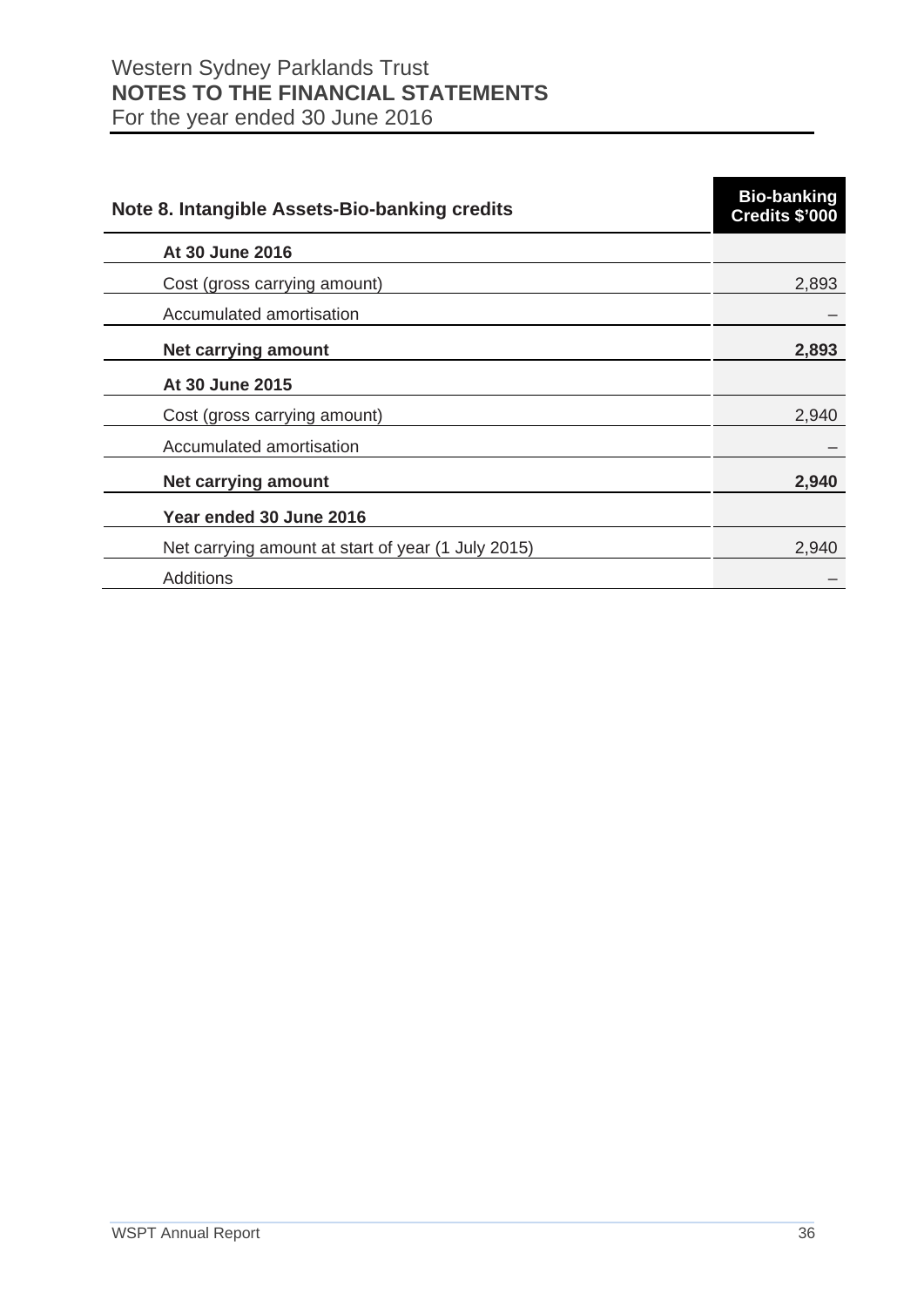| Note 8. Intangible Assets-Bio-banking credits      | <b>Bio-banking</b><br>Credits \$'000 |
|----------------------------------------------------|--------------------------------------|
| At 30 June 2016                                    |                                      |
| Cost (gross carrying amount)                       | 2,893                                |
| Accumulated amortisation                           |                                      |
| <b>Net carrying amount</b>                         | 2,893                                |
| At 30 June 2015                                    |                                      |
| Cost (gross carrying amount)                       | 2,940                                |
| Accumulated amortisation                           |                                      |
| <b>Net carrying amount</b>                         | 2,940                                |
| Year ended 30 June 2016                            |                                      |
| Net carrying amount at start of year (1 July 2015) | 2,940                                |
| Additions                                          |                                      |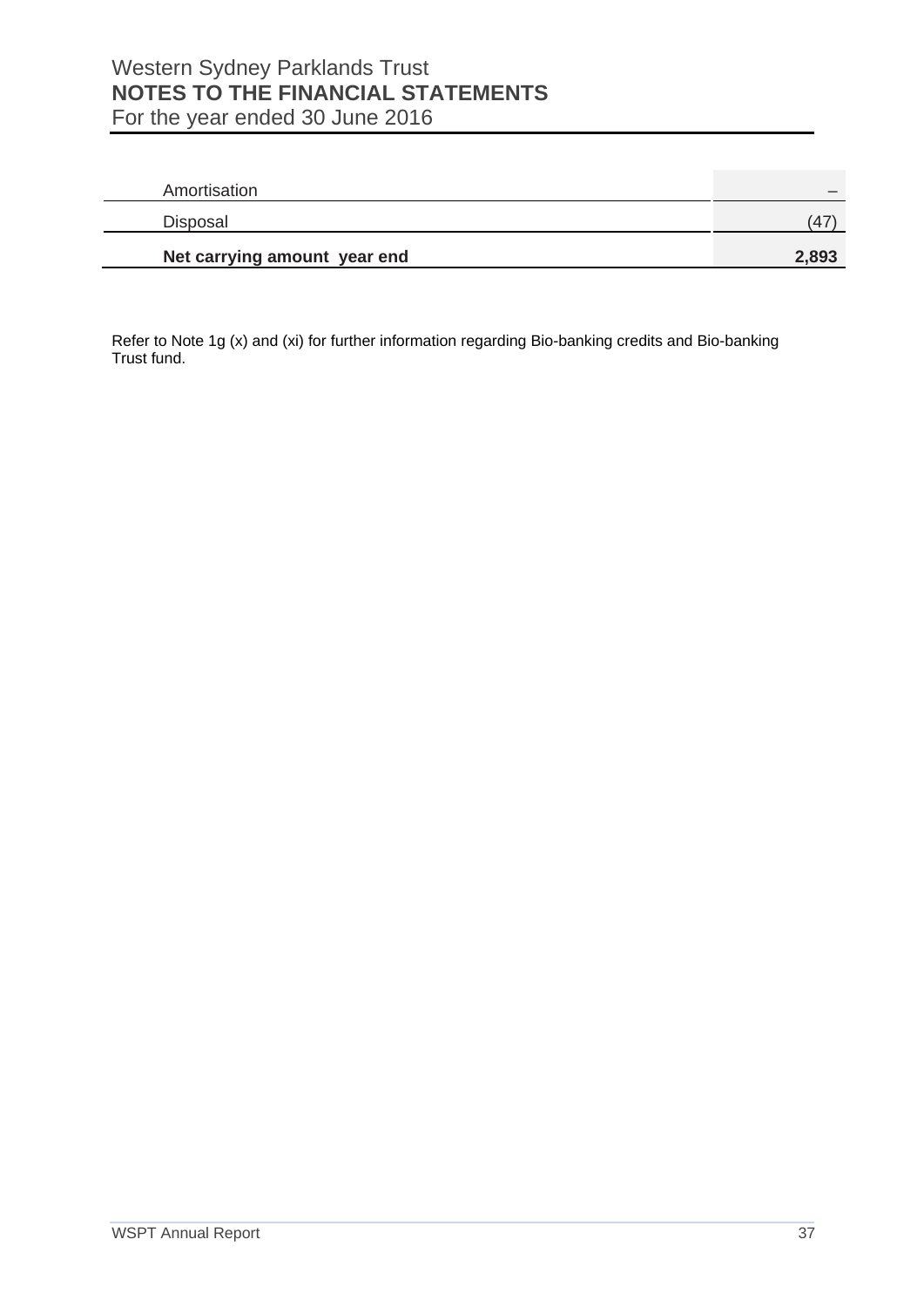| Amortisation                 |       |
|------------------------------|-------|
| Disposal                     | .47   |
| Net carrying amount year end | 2,893 |

Refer to Note 1g (x) and (xi) for further information regarding Bio-banking credits and Bio-banking Trust fund.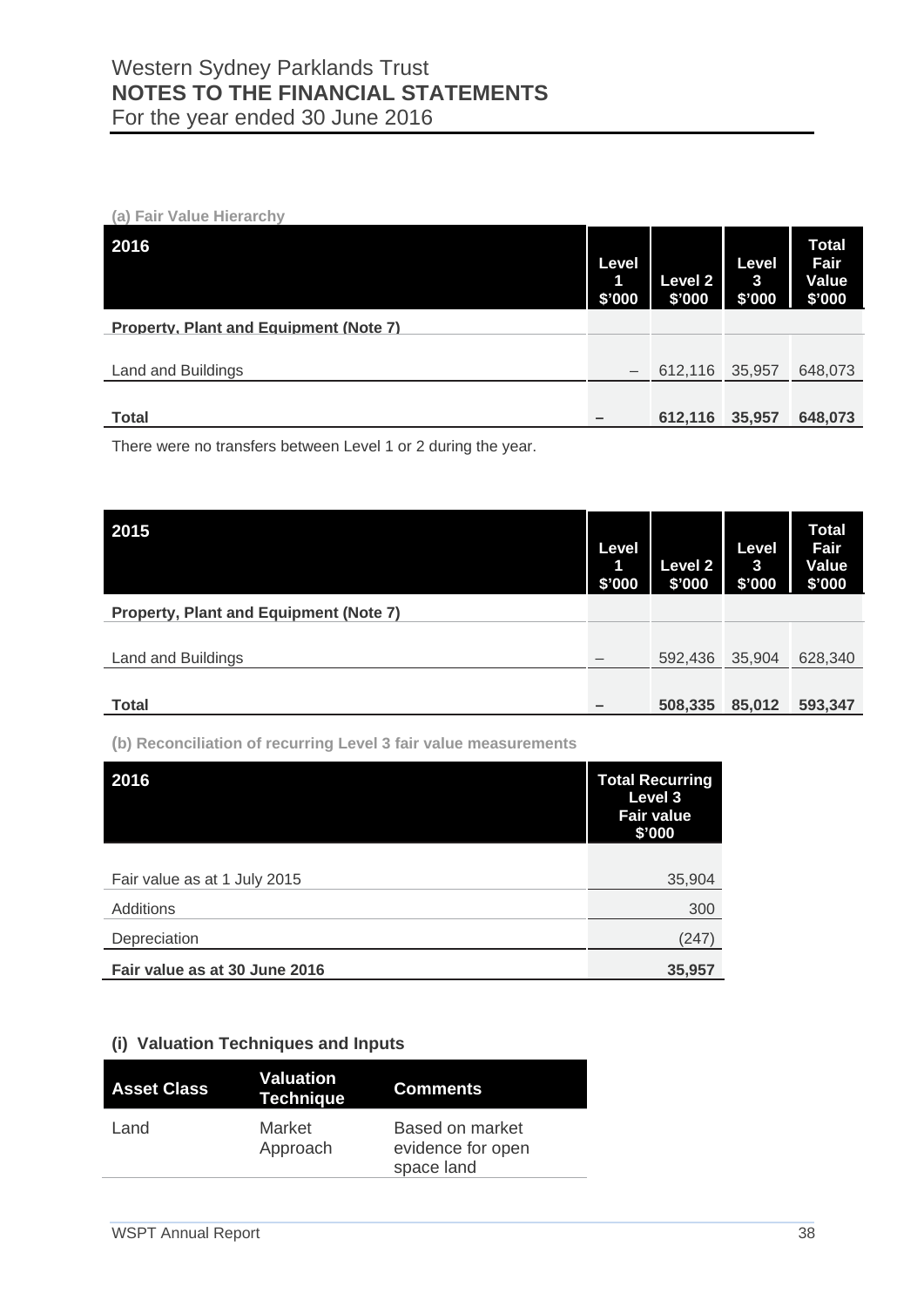**(a) Fair Value Hierarchy**

| 2016                                          | Level<br>1<br>\$'000 | <b>Level 2</b><br>\$'000 | Level<br>$\mathbf{3}$<br>\$'000 | <b>Total</b><br>Fair<br>Value<br>\$'000 |
|-----------------------------------------------|----------------------|--------------------------|---------------------------------|-----------------------------------------|
| <b>Property, Plant and Equipment (Note 7)</b> |                      |                          |                                 |                                         |
|                                               |                      |                          |                                 |                                         |
| Land and Buildings                            |                      | 612,116                  | 35,957                          | 648,073                                 |
|                                               |                      |                          |                                 |                                         |
| <b>Total</b>                                  |                      | 612,116                  | 35,957                          | 648,073                                 |

There were no transfers between Level 1 or 2 during the year.

| 2015                                          | Level<br>1<br>\$'000 | <b>Level 2</b><br>\$'000 | Level<br>$\mathbf{3}$<br>\$'000 | <b>Total</b><br>Fair<br>Value<br>\$'000 |
|-----------------------------------------------|----------------------|--------------------------|---------------------------------|-----------------------------------------|
| <b>Property, Plant and Equipment (Note 7)</b> |                      |                          |                                 |                                         |
|                                               |                      |                          |                                 |                                         |
| Land and Buildings                            |                      | 592,436                  | 35,904                          | 628,340                                 |
|                                               |                      |                          |                                 |                                         |
| <b>Total</b>                                  |                      | 508,335                  | 85,012                          | 593,347                                 |

**(b) Reconciliation of recurring Level 3 fair value measurements**

| 2016                          | <b>Total Recurring</b><br>Level 3<br><b>Fair value</b><br>\$'000 |
|-------------------------------|------------------------------------------------------------------|
|                               |                                                                  |
| Fair value as at 1 July 2015  | 35,904                                                           |
| Additions                     | 300                                                              |
| Depreciation                  | (247)                                                            |
| Fair value as at 30 June 2016 | 35,957                                                           |

#### **(i) Valuation Techniques and Inputs**

| <b>Asset Class</b> | Valuation<br><b>Technique</b> | <b>Comments</b>                                           |
|--------------------|-------------------------------|-----------------------------------------------------------|
| Land               | Market<br>Approach            | <b>Based on market</b><br>evidence for open<br>space land |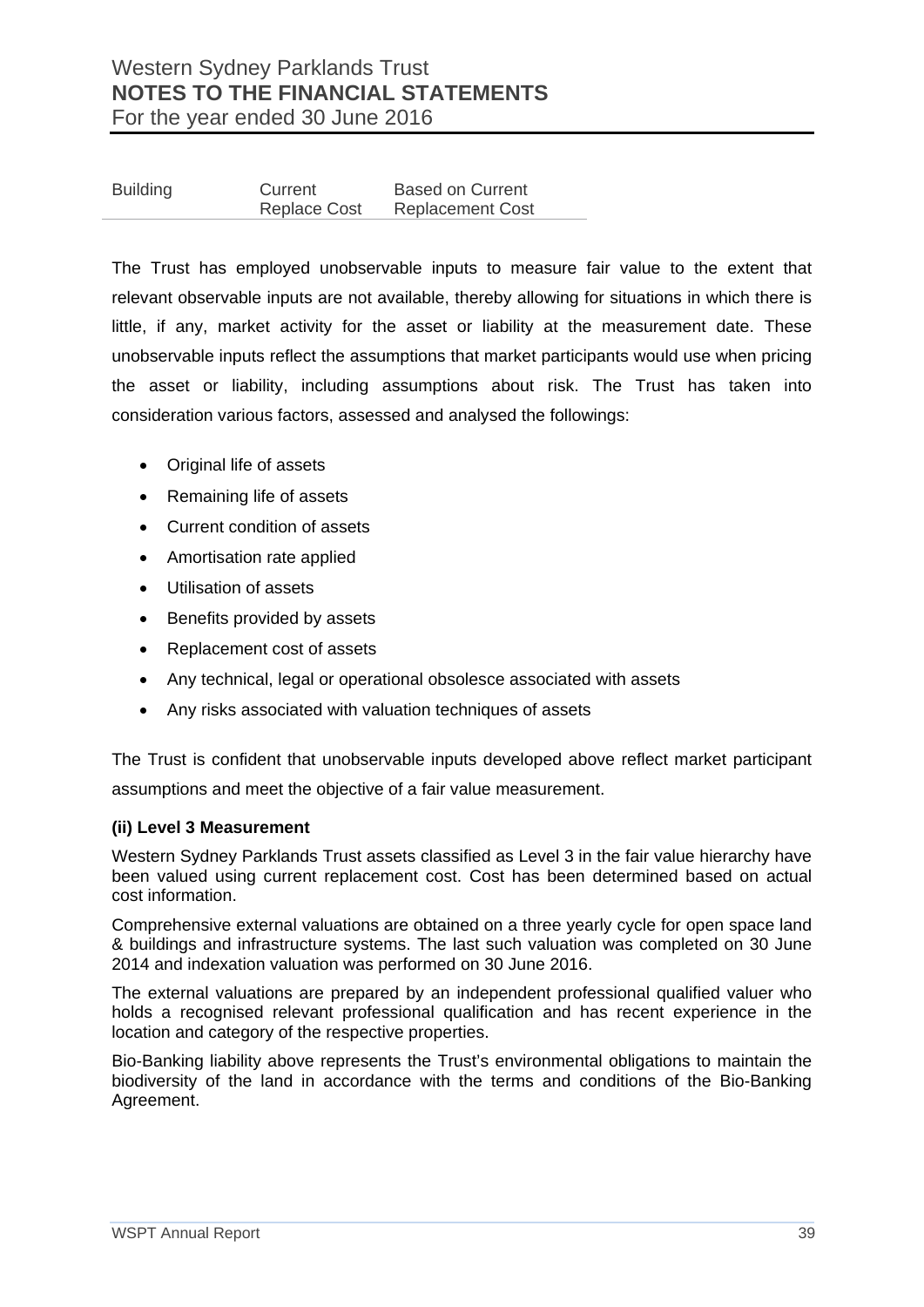| <b>Building</b> | Current             | <b>Based on Current</b> |
|-----------------|---------------------|-------------------------|
|                 | <b>Replace Cost</b> | <b>Replacement Cost</b> |

The Trust has employed unobservable inputs to measure fair value to the extent that relevant observable inputs are not available, thereby allowing for situations in which there is little, if any, market activity for the asset or liability at the measurement date. These unobservable inputs reflect the assumptions that market participants would use when pricing the asset or liability, including assumptions about risk. The Trust has taken into consideration various factors, assessed and analysed the followings:

- Original life of assets
- Remaining life of assets
- Current condition of assets
- Amortisation rate applied
- Utilisation of assets
- Benefits provided by assets
- Replacement cost of assets
- Any technical, legal or operational obsolesce associated with assets
- Any risks associated with valuation techniques of assets

The Trust is confident that unobservable inputs developed above reflect market participant assumptions and meet the objective of a fair value measurement.

#### **(ii) Level 3 Measurement**

Western Sydney Parklands Trust assets classified as Level 3 in the fair value hierarchy have been valued using current replacement cost. Cost has been determined based on actual cost information.

Comprehensive external valuations are obtained on a three yearly cycle for open space land & buildings and infrastructure systems. The last such valuation was completed on 30 June 2014 and indexation valuation was performed on 30 June 2016.

The external valuations are prepared by an independent professional qualified valuer who holds a recognised relevant professional qualification and has recent experience in the location and category of the respective properties.

Bio-Banking liability above represents the Trust's environmental obligations to maintain the biodiversity of the land in accordance with the terms and conditions of the Bio-Banking Agreement.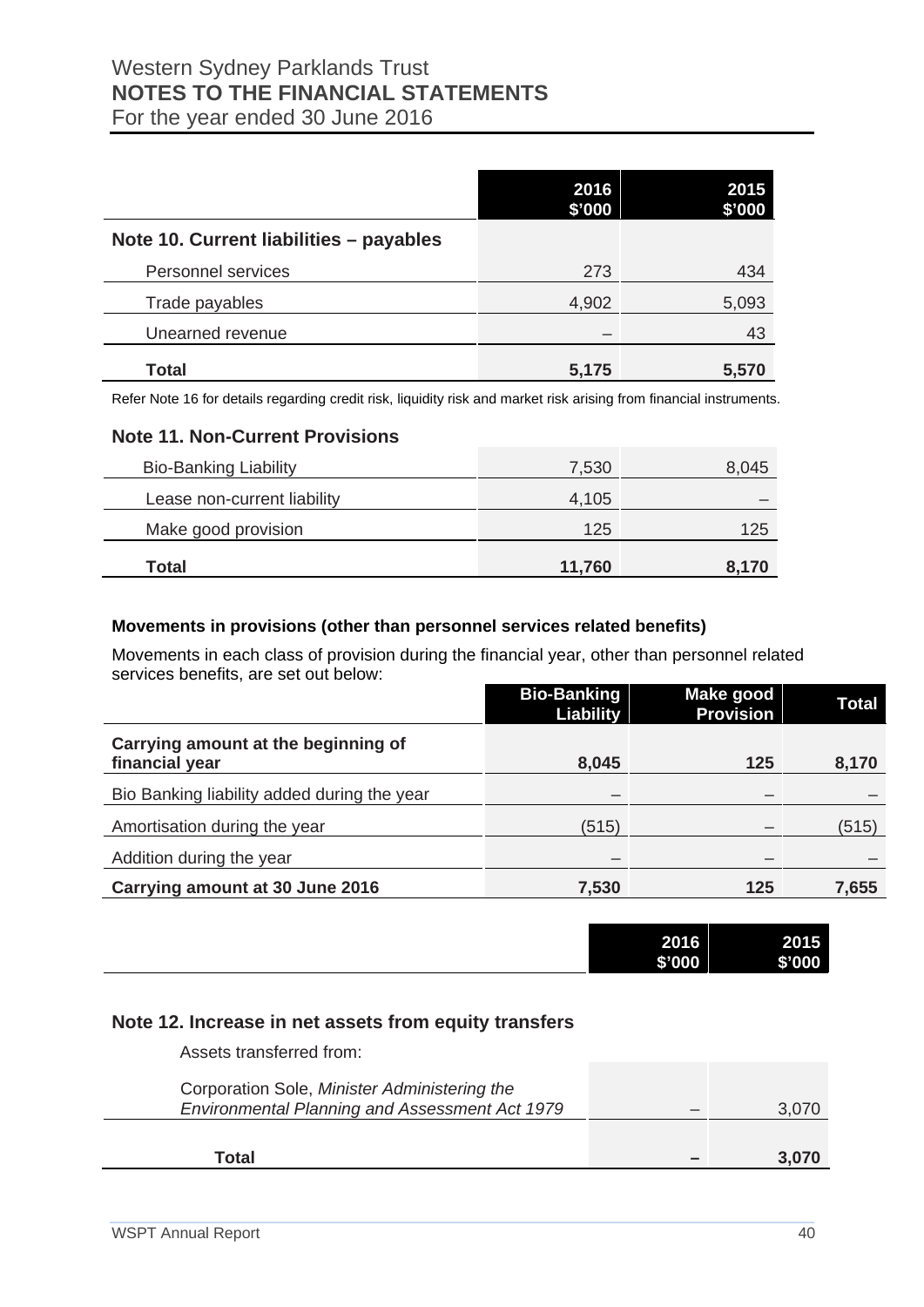|                                         | 2016<br>\$'000 | 2015<br>\$'000 |
|-----------------------------------------|----------------|----------------|
| Note 10. Current liabilities - payables |                |                |
| Personnel services                      | 273            | 434            |
| Trade payables                          | 4,902          | 5,093          |
| Unearned revenue                        |                | 43             |
| Total                                   | 5,175          | 5,570          |

Refer Note 16 for details regarding credit risk, liquidity risk and market risk arising from financial instruments.

#### **Note 11. Non-Current Provisions**

| Total                        | 11,760 | 8,170 |
|------------------------------|--------|-------|
|                              |        |       |
| Make good provision          | 125    | 125   |
| Lease non-current liability  | 4,105  |       |
| <b>Bio-Banking Liability</b> | 7,530  | 8,045 |
|                              |        |       |

#### **Movements in provisions (other than personnel services related benefits)**

Movements in each class of provision during the financial year, other than personnel related services benefits, are set out below:

|                                                       | <b>Bio-Banking</b><br>Liability | Make good<br><b>Provision</b> | Total |
|-------------------------------------------------------|---------------------------------|-------------------------------|-------|
| Carrying amount at the beginning of<br>financial year | 8,045                           | 125                           | 8,170 |
| Bio Banking liability added during the year           |                                 |                               |       |
| Amortisation during the year                          | (515)                           |                               | (515) |
| Addition during the year                              |                                 |                               |       |
| Carrying amount at 30 June 2016                       | 7,530                           | 125                           | 7,655 |

| 2016<br>\$'000 | 2015<br>\$'000 |
|----------------|----------------|
|                |                |

### **Note 12. Increase in net assets from equity transfers**

| Assets transferred from:                                                                       |       |
|------------------------------------------------------------------------------------------------|-------|
| Corporation Sole, Minister Administering the<br>Environmental Planning and Assessment Act 1979 | 3.070 |
| Total                                                                                          | 3.070 |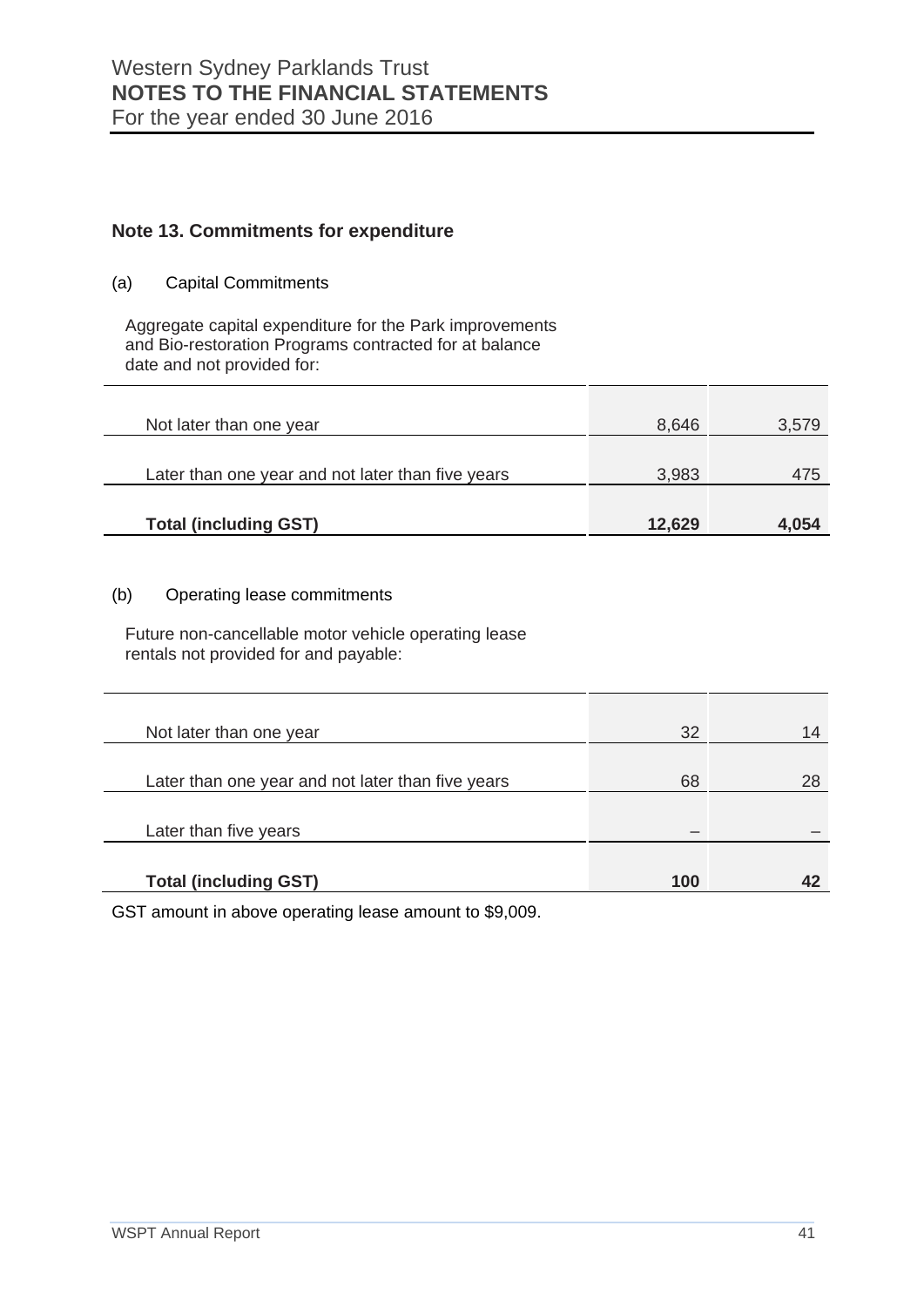## **Note 13. Commitments for expenditure**

(a) Capital Commitments

Aggregate capital expenditure for the Park improvements and Bio-restoration Programs contracted for at balance date and not provided for:

| Not later than one year                           | 8.646  | 3.579 |
|---------------------------------------------------|--------|-------|
| Later than one year and not later than five years | 3,983  | 475   |
| <b>Total (including GST)</b>                      | 12,629 | 4,054 |

#### (b) Operating lease commitments

Future non-cancellable motor vehicle operating lease rentals not provided for and payable:

| Not later than one year                           | 32  | 14 |
|---------------------------------------------------|-----|----|
|                                                   |     |    |
| Later than one year and not later than five years | 68  | 28 |
|                                                   |     |    |
| Later than five years                             |     |    |
|                                                   |     |    |
| <b>Total (including GST)</b>                      | 100 |    |
|                                                   |     |    |

GST amount in above operating lease amount to \$9,009.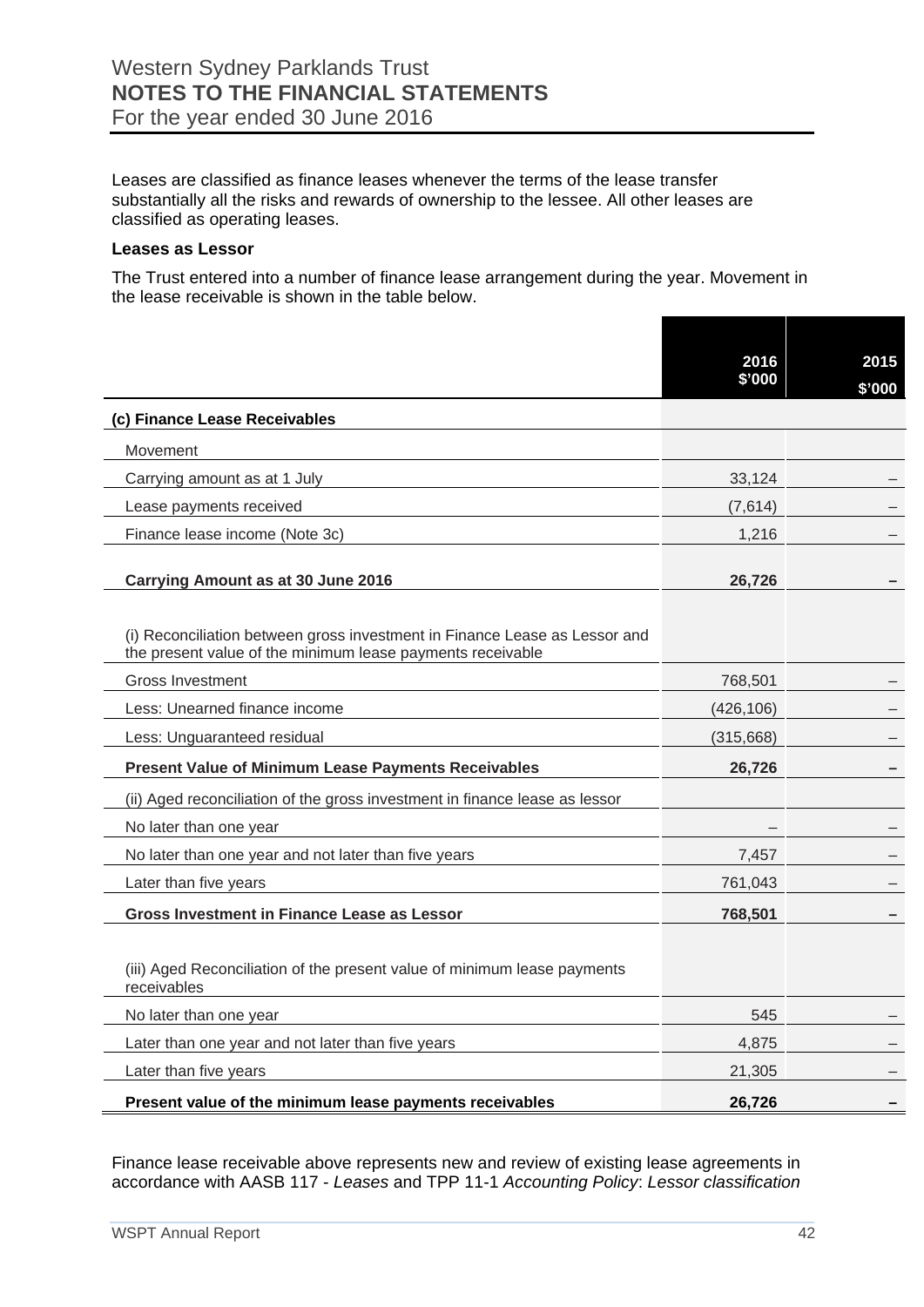Leases are classified as finance leases whenever the terms of the lease transfer substantially all the risks and rewards of ownership to the lessee. All other leases are classified as operating leases.

#### **Leases as Lessor**

The Trust entered into a number of finance lease arrangement during the year. Movement in the lease receivable is shown in the table below.

|                                                                                                                                          | 2016       | 2015   |
|------------------------------------------------------------------------------------------------------------------------------------------|------------|--------|
|                                                                                                                                          | \$'000     | \$'000 |
| (c) Finance Lease Receivables                                                                                                            |            |        |
| Movement                                                                                                                                 |            |        |
| Carrying amount as at 1 July                                                                                                             | 33,124     |        |
| Lease payments received                                                                                                                  | (7,614)    |        |
| Finance lease income (Note 3c)                                                                                                           | 1,216      |        |
| Carrying Amount as at 30 June 2016                                                                                                       | 26,726     |        |
| (i) Reconciliation between gross investment in Finance Lease as Lessor and<br>the present value of the minimum lease payments receivable |            |        |
| <b>Gross Investment</b>                                                                                                                  | 768,501    |        |
| Less: Unearned finance income                                                                                                            | (426, 106) |        |
| Less: Unguaranteed residual                                                                                                              | (315,668)  |        |
| <b>Present Value of Minimum Lease Payments Receivables</b>                                                                               | 26,726     |        |
| (ii) Aged reconciliation of the gross investment in finance lease as lessor                                                              |            |        |
| No later than one year                                                                                                                   |            |        |
| No later than one year and not later than five years                                                                                     | 7,457      |        |
| Later than five years                                                                                                                    | 761,043    |        |
| <b>Gross Investment in Finance Lease as Lessor</b>                                                                                       | 768,501    |        |
| (iii) Aged Reconciliation of the present value of minimum lease payments<br>receivables                                                  |            |        |
| No later than one year                                                                                                                   | 545        |        |
| Later than one year and not later than five years                                                                                        | 4.875      |        |
| Later than five years                                                                                                                    | 21,305     |        |
| Present value of the minimum lease payments receivables                                                                                  | 26,726     |        |

Finance lease receivable above represents new and review of existing lease agreements in accordance with AASB 117 - *Leases* and TPP 11-1 *Accounting Policy*: *Lessor classification*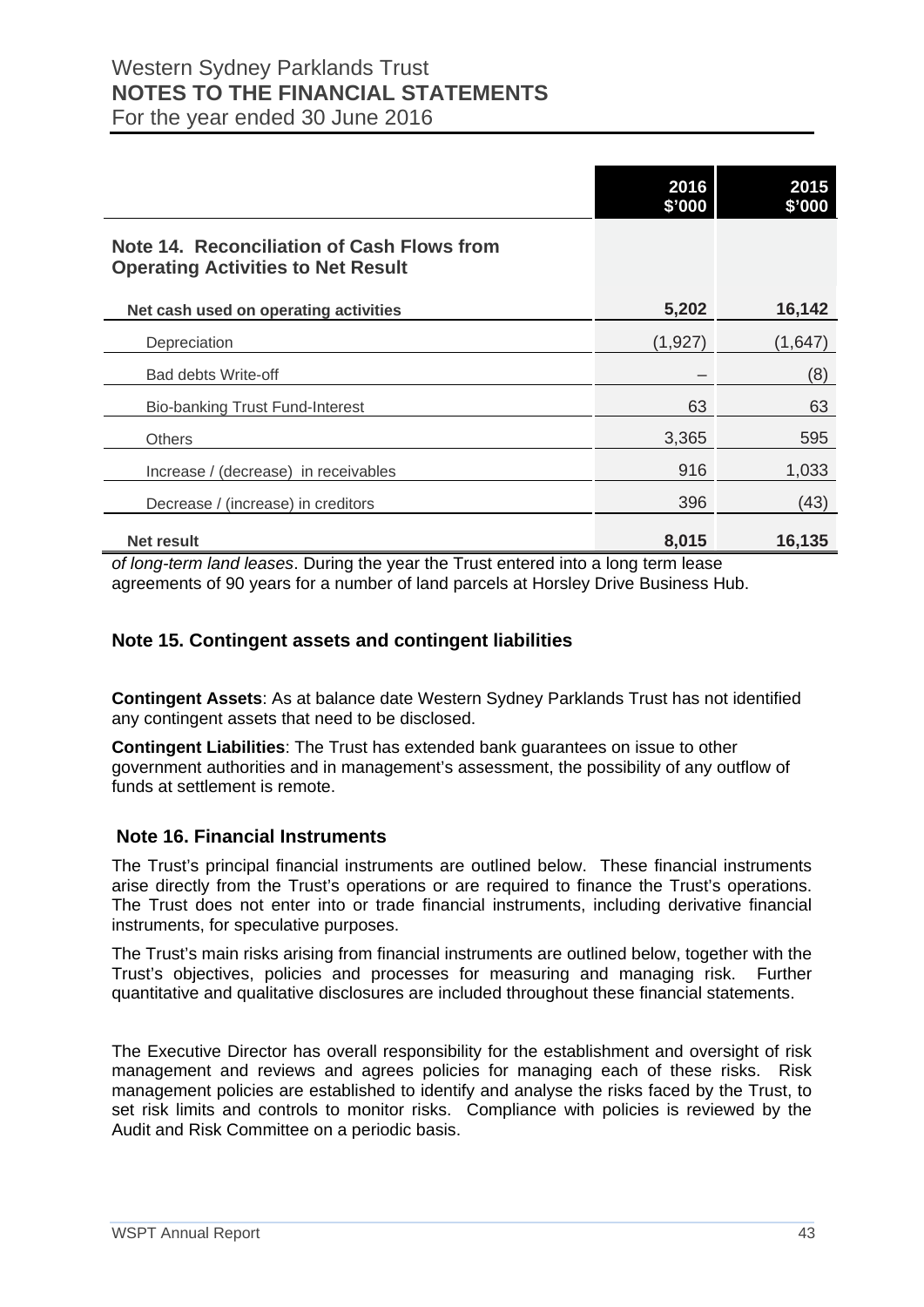|                                                                                                | 2016<br>\$'000 | 2015<br>\$'000 |
|------------------------------------------------------------------------------------------------|----------------|----------------|
| <b>Note 14. Reconciliation of Cash Flows from</b><br><b>Operating Activities to Net Result</b> |                |                |
| Net cash used on operating activities                                                          | 5,202          | 16,142         |
| Depreciation                                                                                   | (1, 927)       | (1,647)        |
| Bad debts Write-off                                                                            |                | (8)            |
| <b>Bio-banking Trust Fund-Interest</b>                                                         | 63             | 63             |
| <b>Others</b>                                                                                  | 3,365          | 595            |
| Increase / (decrease) in receivables                                                           | 916            | 1,033          |
| Decrease / (increase) in creditors                                                             | 396            | (43)           |
| Net result                                                                                     | 8,015          | 16,135         |
| of long-term land leases. During the year the Trust entered into a long term lease             |                |                |

*of long-term land leases*. During the year the Trust entered into a long term lease agreements of 90 years for a number of land parcels at Horsley Drive Business Hub.

#### **Note 15. Contingent assets and contingent liabilities**

**Contingent Assets**: As at balance date Western Sydney Parklands Trust has not identified any contingent assets that need to be disclosed.

**Contingent Liabilities**: The Trust has extended bank guarantees on issue to other government authorities and in management's assessment, the possibility of any outflow of funds at settlement is remote.

#### **Note 16. Financial Instruments**

The Trust's principal financial instruments are outlined below. These financial instruments arise directly from the Trust's operations or are required to finance the Trust's operations. The Trust does not enter into or trade financial instruments, including derivative financial instruments, for speculative purposes.

The Trust's main risks arising from financial instruments are outlined below, together with the Trust's objectives, policies and processes for measuring and managing risk. Further quantitative and qualitative disclosures are included throughout these financial statements.

The Executive Director has overall responsibility for the establishment and oversight of risk management and reviews and agrees policies for managing each of these risks. Risk management policies are established to identify and analyse the risks faced by the Trust, to set risk limits and controls to monitor risks. Compliance with policies is reviewed by the Audit and Risk Committee on a periodic basis.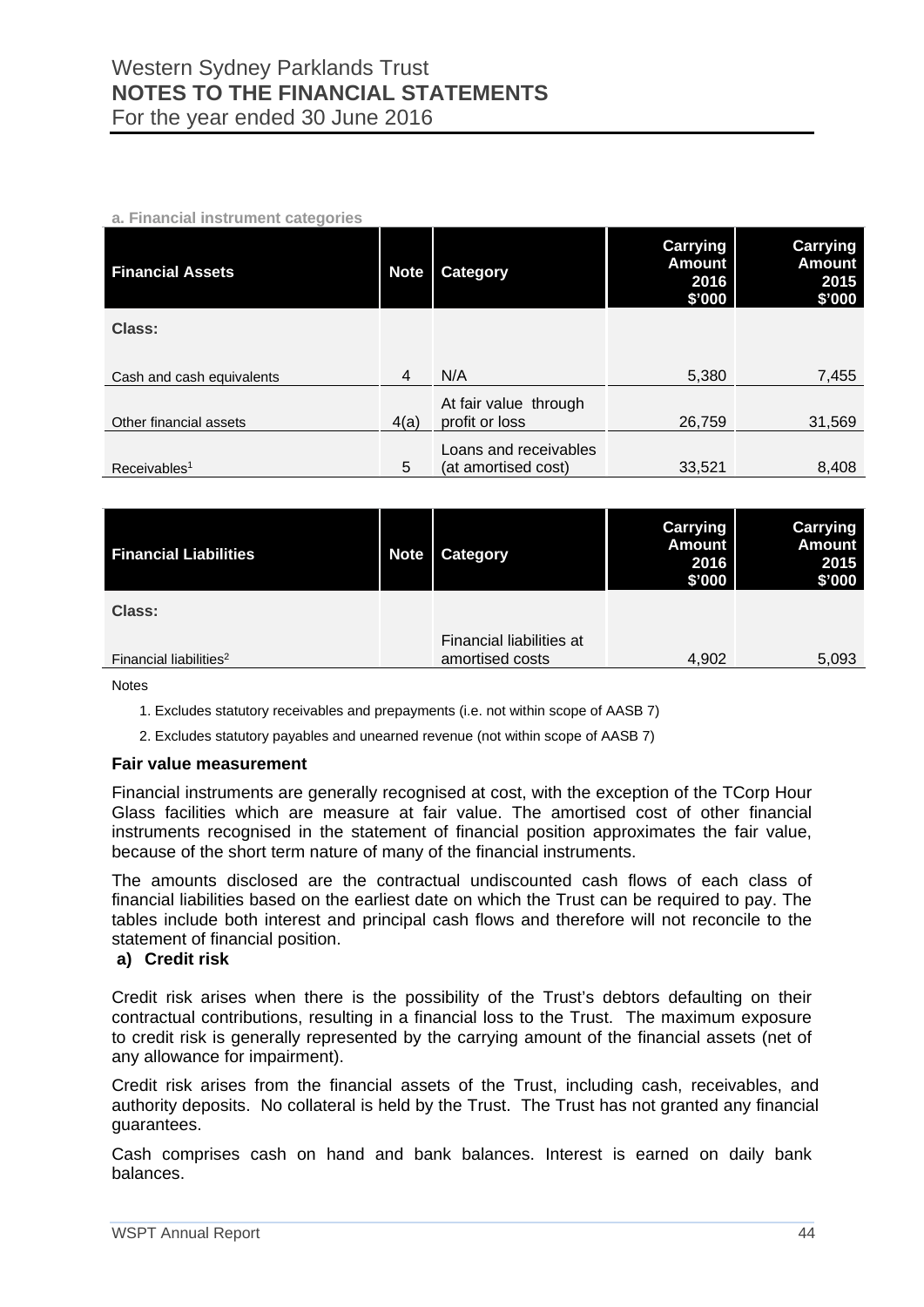#### **a. Financial instrument categories**

| <b>Financial Assets</b>   | <b>Note</b> | Category                                     | <b>Carrying</b><br><b>Amount</b><br>2016<br>\$'000 | <b>Carrying</b><br><b>Amount</b><br>2015<br>\$'000 |
|---------------------------|-------------|----------------------------------------------|----------------------------------------------------|----------------------------------------------------|
| Class:                    |             |                                              |                                                    |                                                    |
| Cash and cash equivalents | 4           | N/A                                          | 5,380                                              | 7,455                                              |
| Other financial assets    | 4(a)        | At fair value through<br>profit or loss      | 26,759                                             | 31,569                                             |
| Receivables <sup>1</sup>  | 5           | Loans and receivables<br>(at amortised cost) | 33,521                                             | 8,408                                              |

| <b>Financial Liabilities</b>       | <b>Note</b> | <b>Category</b>                             | <b>Carrying</b><br><b>Amount</b><br>2016<br>\$'000 | <b>Carrying</b><br><b>Amount</b><br>2015<br>\$'000 |
|------------------------------------|-------------|---------------------------------------------|----------------------------------------------------|----------------------------------------------------|
| Class:                             |             |                                             |                                                    |                                                    |
| Financial liabilities <sup>2</sup> |             | Financial liabilities at<br>amortised costs | 4,902                                              | 5,093                                              |

Notes

1. Excludes statutory receivables and prepayments (i.e. not within scope of AASB 7)

2. Excludes statutory payables and unearned revenue (not within scope of AASB 7)

#### **Fair value measurement**

Financial instruments are generally recognised at cost, with the exception of the TCorp Hour Glass facilities which are measure at fair value. The amortised cost of other financial instruments recognised in the statement of financial position approximates the fair value, because of the short term nature of many of the financial instruments.

The amounts disclosed are the contractual undiscounted cash flows of each class of financial liabilities based on the earliest date on which the Trust can be required to pay. The tables include both interest and principal cash flows and therefore will not reconcile to the statement of financial position.

#### **a) Credit risk**

Credit risk arises when there is the possibility of the Trust's debtors defaulting on their contractual contributions, resulting in a financial loss to the Trust. The maximum exposure to credit risk is generally represented by the carrying amount of the financial assets (net of any allowance for impairment).

Credit risk arises from the financial assets of the Trust, including cash, receivables, and authority deposits. No collateral is held by the Trust. The Trust has not granted any financial guarantees.

Cash comprises cash on hand and bank balances. Interest is earned on daily bank balances.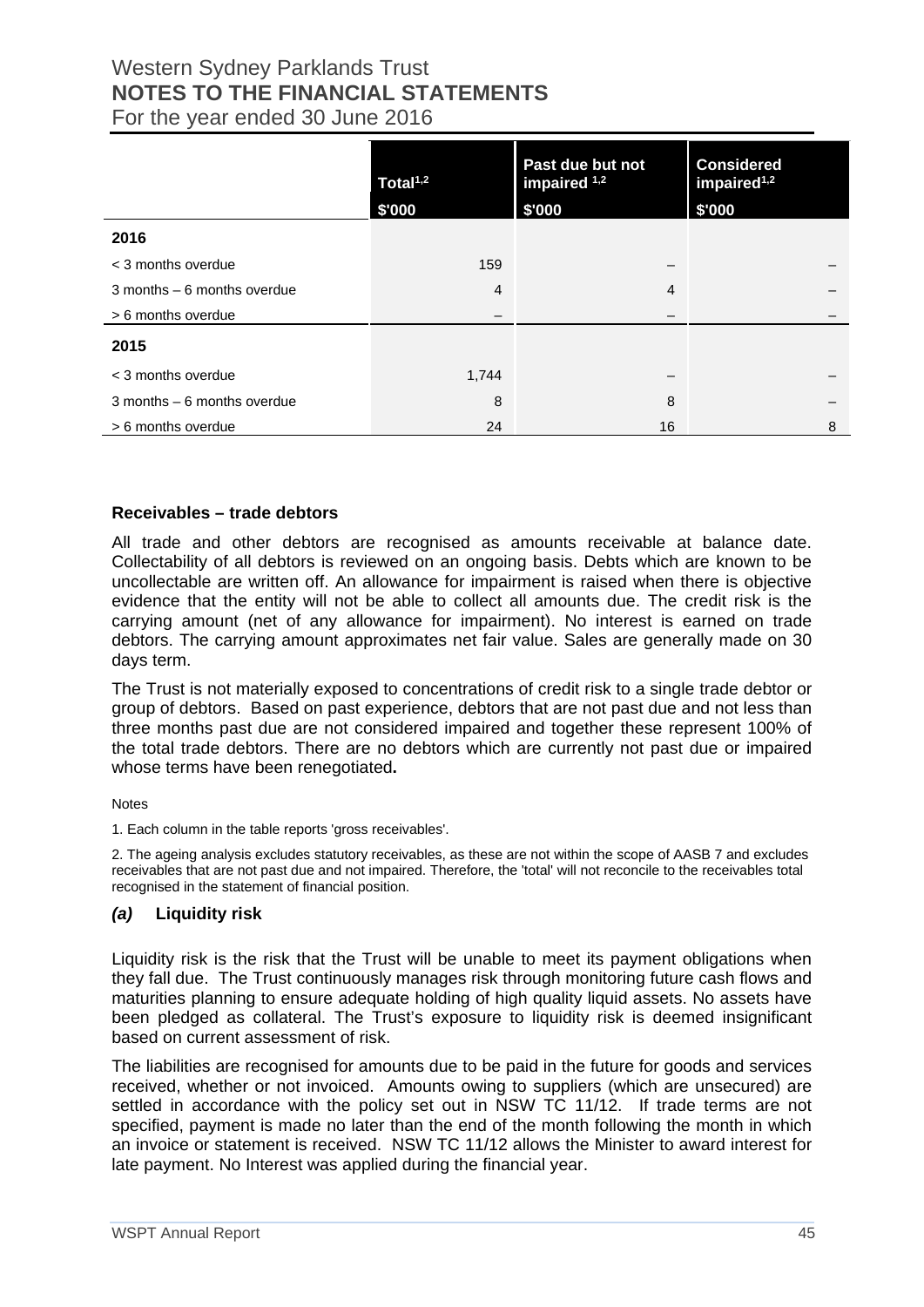|                                | Total <sup>1,2</sup> | Past due but not<br>impaired $1,2$ | <b>Considered</b><br>impaired <sup>1,2</sup> |
|--------------------------------|----------------------|------------------------------------|----------------------------------------------|
|                                | \$'000               | \$'000                             | \$'000                                       |
| 2016                           |                      |                                    |                                              |
| < 3 months overdue             | 159                  |                                    |                                              |
| $3$ months $-6$ months overdue | $\overline{4}$       | 4                                  |                                              |
| > 6 months overdue             |                      |                                    |                                              |
| 2015                           |                      |                                    |                                              |
| < 3 months overdue             | 1,744                |                                    |                                              |
| $3$ months $-6$ months overdue | 8                    | 8                                  |                                              |
| > 6 months overdue             | 24                   | 16                                 | 8                                            |

#### **Receivables – trade debtors**

All trade and other debtors are recognised as amounts receivable at balance date. Collectability of all debtors is reviewed on an ongoing basis. Debts which are known to be uncollectable are written off. An allowance for impairment is raised when there is objective evidence that the entity will not be able to collect all amounts due. The credit risk is the carrying amount (net of any allowance for impairment). No interest is earned on trade debtors. The carrying amount approximates net fair value. Sales are generally made on 30 days term.

The Trust is not materially exposed to concentrations of credit risk to a single trade debtor or group of debtors. Based on past experience, debtors that are not past due and not less than three months past due are not considered impaired and together these represent 100% of the total trade debtors. There are no debtors which are currently not past due or impaired whose terms have been renegotiated**.** 

**Notes** 

1. Each column in the table reports 'gross receivables'.

2. The ageing analysis excludes statutory receivables, as these are not within the scope of AASB 7 and excludes receivables that are not past due and not impaired. Therefore, the 'total' will not reconcile to the receivables total recognised in the statement of financial position.

#### *(a)* **Liquidity risk**

Liquidity risk is the risk that the Trust will be unable to meet its payment obligations when they fall due. The Trust continuously manages risk through monitoring future cash flows and maturities planning to ensure adequate holding of high quality liquid assets. No assets have been pledged as collateral. The Trust's exposure to liquidity risk is deemed insignificant based on current assessment of risk.

The liabilities are recognised for amounts due to be paid in the future for goods and services received, whether or not invoiced. Amounts owing to suppliers (which are unsecured) are settled in accordance with the policy set out in NSW TC 11/12. If trade terms are not specified, payment is made no later than the end of the month following the month in which an invoice or statement is received. NSW TC 11/12 allows the Minister to award interest for late payment. No Interest was applied during the financial year.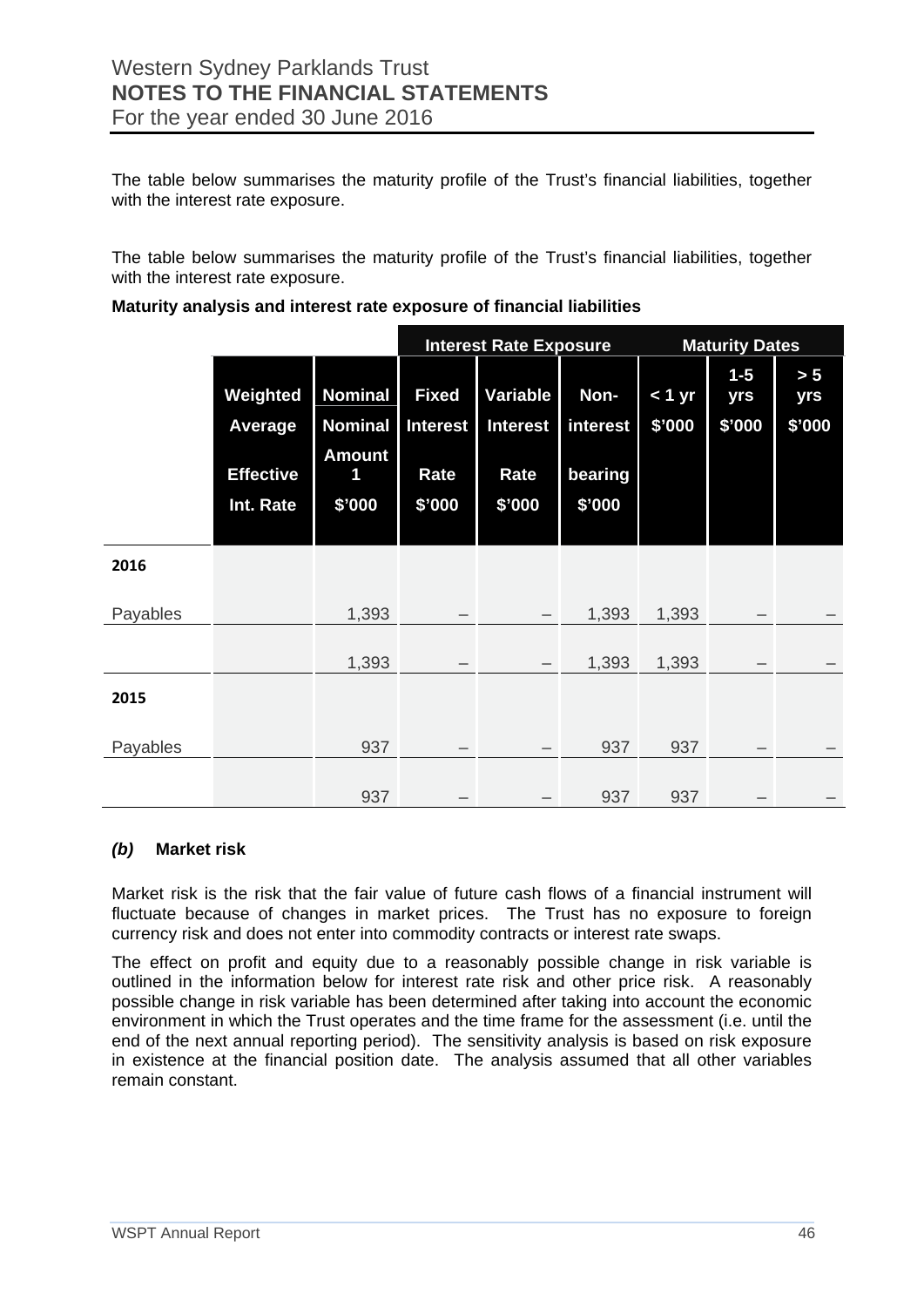The table below summarises the maturity profile of the Trust's financial liabilities, together with the interest rate exposure.

The table below summarises the maturity profile of the Trust's financial liabilities, together with the interest rate exposure.

|          |                                                             |                                                                  |                                                   | <b>Interest Rate Exposure</b>                 |                                       | <b>Maturity Dates</b> |                        |                      |
|----------|-------------------------------------------------------------|------------------------------------------------------------------|---------------------------------------------------|-----------------------------------------------|---------------------------------------|-----------------------|------------------------|----------------------|
|          | Weighted<br><b>Average</b><br><b>Effective</b><br>Int. Rate | <b>Nominal</b><br><b>Nominal</b><br><b>Amount</b><br>1<br>\$'000 | <b>Fixed</b><br><b>Interest</b><br>Rate<br>\$'000 | Variable<br><b>Interest</b><br>Rate<br>\$'000 | Non-<br>interest<br>bearing<br>\$'000 | < 1 yr<br>\$'000      | $1-5$<br>yrs<br>\$'000 | > 5<br>yrs<br>\$7000 |
| 2016     |                                                             |                                                                  |                                                   |                                               |                                       |                       |                        |                      |
| Payables |                                                             | 1,393                                                            |                                                   |                                               | 1,393                                 | 1,393                 |                        |                      |
|          |                                                             | 1,393                                                            |                                                   | $\overline{\phantom{m}}$                      | 1,393                                 | 1,393                 |                        |                      |
| 2015     |                                                             |                                                                  |                                                   |                                               |                                       |                       |                        |                      |
| Payables |                                                             | 937                                                              |                                                   |                                               | 937                                   | 937                   |                        |                      |
|          |                                                             | 937                                                              |                                                   |                                               | 937                                   | 937                   |                        |                      |

#### **Maturity analysis and interest rate exposure of financial liabilities**

#### *(b)* **Market risk**

Market risk is the risk that the fair value of future cash flows of a financial instrument will fluctuate because of changes in market prices. The Trust has no exposure to foreign currency risk and does not enter into commodity contracts or interest rate swaps.

The effect on profit and equity due to a reasonably possible change in risk variable is outlined in the information below for interest rate risk and other price risk. A reasonably possible change in risk variable has been determined after taking into account the economic environment in which the Trust operates and the time frame for the assessment (i.e. until the end of the next annual reporting period). The sensitivity analysis is based on risk exposure in existence at the financial position date. The analysis assumed that all other variables remain constant.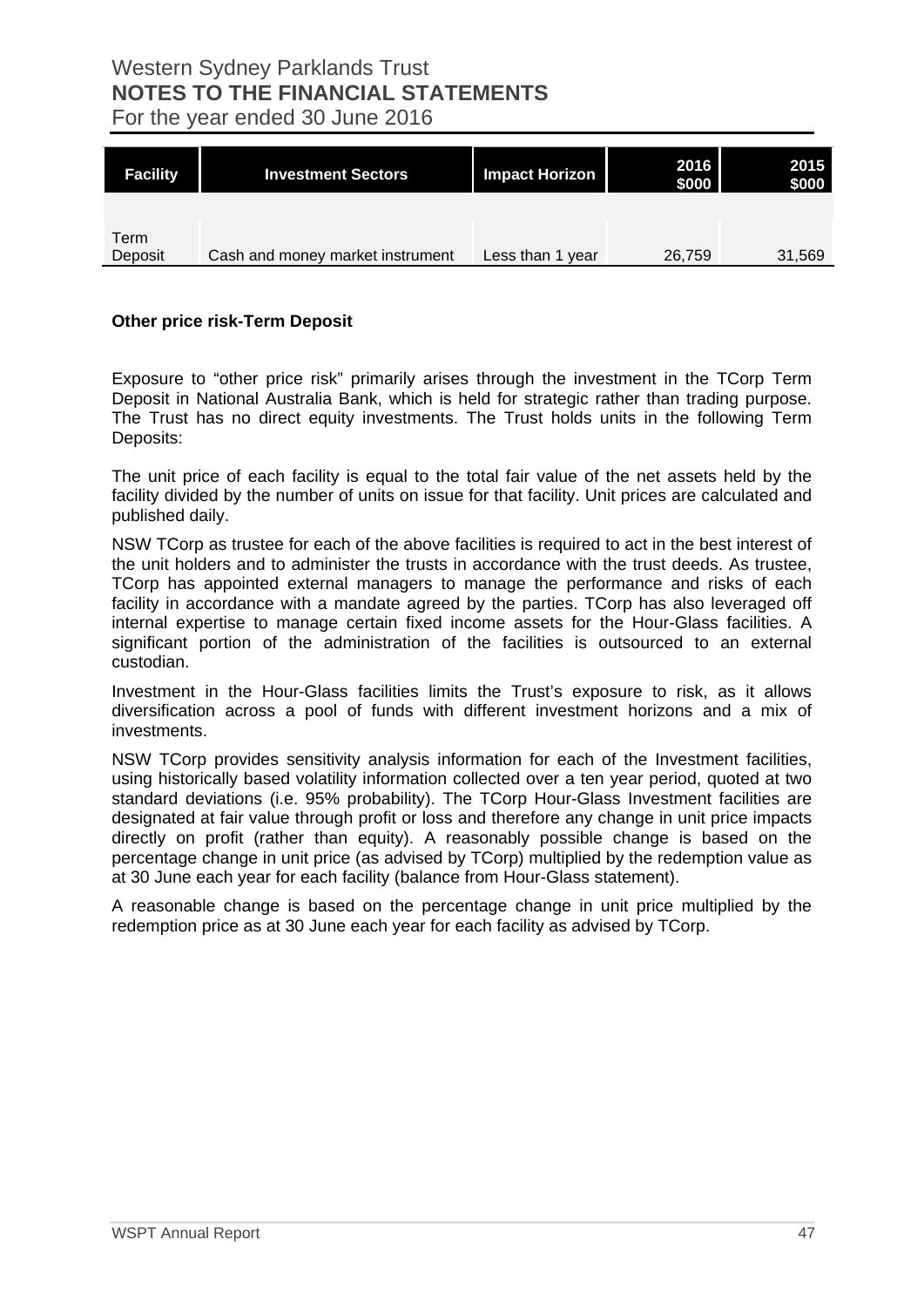**Facility Investment Sectors Impact Horizon <sup>2016</sup> \$000 2015 \$000** Term Deposit Cash and money market instrument Less than 1 year 26,759 31,569

#### **Other price risk-Term Deposit**

Exposure to "other price risk" primarily arises through the investment in the TCorp Term Deposit in National Australia Bank, which is held for strategic rather than trading purpose. The Trust has no direct equity investments. The Trust holds units in the following Term Deposits:

The unit price of each facility is equal to the total fair value of the net assets held by the facility divided by the number of units on issue for that facility. Unit prices are calculated and published daily.

NSW TCorp as trustee for each of the above facilities is required to act in the best interest of the unit holders and to administer the trusts in accordance with the trust deeds. As trustee, TCorp has appointed external managers to manage the performance and risks of each facility in accordance with a mandate agreed by the parties. TCorp has also leveraged off internal expertise to manage certain fixed income assets for the Hour-Glass facilities. A significant portion of the administration of the facilities is outsourced to an external custodian.

Investment in the Hour-Glass facilities limits the Trust's exposure to risk, as it allows diversification across a pool of funds with different investment horizons and a mix of investments.

NSW TCorp provides sensitivity analysis information for each of the Investment facilities, using historically based volatility information collected over a ten year period, quoted at two standard deviations (i.e. 95% probability). The TCorp Hour-Glass Investment facilities are designated at fair value through profit or loss and therefore any change in unit price impacts directly on profit (rather than equity). A reasonably possible change is based on the percentage change in unit price (as advised by TCorp) multiplied by the redemption value as at 30 June each year for each facility (balance from Hour-Glass statement).

A reasonable change is based on the percentage change in unit price multiplied by the redemption price as at 30 June each year for each facility as advised by TCorp.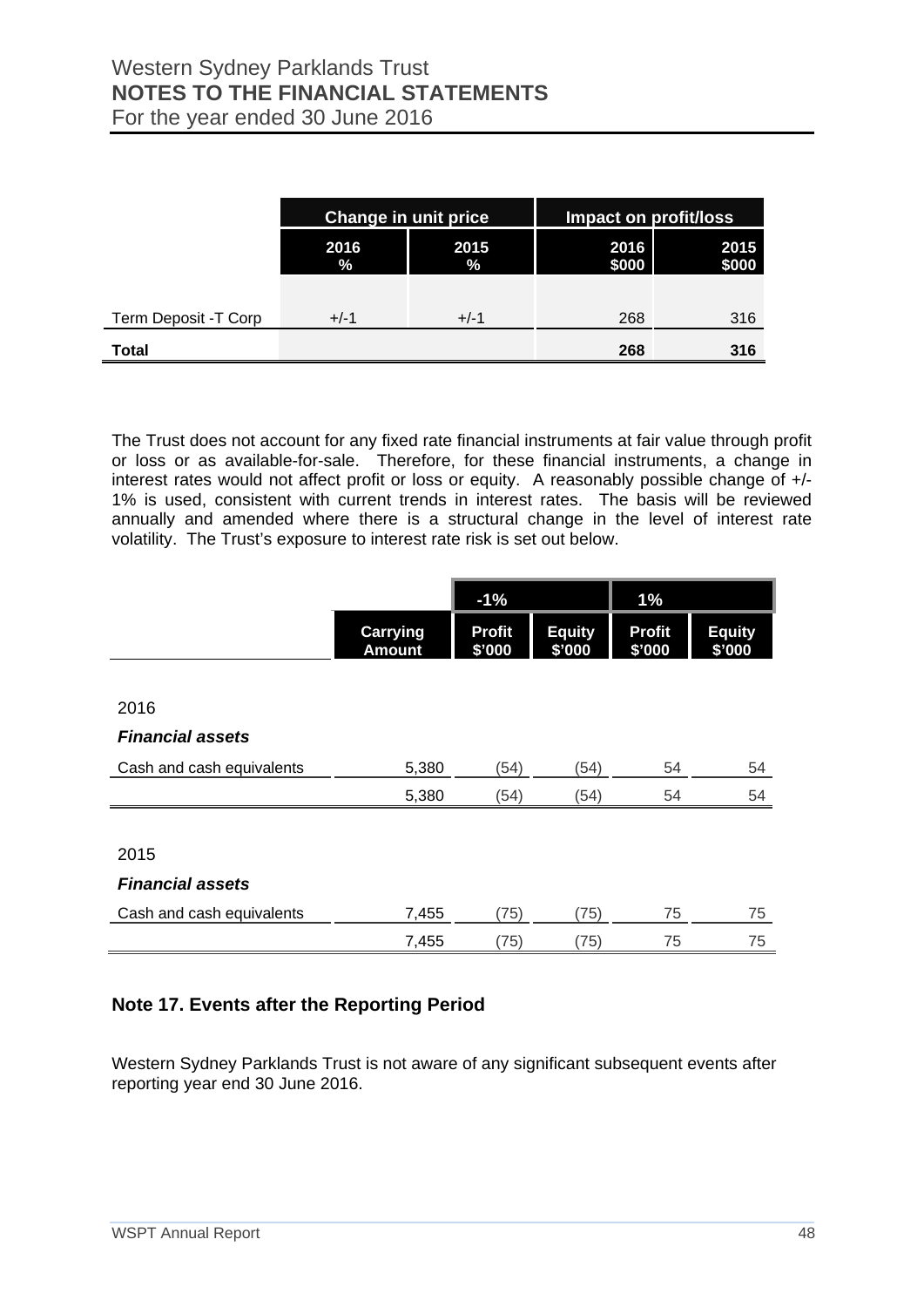|                      |                           | <b>Change in unit price</b> | Impact on profit/loss |               |
|----------------------|---------------------------|-----------------------------|-----------------------|---------------|
|                      | 2015<br>2016<br>%<br>$\%$ |                             | 2016<br>\$000         | 2015<br>\$000 |
|                      |                           |                             |                       |               |
| Term Deposit -T Corp | $+/-1$                    | $+/-1$                      | 268                   | 316           |
| <b>Total</b>         |                           |                             | 268                   | 316           |

The Trust does not account for any fixed rate financial instruments at fair value through profit or loss or as available-for-sale. Therefore, for these financial instruments, a change in interest rates would not affect profit or loss or equity. A reasonably possible change of +/- 1% is used, consistent with current trends in interest rates. The basis will be reviewed annually and amended where there is a structural change in the level of interest rate volatility. The Trust's exposure to interest rate risk is set out below.

|                           |                                  | $-1%$                   |                         | 1%                      |                         |
|---------------------------|----------------------------------|-------------------------|-------------------------|-------------------------|-------------------------|
|                           | <b>Carrying</b><br><b>Amount</b> | <b>Profit</b><br>\$'000 | <b>Equity</b><br>\$'000 | <b>Profit</b><br>\$'000 | <b>Equity</b><br>\$'000 |
|                           |                                  |                         |                         |                         |                         |
| 2016                      |                                  |                         |                         |                         |                         |
| <b>Financial assets</b>   |                                  |                         |                         |                         |                         |
| Cash and cash equivalents | 5,380                            | (54)                    | (54)                    | 54                      | 54                      |
|                           | 5,380                            | (54)                    | (54)                    | 54                      | 54                      |
|                           |                                  |                         |                         |                         |                         |
| 2015                      |                                  |                         |                         |                         |                         |
| <b>Financial assets</b>   |                                  |                         |                         |                         |                         |
| Cash and cash equivalents | 7,455                            | (75)                    | (75)                    | 75                      | 75                      |
|                           | 7,455                            | (75)                    | (75)                    | 75                      | 75                      |

## **Note 17. Events after the Reporting Period**

Western Sydney Parklands Trust is not aware of any significant subsequent events after reporting year end 30 June 2016.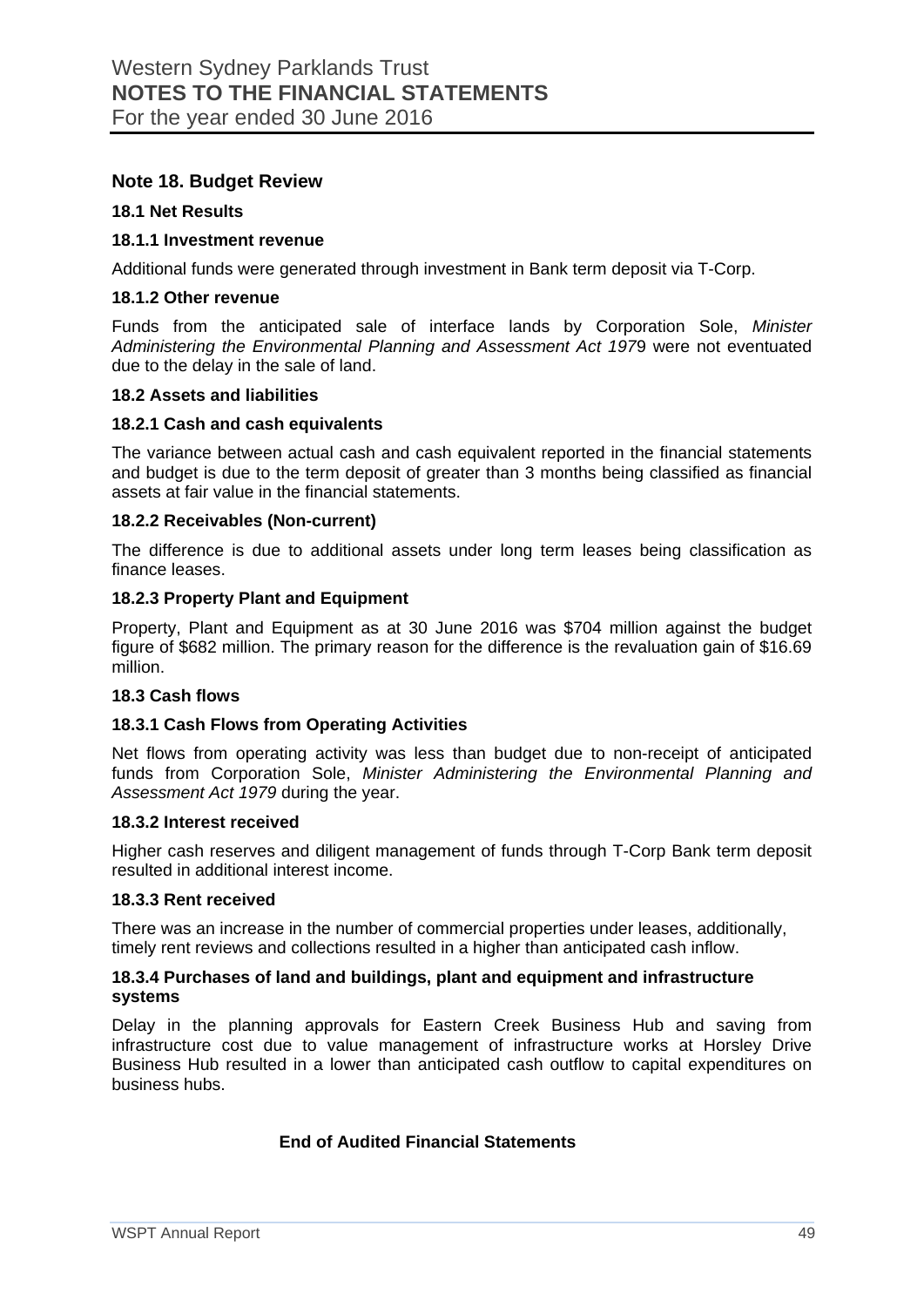#### **Note 18. Budget Review**

#### **18.1 Net Results**

#### **18.1.1 Investment revenue**

Additional funds were generated through investment in Bank term deposit via T-Corp.

#### **18.1.2 Other revenue**

Funds from the anticipated sale of interface lands by Corporation Sole, *Minister Administering the Environmental Planning and Assessment Act 197*9 were not eventuated due to the delay in the sale of land.

#### **18.2 Assets and liabilities**

#### **18.2.1 Cash and cash equivalents**

The variance between actual cash and cash equivalent reported in the financial statements and budget is due to the term deposit of greater than 3 months being classified as financial assets at fair value in the financial statements.

#### **18.2.2 Receivables (Non-current)**

The difference is due to additional assets under long term leases being classification as finance leases.

#### **18.2.3 Property Plant and Equipment**

Property, Plant and Equipment as at 30 June 2016 was \$704 million against the budget figure of \$682 million. The primary reason for the difference is the revaluation gain of \$16.69 million.

#### **18.3 Cash flows**

#### **18.3.1 Cash Flows from Operating Activities**

Net flows from operating activity was less than budget due to non-receipt of anticipated funds from Corporation Sole, *Minister Administering the Environmental Planning and Assessment Act 1979* during the year.

#### **18.3.2 Interest received**

Higher cash reserves and diligent management of funds through T-Corp Bank term deposit resulted in additional interest income.

#### **18.3.3 Rent received**

There was an increase in the number of commercial properties under leases, additionally, timely rent reviews and collections resulted in a higher than anticipated cash inflow.

#### **18.3.4 Purchases of land and buildings, plant and equipment and infrastructure systems**

Delay in the planning approvals for Eastern Creek Business Hub and saving from infrastructure cost due to value management of infrastructure works at Horsley Drive Business Hub resulted in a lower than anticipated cash outflow to capital expenditures on business hubs.

#### **End of Audited Financial Statements**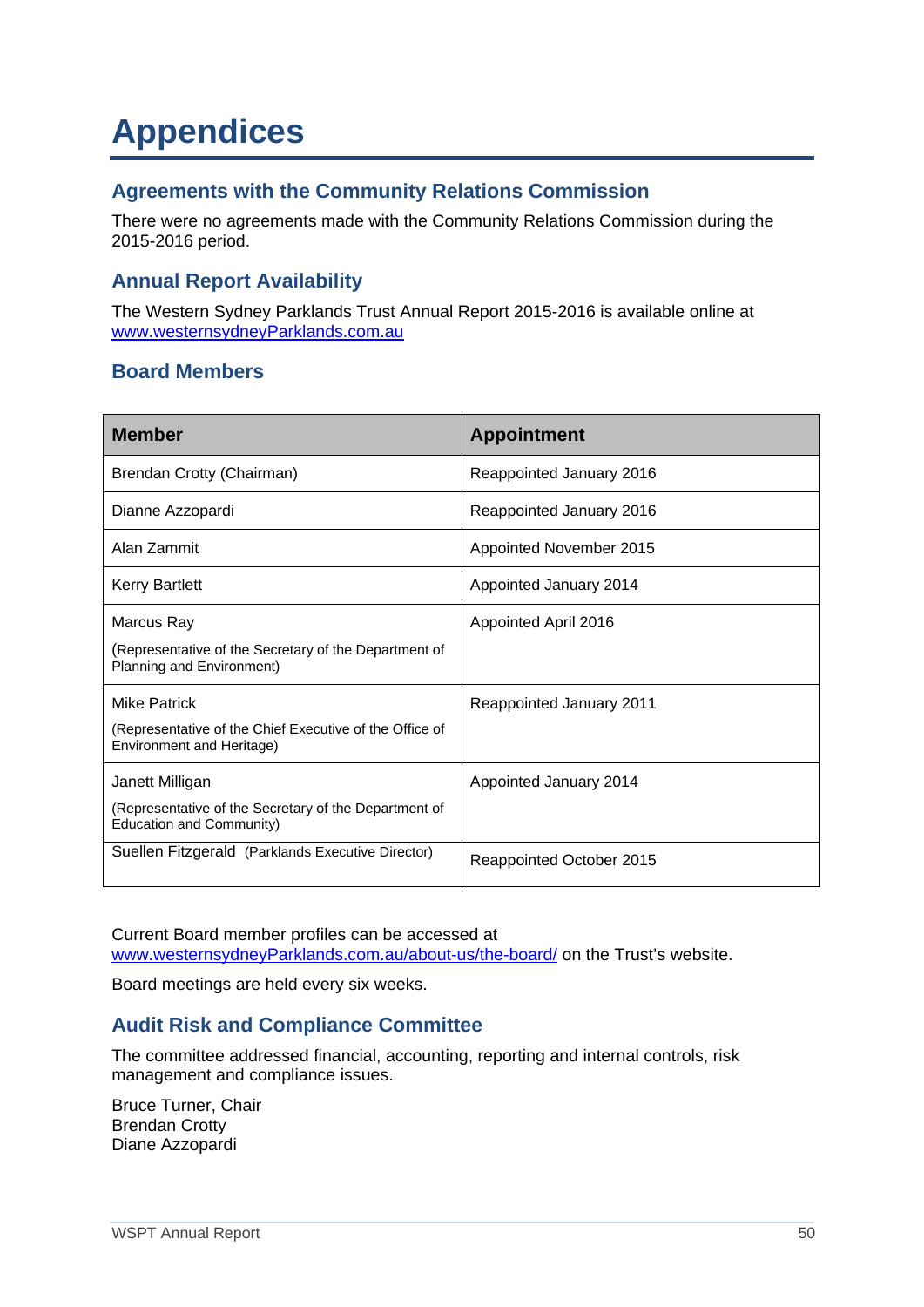## **Appendices**

## **Agreements with the Community Relations Commission**

There were no agreements made with the Community Relations Commission during the 2015-2016 period.

## **Annual Report Availability**

The Western Sydney Parklands Trust Annual Report 2015-2016 is available online at www.westernsydneyParklands.com.au

## **Board Members**

| <b>Member</b>                                                                                        | <b>Appointment</b>       |
|------------------------------------------------------------------------------------------------------|--------------------------|
| Brendan Crotty (Chairman)                                                                            | Reappointed January 2016 |
| Dianne Azzopardi                                                                                     | Reappointed January 2016 |
| Alan Zammit                                                                                          | Appointed November 2015  |
| <b>Kerry Bartlett</b>                                                                                | Appointed January 2014   |
| Marcus Ray<br>(Representative of the Secretary of the Department of<br>Planning and Environment)     | Appointed April 2016     |
| Mike Patrick<br>(Representative of the Chief Executive of the Office of<br>Environment and Heritage) | Reappointed January 2011 |
| Janett Milligan<br>(Representative of the Secretary of the Department of<br>Education and Community) | Appointed January 2014   |
| Suellen Fitzgerald (Parklands Executive Director)                                                    | Reappointed October 2015 |

Current Board member profiles can be accessed at www.westernsydneyParklands.com.au/about-us/the-board/ on the Trust's website.

Board meetings are held every six weeks.

## **Audit Risk and Compliance Committee**

The committee addressed financial, accounting, reporting and internal controls, risk management and compliance issues.

Bruce Turner, Chair Brendan Crotty Diane Azzopardi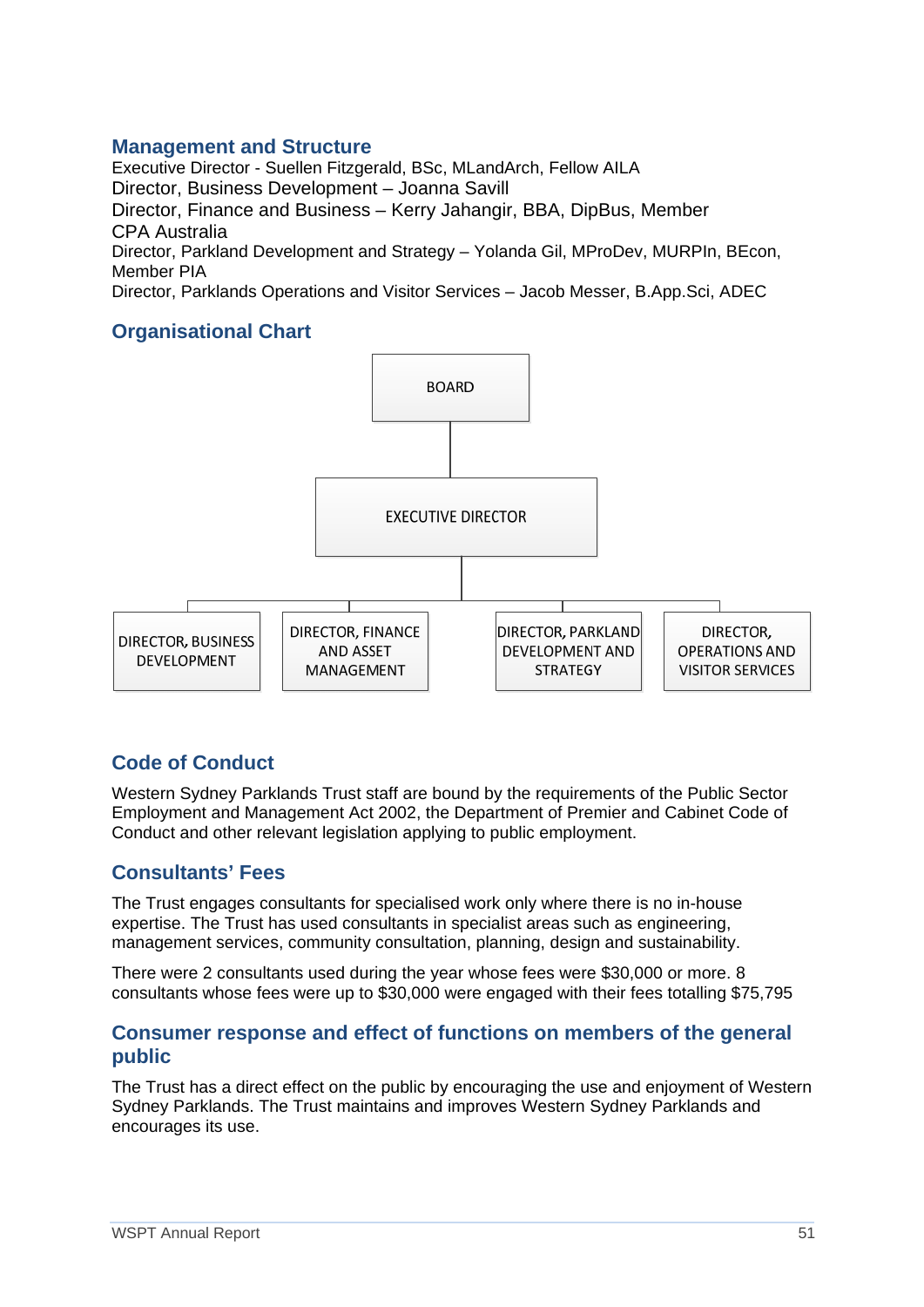### **Management and Structure**

Executive Director - Suellen Fitzgerald, BSc, MLandArch, Fellow AILA Director, Business Development – Joanna Savill Director, Finance and Business – Kerry Jahangir, BBA, DipBus, Member CPA Australia Director, Parkland Development and Strategy – Yolanda Gil, MProDev, MURPIn, BEcon, Member PIA

Director, Parklands Operations and Visitor Services – Jacob Messer, B.App.Sci, ADEC

## **Organisational Chart**



## **Code of Conduct**

Western Sydney Parklands Trust staff are bound by the requirements of the Public Sector Employment and Management Act 2002, the Department of Premier and Cabinet Code of Conduct and other relevant legislation applying to public employment.

#### **Consultants' Fees**

The Trust engages consultants for specialised work only where there is no in-house expertise. The Trust has used consultants in specialist areas such as engineering, management services, community consultation, planning, design and sustainability.

There were 2 consultants used during the year whose fees were \$30,000 or more. 8 consultants whose fees were up to \$30,000 were engaged with their fees totalling \$75,795

### **Consumer response and effect of functions on members of the general public**

The Trust has a direct effect on the public by encouraging the use and enjoyment of Western Sydney Parklands. The Trust maintains and improves Western Sydney Parklands and encourages its use.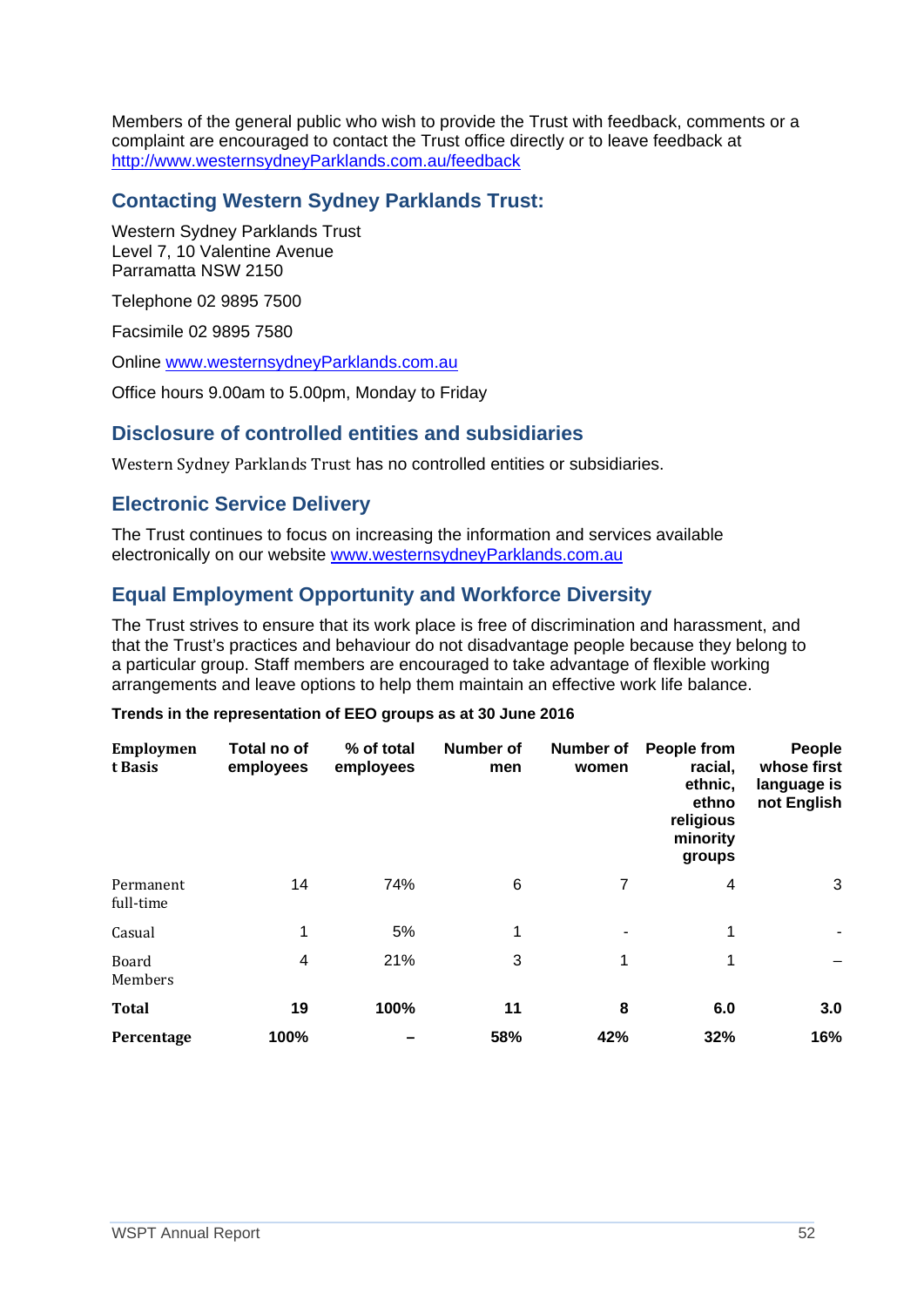Members of the general public who wish to provide the Trust with feedback, comments or a complaint are encouraged to contact the Trust office directly or to leave feedback at http://www.westernsydneyParklands.com.au/feedback

## **Contacting Western Sydney Parklands Trust:**

Western Sydney Parklands Trust Level 7, 10 Valentine Avenue Parramatta NSW 2150

Telephone 02 9895 7500

Facsimile 02 9895 7580

Online www.westernsydneyParklands.com.au

Office hours 9.00am to 5.00pm, Monday to Friday

#### **Disclosure of controlled entities and subsidiaries**

Western Sydney Parklands Trust has no controlled entities or subsidiaries.

## **Electronic Service Delivery**

The Trust continues to focus on increasing the information and services available electronically on our website www.westernsydneyParklands.com.au

## **Equal Employment Opportunity and Workforce Diversity**

The Trust strives to ensure that its work place is free of discrimination and harassment, and that the Trust's practices and behaviour do not disadvantage people because they belong to a particular group. Staff members are encouraged to take advantage of flexible working arrangements and leave options to help them maintain an effective work life balance.

#### **Trends in the representation of EEO groups as at 30 June 2016**

| <b>Employmen</b><br>t Basis | Total no of<br>employees | % of total<br>employees | <b>Number of</b><br>men | <b>Number of</b><br>women | People from<br>racial,<br>ethnic,<br>ethno<br>religious<br>minority<br>groups | People<br>whose first<br>language is<br>not English |
|-----------------------------|--------------------------|-------------------------|-------------------------|---------------------------|-------------------------------------------------------------------------------|-----------------------------------------------------|
| Permanent<br>full-time      | 14                       | 74%                     | 6                       | 7                         | 4                                                                             | 3                                                   |
| Casual                      | 1                        | 5%                      | 1                       | ٠                         | 1                                                                             |                                                     |
| Board<br>Members            | 4                        | 21%                     | 3                       | 1                         | 1                                                                             |                                                     |
| <b>Total</b>                | 19                       | 100%                    | 11                      | 8                         | 6.0                                                                           | 3.0                                                 |
| Percentage                  | 100%                     |                         | 58%                     | 42%                       | 32%                                                                           | 16%                                                 |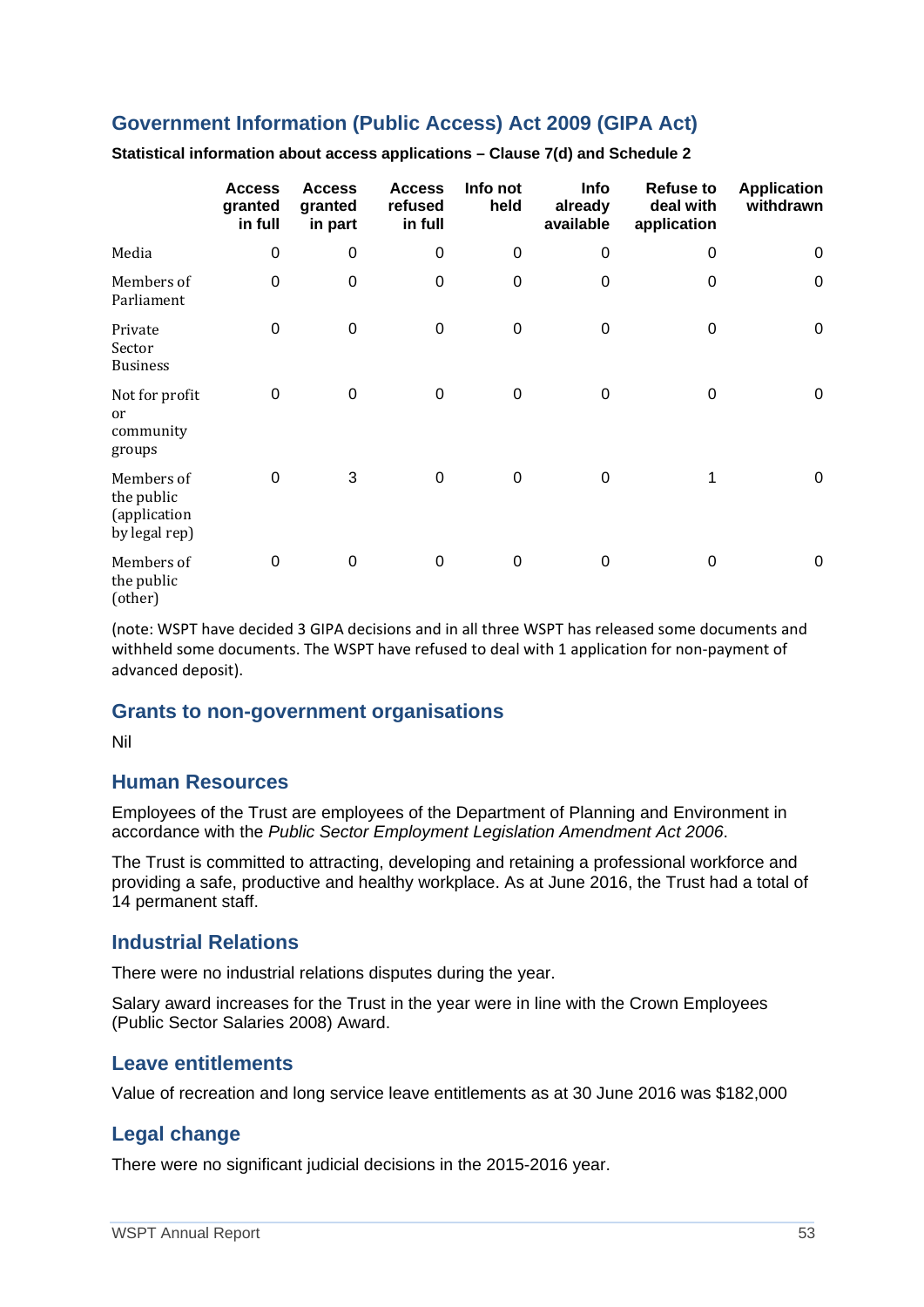## **Government Information (Public Access) Act 2009 (GIPA Act)**

|                                                           | <b>Access</b><br>granted<br>in full | <b>Access</b><br>granted<br>in part | <b>Access</b><br>refused<br>in full | Info not<br>held | <b>Info</b><br>already<br>available | <b>Refuse to</b><br>deal with<br>application | <b>Application</b><br>withdrawn |
|-----------------------------------------------------------|-------------------------------------|-------------------------------------|-------------------------------------|------------------|-------------------------------------|----------------------------------------------|---------------------------------|
| Media                                                     | 0                                   | 0                                   | $\pmb{0}$                           | $\boldsymbol{0}$ | $\boldsymbol{0}$                    | 0                                            | 0                               |
| Members of<br>Parliament                                  | $\overline{0}$                      | $\mathbf 0$                         | $\mathbf 0$                         | $\boldsymbol{0}$ | $\boldsymbol{0}$                    | $\Omega$                                     | $\mathbf 0$                     |
| Private<br>Sector<br><b>Business</b>                      | 0                                   | 0                                   | $\mathbf 0$                         | $\boldsymbol{0}$ | 0                                   | $\Omega$                                     | $\mathbf 0$                     |
| Not for profit<br><sub>or</sub><br>community<br>groups    | $\mathbf 0$                         | $\mathbf 0$                         | $\mathbf 0$                         | $\boldsymbol{0}$ | $\boldsymbol{0}$                    | $\Omega$                                     | $\pmb{0}$                       |
| Members of<br>the public<br>(application<br>by legal rep) | $\overline{0}$                      | 3                                   | $\mathbf 0$                         | 0                | 0                                   |                                              | $\mathbf 0$                     |
| Members of<br>the public<br>(other)                       | $\mathbf 0$                         | 0                                   | $\pmb{0}$                           | $\pmb{0}$        | 0                                   | 0                                            | $\mathbf 0$                     |

**Statistical information about access applications – Clause 7(d) and Schedule 2**

(note: WSPT have decided 3 GIPA decisions and in all three WSPT has released some documents and withheld some documents. The WSPT have refused to deal with 1 application for non‐payment of advanced deposit).

#### **Grants to non-government organisations**

Nil

#### **Human Resources**

Employees of the Trust are employees of the Department of Planning and Environment in accordance with the *Public Sector Employment Legislation Amendment Act 2006*.

The Trust is committed to attracting, developing and retaining a professional workforce and providing a safe, productive and healthy workplace. As at June 2016, the Trust had a total of 14 permanent staff.

#### **Industrial Relations**

There were no industrial relations disputes during the year.

Salary award increases for the Trust in the year were in line with the Crown Employees (Public Sector Salaries 2008) Award.

#### **Leave entitlements**

Value of recreation and long service leave entitlements as at 30 June 2016 was \$182,000

#### **Legal change**

There were no significant judicial decisions in the 2015-2016 year.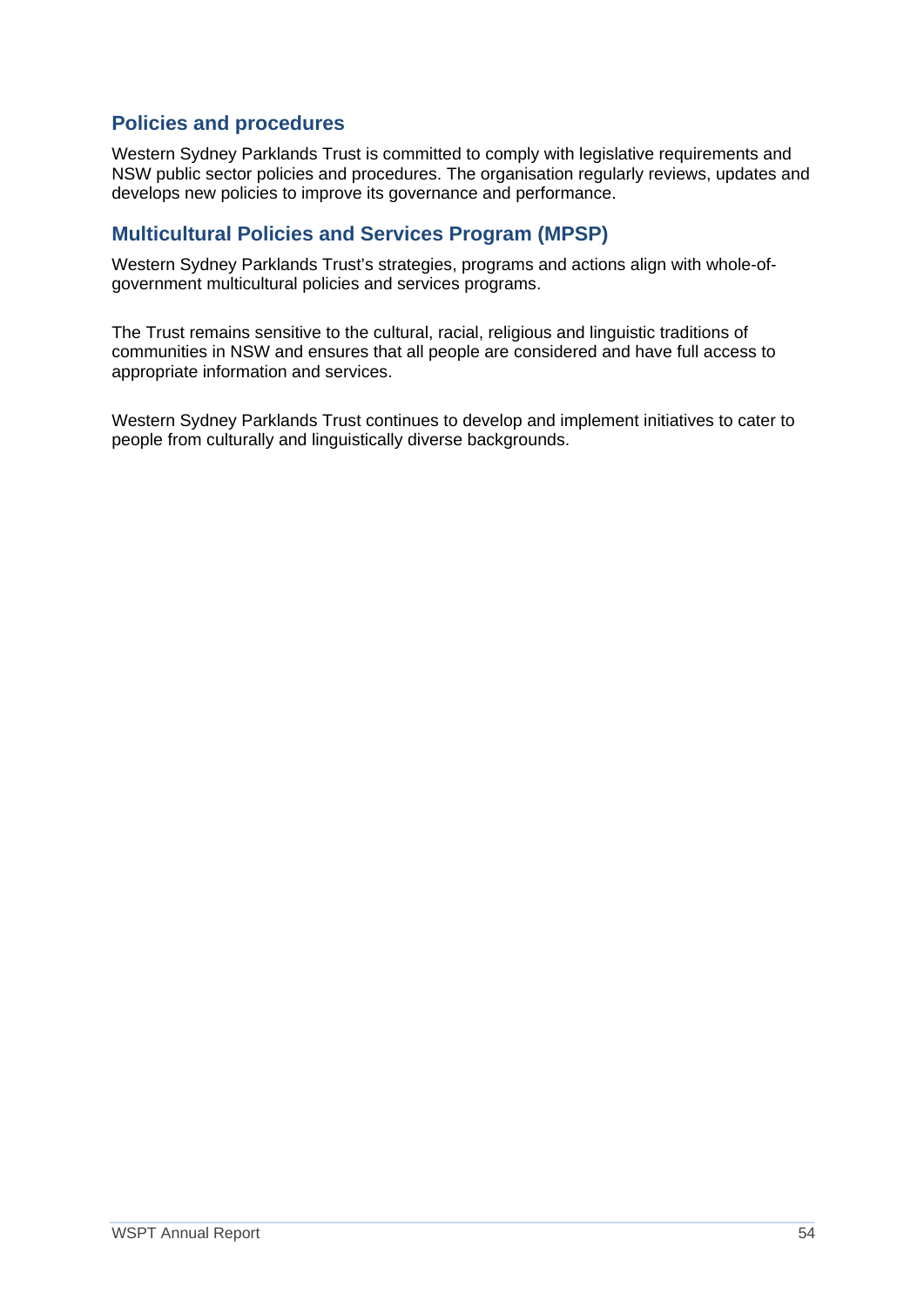## **Policies and procedures**

Western Sydney Parklands Trust is committed to comply with legislative requirements and NSW public sector policies and procedures. The organisation regularly reviews, updates and develops new policies to improve its governance and performance.

## **Multicultural Policies and Services Program (MPSP)**

Western Sydney Parklands Trust's strategies, programs and actions align with whole-ofgovernment multicultural policies and services programs.

The Trust remains sensitive to the cultural, racial, religious and linguistic traditions of communities in NSW and ensures that all people are considered and have full access to appropriate information and services.

Western Sydney Parklands Trust continues to develop and implement initiatives to cater to people from culturally and linguistically diverse backgrounds.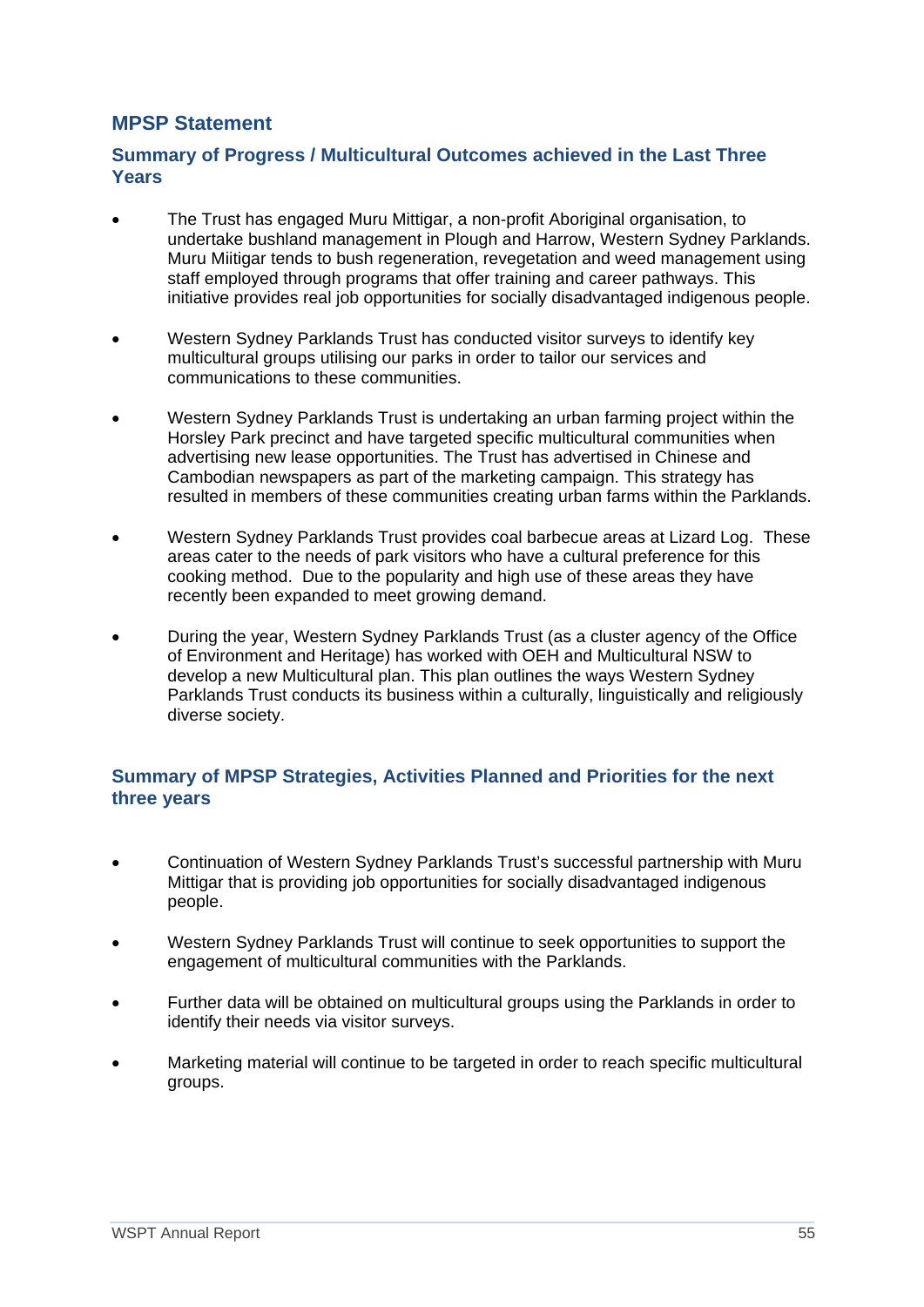## **MPSP Statement**

### **Summary of Progress / Multicultural Outcomes achieved in the Last Three Years**

- The Trust has engaged Muru Mittigar, a non-profit Aboriginal organisation, to undertake bushland management in Plough and Harrow, Western Sydney Parklands. Muru Miitigar tends to bush regeneration, revegetation and weed management using staff employed through programs that offer training and career pathways. This initiative provides real job opportunities for socially disadvantaged indigenous people.
- Western Sydney Parklands Trust has conducted visitor surveys to identify key multicultural groups utilising our parks in order to tailor our services and communications to these communities.
- Western Sydney Parklands Trust is undertaking an urban farming project within the Horsley Park precinct and have targeted specific multicultural communities when advertising new lease opportunities. The Trust has advertised in Chinese and Cambodian newspapers as part of the marketing campaign. This strategy has resulted in members of these communities creating urban farms within the Parklands.
- Western Sydney Parklands Trust provides coal barbecue areas at Lizard Log. These areas cater to the needs of park visitors who have a cultural preference for this cooking method. Due to the popularity and high use of these areas they have recently been expanded to meet growing demand.
- During the year, Western Sydney Parklands Trust (as a cluster agency of the Office of Environment and Heritage) has worked with OEH and Multicultural NSW to develop a new Multicultural plan. This plan outlines the ways Western Sydney Parklands Trust conducts its business within a culturally, linguistically and religiously diverse society.

#### **Summary of MPSP Strategies, Activities Planned and Priorities for the next three years**

- Continuation of Western Sydney Parklands Trust's successful partnership with Muru Mittigar that is providing job opportunities for socially disadvantaged indigenous people.
- Western Sydney Parklands Trust will continue to seek opportunities to support the engagement of multicultural communities with the Parklands.
- Further data will be obtained on multicultural groups using the Parklands in order to identify their needs via visitor surveys.
- Marketing material will continue to be targeted in order to reach specific multicultural groups.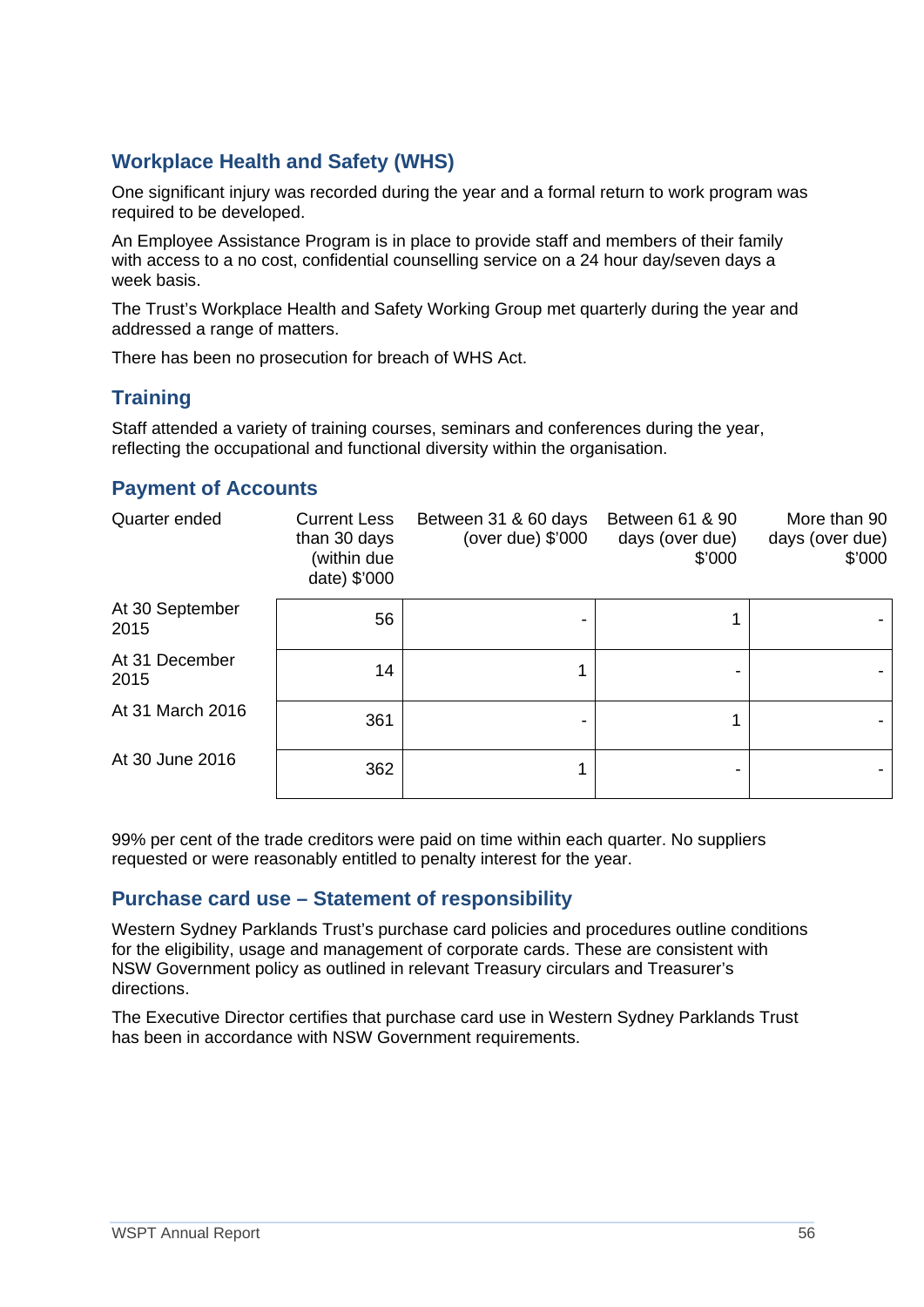## **Workplace Health and Safety (WHS)**

One significant injury was recorded during the year and a formal return to work program was required to be developed.

An Employee Assistance Program is in place to provide staff and members of their family with access to a no cost, confidential counselling service on a 24 hour day/seven days a week basis.

The Trust's Workplace Health and Safety Working Group met quarterly during the year and addressed a range of matters.

There has been no prosecution for breach of WHS Act.

## **Training**

Staff attended a variety of training courses, seminars and conferences during the year, reflecting the occupational and functional diversity within the organisation.

### **Payment of Accounts**

| Quarter ended           | <b>Current Less</b><br>than 30 days<br>(within due<br>date) \$'000 | Between 31 & 60 days<br>(over due) $$'000$ | Between 61 & 90<br>days (over due)<br>\$'000 | More than 90<br>days (over due)<br>\$'000 |
|-------------------------|--------------------------------------------------------------------|--------------------------------------------|----------------------------------------------|-------------------------------------------|
| At 30 September<br>2015 | 56                                                                 |                                            | 1                                            |                                           |
| At 31 December<br>2015  | 14                                                                 |                                            | -                                            |                                           |
| At 31 March 2016        | 361                                                                |                                            | 1                                            |                                           |
| At 30 June 2016         | 362                                                                |                                            |                                              |                                           |

99% per cent of the trade creditors were paid on time within each quarter. No suppliers requested or were reasonably entitled to penalty interest for the year.

#### **Purchase card use – Statement of responsibility**

Western Sydney Parklands Trust's purchase card policies and procedures outline conditions for the eligibility, usage and management of corporate cards. These are consistent with NSW Government policy as outlined in relevant Treasury circulars and Treasurer's directions.

The Executive Director certifies that purchase card use in Western Sydney Parklands Trust has been in accordance with NSW Government requirements.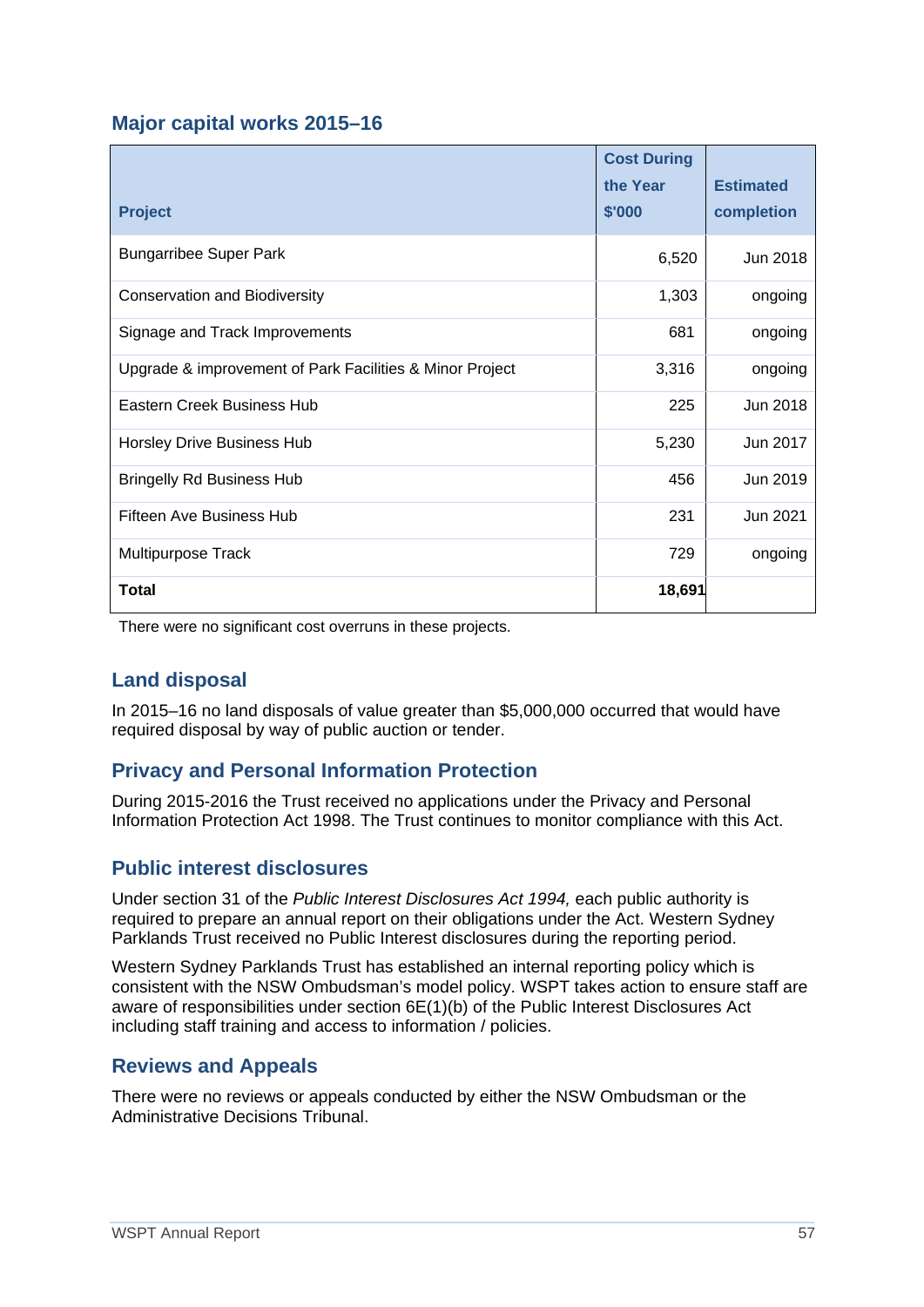## **Major capital works 2015–16**

|                                                          | <b>Cost During</b><br>the Year | <b>Estimated</b> |
|----------------------------------------------------------|--------------------------------|------------------|
| <b>Project</b>                                           | \$'000                         | completion       |
| <b>Bungarribee Super Park</b>                            | 6,520                          | Jun 2018         |
| <b>Conservation and Biodiversity</b>                     | 1,303                          | ongoing          |
| Signage and Track Improvements                           | 681                            | ongoing          |
| Upgrade & improvement of Park Facilities & Minor Project | 3,316                          | ongoing          |
| Eastern Creek Business Hub                               | 225                            | Jun 2018         |
| Horsley Drive Business Hub                               | 5,230                          | Jun 2017         |
| <b>Bringelly Rd Business Hub</b>                         | 456                            | Jun 2019         |
| Fifteen Ave Business Hub                                 | 231                            | Jun 2021         |
| Multipurpose Track                                       | 729                            | ongoing          |
| Total                                                    | 18,691                         |                  |

There were no significant cost overruns in these projects.

## **Land disposal**

In 2015–16 no land disposals of value greater than \$5,000,000 occurred that would have required disposal by way of public auction or tender.

## **Privacy and Personal Information Protection**

During 2015-2016 the Trust received no applications under the Privacy and Personal Information Protection Act 1998. The Trust continues to monitor compliance with this Act.

## **Public interest disclosures**

Under section 31 of the *Public Interest Disclosures Act 1994,* each public authority is required to prepare an annual report on their obligations under the Act. Western Sydney Parklands Trust received no Public Interest disclosures during the reporting period.

Western Sydney Parklands Trust has established an internal reporting policy which is consistent with the NSW Ombudsman's model policy. WSPT takes action to ensure staff are aware of responsibilities under section 6E(1)(b) of the Public Interest Disclosures Act including staff training and access to information / policies.

## **Reviews and Appeals**

There were no reviews or appeals conducted by either the NSW Ombudsman or the Administrative Decisions Tribunal.